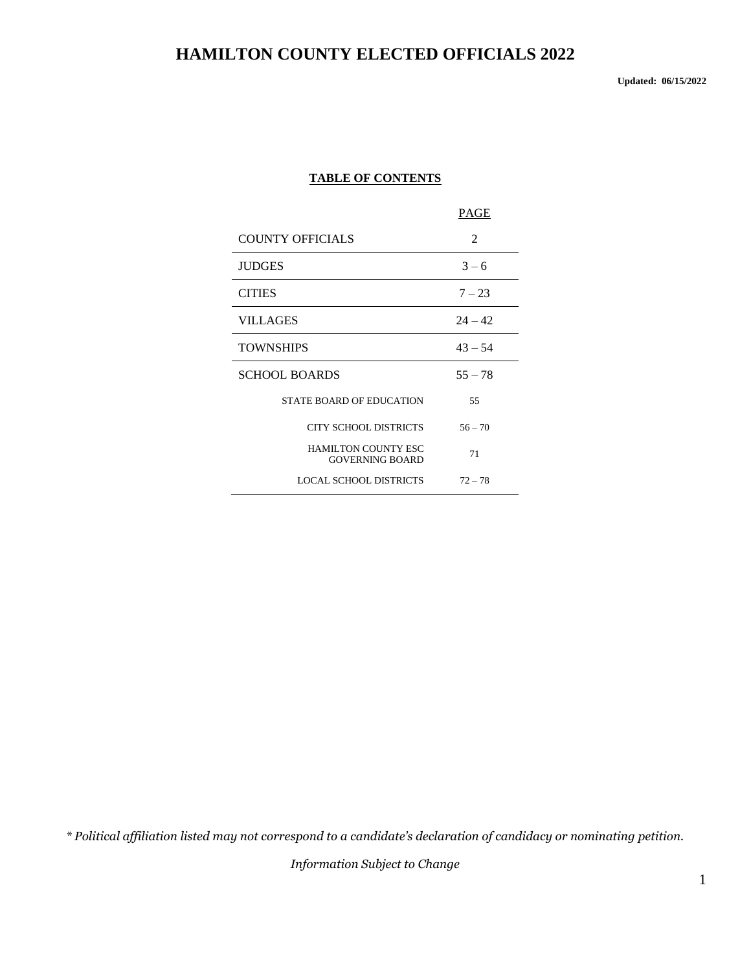**Updated: 06/15/2022**

#### **TABLE OF CONTENTS**

|                                                      | PAGE      |
|------------------------------------------------------|-----------|
| <b>COUNTY OFFICIALS</b>                              | 2         |
| <b>JUDGES</b>                                        | $3 - 6$   |
| <b>CITIES</b>                                        | $7 - 23$  |
| VILLAGES                                             | $24 - 42$ |
| <b>TOWNSHIPS</b>                                     | $43 - 54$ |
| <b>SCHOOL BOARDS</b>                                 | $55 - 78$ |
| <b>STATE BOARD OF EDUCATION</b>                      | 55        |
| <b>CITY SCHOOL DISTRICTS</b>                         | $56 - 70$ |
| <b>HAMILTON COUNTY ESC</b><br><b>GOVERNING BOARD</b> | 71        |
| <b>LOCAL SCHOOL DISTRICTS</b>                        | $72 - 78$ |

*\* Political affiliation listed may not correspond to a candidate's declaration of candidacy or nominating petition.*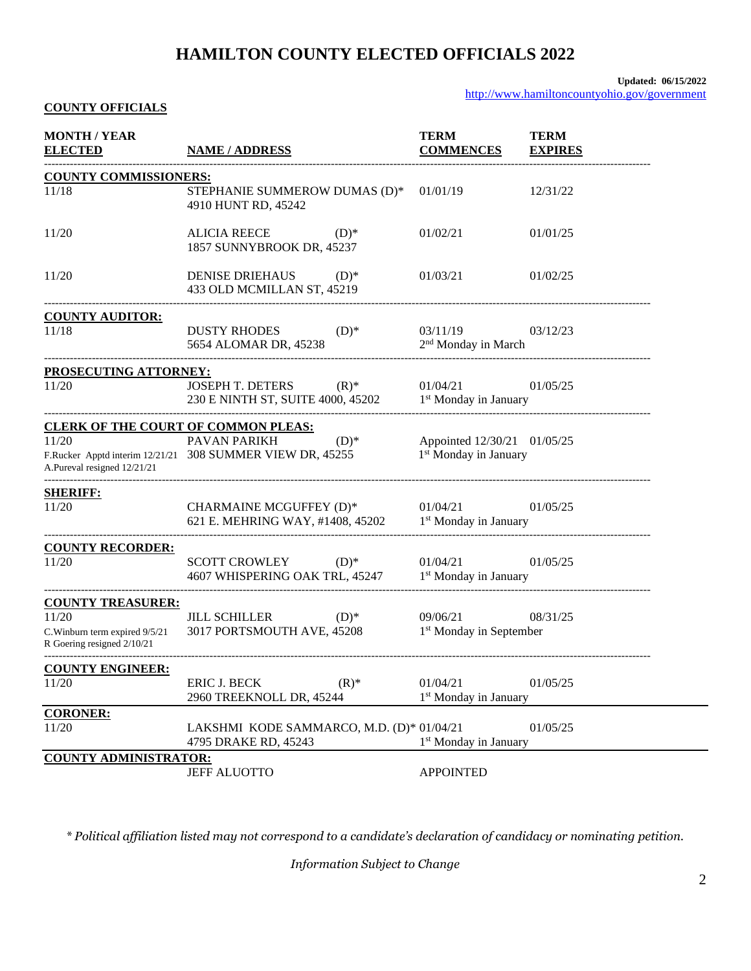#### **Updated: 06/15/2022**

<http://www.hamiltoncountyohio.gov/government>

#### **COUNTY OFFICIALS**

| <b>MONTH / YEAR</b><br><b>ELECTED</b>                                                             | <b>NAME / ADDRESS</b>                                                                         | <b>TERM</b><br><b>COMMENCES</b>                                  | <b>TERM</b><br><b>EXPIRES</b> |  |  |  |  |
|---------------------------------------------------------------------------------------------------|-----------------------------------------------------------------------------------------------|------------------------------------------------------------------|-------------------------------|--|--|--|--|
|                                                                                                   | <b>COUNTY COMMISSIONERS:</b>                                                                  |                                                                  |                               |  |  |  |  |
| 11/18                                                                                             | STEPHANIE SUMMEROW DUMAS (D)*<br>4910 HUNT RD, 45242                                          | 01/01/19                                                         | 12/31/22                      |  |  |  |  |
| 11/20                                                                                             | <b>ALICIA REECE</b><br>$(D)*$<br>1857 SUNNYBROOK DR, 45237                                    | 01/02/21                                                         | 01/01/25                      |  |  |  |  |
| 11/20                                                                                             | <b>DENISE DRIEHAUS</b><br>$(D)$ *<br>433 OLD MCMILLAN ST, 45219                               | 01/03/21                                                         | 01/02/25                      |  |  |  |  |
| <b>COUNTY AUDITOR:</b>                                                                            |                                                                                               |                                                                  |                               |  |  |  |  |
| 11/18                                                                                             | <b>DUSTY RHODES</b><br>$(D)*$<br>5654 ALOMAR DR, 45238                                        | 03/11/19<br>2 <sup>nd</sup> Monday in March                      | 03/12/23                      |  |  |  |  |
| PROSECUTING ATTORNEY:                                                                             |                                                                                               |                                                                  |                               |  |  |  |  |
| 11/20                                                                                             | <b>JOSEPH T. DETERS</b><br>$(R)^*$<br>230 E NINTH ST, SUITE 4000, 45202                       | 01/04/21<br>1 <sup>st</sup> Monday in January                    | 01/05/25                      |  |  |  |  |
| <b>CLERK OF THE COURT OF COMMON PLEAS:</b>                                                        |                                                                                               |                                                                  |                               |  |  |  |  |
| 11/20<br>A.Pureval resigned 12/21/21                                                              | PAVAN PARIKH<br>$(D)^*$<br>F.Rucker Apptd interim 12/21/21 308 SUMMER VIEW DR, 45255          | Appointed 12/30/21 01/05/25<br>1 <sup>st</sup> Monday in January |                               |  |  |  |  |
| <b>SHERIFF:</b><br>11/20                                                                          | CHARMAINE MCGUFFEY (D)*<br>621 E. MEHRING WAY, #1408, 45202 1 <sup>st</sup> Monday in January | 01/04/21                                                         | 01/05/25                      |  |  |  |  |
| <b>COUNTY RECORDER:</b><br>11/20                                                                  | <b>SCOTT CROWLEY</b><br>$(D)^*$<br>4607 WHISPERING OAK TRL, 45247                             | 01/04/21<br>1 <sup>st</sup> Monday in January                    | 01/05/25                      |  |  |  |  |
| <b>COUNTY TREASURER:</b><br>11/20<br>C. Winburn term expired 9/5/21<br>R Goering resigned 2/10/21 | <b>JILL SCHILLER</b><br>$(D)$ *<br>3017 PORTSMOUTH AVE, 45208                                 | 09/06/21<br>1 <sup>st</sup> Monday in September                  | 08/31/25                      |  |  |  |  |
| <b>COUNTY ENGINEER:</b>                                                                           |                                                                                               |                                                                  |                               |  |  |  |  |
| 11/20                                                                                             | ERIC J. BECK<br>$(R)$ *<br>2960 TREEKNOLL DR, 45244                                           | 01/04/21<br>1 <sup>st</sup> Monday in January                    | 01/05/25                      |  |  |  |  |
| <b>CORONER:</b><br>11/20                                                                          | LAKSHMI KODE SAMMARCO, M.D. (D)* 01/04/21<br>4795 DRAKE RD, 45243                             | 1 <sup>st</sup> Monday in January                                | 01/05/25                      |  |  |  |  |
| <b>COUNTY ADMINISTRATOR:</b>                                                                      |                                                                                               |                                                                  |                               |  |  |  |  |
|                                                                                                   | <b>JEFF ALUOTTO</b>                                                                           | <b>APPOINTED</b>                                                 |                               |  |  |  |  |

*\* Political affiliation listed may not correspond to a candidate's declaration of candidacy or nominating petition.*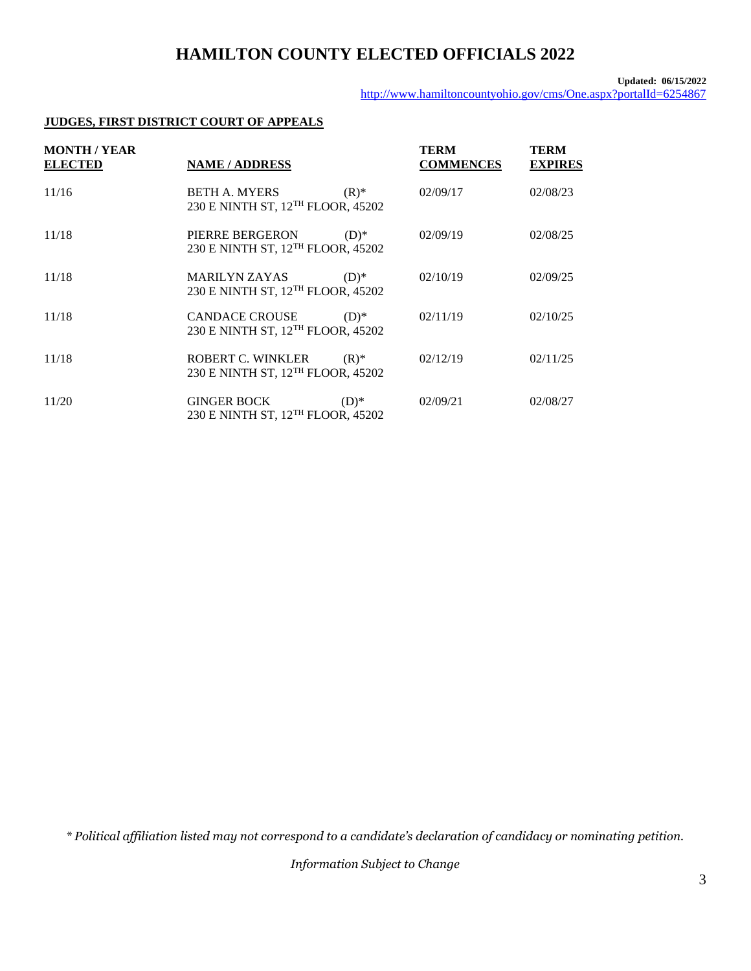#### **Updated: 06/15/2022**

<http://www.hamiltoncountyohio.gov/cms/One.aspx?portalId=6254867>

### **JUDGES, FIRST DISTRICT COURT OF APPEALS**

| <b>MONTH / YEAR</b><br><b>ELECTED</b> | <b>NAME/ADDRESS</b>                                                    |         | <b>TERM</b><br><b>COMMENCES</b> | <b>TERM</b><br><b>EXPIRES</b> |
|---------------------------------------|------------------------------------------------------------------------|---------|---------------------------------|-------------------------------|
| 11/16                                 | <b>BETH A. MYERS</b><br>230 E NINTH ST, 12 <sup>TH</sup> FLOOR, 45202  | $(R)^*$ | 02/09/17                        | 02/08/23                      |
| 11/18                                 | PIERRE BERGERON<br>230 E NINTH ST, 12 <sup>TH</sup> FLOOR, 45202       | $(D)*$  | 02/09/19                        | 02/08/25                      |
| 11/18                                 | <b>MARILYN ZAYAS</b><br>230 E NINTH ST, 12 <sup>TH</sup> FLOOR, 45202  | $(D)*$  | 02/10/19                        | 02/09/25                      |
| 11/18                                 | <b>CANDACE CROUSE</b><br>230 E NINTH ST, 12 <sup>TH</sup> FLOOR, 45202 | $(D)*$  | 02/11/19                        | 02/10/25                      |
| 11/18                                 | ROBERT C. WINKLER<br>230 E NINTH ST, 12 <sup>TH</sup> FLOOR, 45202     | $(R)^*$ | 02/12/19                        | 02/11/25                      |
| 11/20                                 | <b>GINGER BOCK</b><br>230 E NINTH ST, 12 <sup>TH</sup> FLOOR, 45202    | $(D)*$  | 02/09/21                        | 02/08/27                      |

*\* Political affiliation listed may not correspond to a candidate's declaration of candidacy or nominating petition.*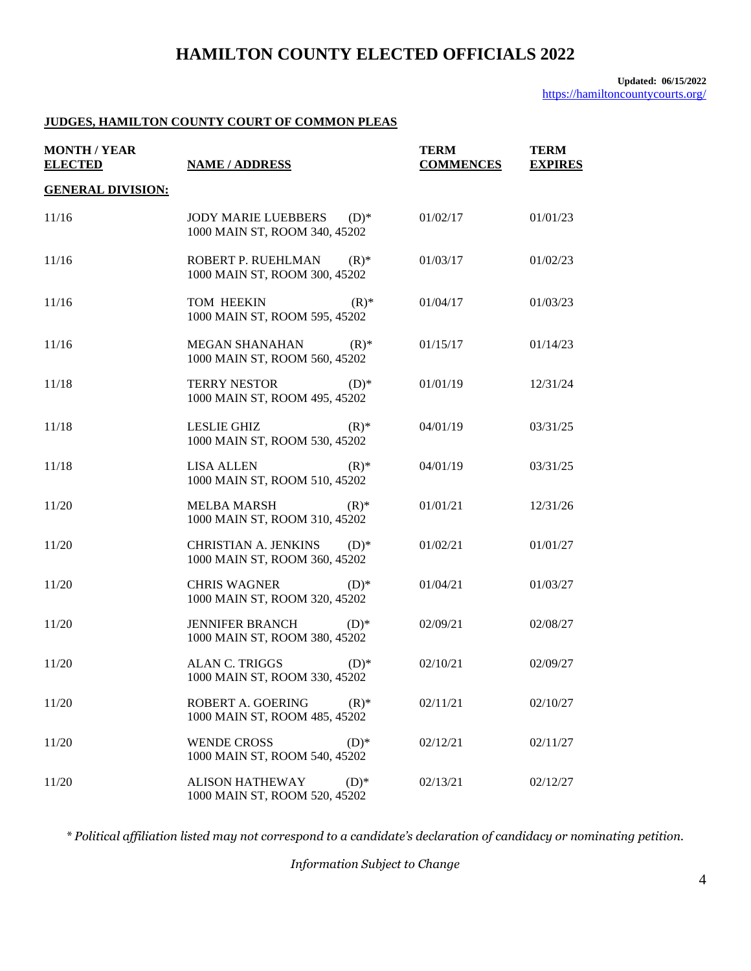#### **JUDGES, HAMILTON COUNTY COURT OF COMMON PLEAS**

| <b>MONTH / YEAR</b><br><b>ELECTED</b> | <b>NAME / ADDRESS</b>                                                  | <b>TERM</b><br><b>COMMENCES</b> | <b>TERM</b><br><b>EXPIRES</b> |
|---------------------------------------|------------------------------------------------------------------------|---------------------------------|-------------------------------|
| <b>GENERAL DIVISION:</b>              |                                                                        |                                 |                               |
| 11/16                                 | <b>JODY MARIE LUEBBERS</b><br>$(D)*$<br>1000 MAIN ST, ROOM 340, 45202  | 01/02/17                        | 01/01/23                      |
| 11/16                                 | ROBERT P. RUEHLMAN<br>$(R)^*$<br>1000 MAIN ST, ROOM 300, 45202         | 01/03/17                        | 01/02/23                      |
| 11/16                                 | TOM HEEKIN<br>$(R)^*$<br>1000 MAIN ST, ROOM 595, 45202                 | 01/04/17                        | 01/03/23                      |
| 11/16                                 | <b>MEGAN SHANAHAN</b><br>$(R)^*$<br>1000 MAIN ST, ROOM 560, 45202      | 01/15/17                        | 01/14/23                      |
| 11/18                                 | <b>TERRY NESTOR</b><br>$(D)$ *<br>1000 MAIN ST, ROOM 495, 45202        | 01/01/19                        | 12/31/24                      |
| 11/18                                 | <b>LESLIE GHIZ</b><br>$(R)$ *<br>1000 MAIN ST, ROOM 530, 45202         | 04/01/19                        | 03/31/25                      |
| 11/18                                 | <b>LISA ALLEN</b><br>$(R)$ *<br>1000 MAIN ST, ROOM 510, 45202          | 04/01/19                        | 03/31/25                      |
| 11/20                                 | <b>MELBA MARSH</b><br>$(R)$ *<br>1000 MAIN ST, ROOM 310, 45202         | 01/01/21                        | 12/31/26                      |
| 11/20                                 | <b>CHRISTIAN A. JENKINS</b><br>$(D)*$<br>1000 MAIN ST, ROOM 360, 45202 | 01/02/21                        | 01/01/27                      |
| 11/20                                 | <b>CHRIS WAGNER</b><br>$(D)*$<br>1000 MAIN ST, ROOM 320, 45202         | 01/04/21                        | 01/03/27                      |
| 11/20                                 | <b>JENNIFER BRANCH</b><br>$(D)*$<br>1000 MAIN ST, ROOM 380, 45202      | 02/09/21                        | 02/08/27                      |
| 11/20                                 | <b>ALAN C. TRIGGS</b><br>$(D)*$<br>1000 MAIN ST, ROOM 330, 45202       | 02/10/21                        | 02/09/27                      |
| 11/20                                 | ROBERT A. GOERING<br>$(R)^*$<br>1000 MAIN ST, ROOM 485, 45202          | 02/11/21                        | 02/10/27                      |
| 11/20                                 | <b>WENDE CROSS</b><br>$(D)*$<br>1000 MAIN ST, ROOM 540, 45202          | 02/12/21                        | 02/11/27                      |
| 11/20                                 | <b>ALISON HATHEWAY</b><br>$(D)*$<br>1000 MAIN ST, ROOM 520, 45202      | 02/13/21                        | 02/12/27                      |

*\* Political affiliation listed may not correspond to a candidate's declaration of candidacy or nominating petition.*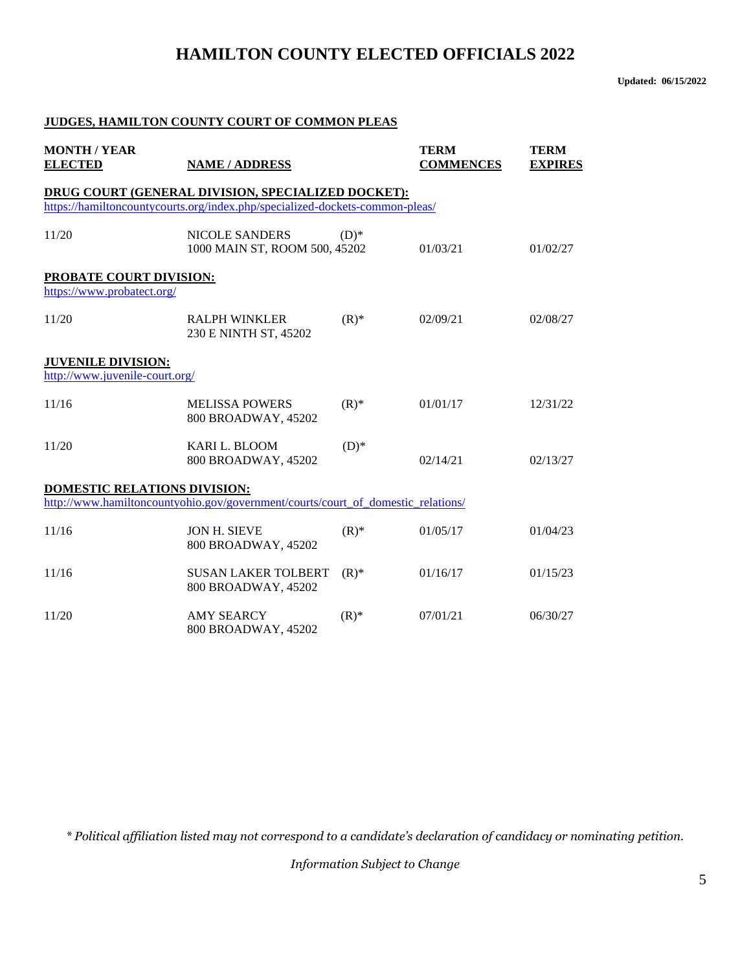**Updated: 06/15/2022**

#### **JUDGES, HAMILTON COUNTY COURT OF COMMON PLEAS**

| <b>MONTH / YEAR</b><br><b>ELECTED</b>                                                                                              | <b>NAME / ADDRESS</b>                                                            | <b>TERM</b><br><b>COMMENCES</b> | <b>TERM</b><br><b>EXPIRES</b> |          |  |  |  |
|------------------------------------------------------------------------------------------------------------------------------------|----------------------------------------------------------------------------------|---------------------------------|-------------------------------|----------|--|--|--|
| DRUG COURT (GENERAL DIVISION, SPECIALIZED DOCKET):<br>https://hamiltoncountycourts.org/index.php/specialized-dockets-common-pleas/ |                                                                                  |                                 |                               |          |  |  |  |
| 11/20                                                                                                                              | <b>NICOLE SANDERS</b><br>1000 MAIN ST, ROOM 500, 45202                           | $(D)*$                          | 01/03/21                      | 01/02/27 |  |  |  |
| <b>PROBATE COURT DIVISION:</b><br>https://www.probatect.org/                                                                       |                                                                                  |                                 |                               |          |  |  |  |
| 11/20                                                                                                                              | <b>RALPH WINKLER</b><br>230 E NINTH ST, 45202                                    | $(R)$ *                         | 02/09/21                      | 02/08/27 |  |  |  |
| <b>JUVENILE DIVISION:</b><br>http://www.juvenile-court.org/                                                                        |                                                                                  |                                 |                               |          |  |  |  |
| 11/16                                                                                                                              | <b>MELISSA POWERS</b><br>800 BROADWAY, 45202                                     | $(R)$ *                         | 01/01/17                      | 12/31/22 |  |  |  |
| 11/20                                                                                                                              | <b>KARI L. BLOOM</b><br>800 BROADWAY, 45202                                      | $(D)*$                          | 02/14/21                      | 02/13/27 |  |  |  |
| DOMESTIC RELATIONS DIVISION:                                                                                                       |                                                                                  |                                 |                               |          |  |  |  |
|                                                                                                                                    | http://www.hamiltoncountyohio.gov/government/courts/court_of_domestic_relations/ |                                 |                               |          |  |  |  |
| 11/16                                                                                                                              | <b>JON H. SIEVE</b><br>800 BROADWAY, 45202                                       | $(R)$ *                         | 01/05/17                      | 01/04/23 |  |  |  |
| 11/16                                                                                                                              | <b>SUSAN LAKER TOLBERT</b><br>800 BROADWAY, 45202                                | $(R)$ *                         | 01/16/17                      | 01/15/23 |  |  |  |
| 11/20                                                                                                                              | <b>AMY SEARCY</b><br>800 BROADWAY, 45202                                         | $(R)$ *                         | 07/01/21                      | 06/30/27 |  |  |  |

*\* Political affiliation listed may not correspond to a candidate's declaration of candidacy or nominating petition.*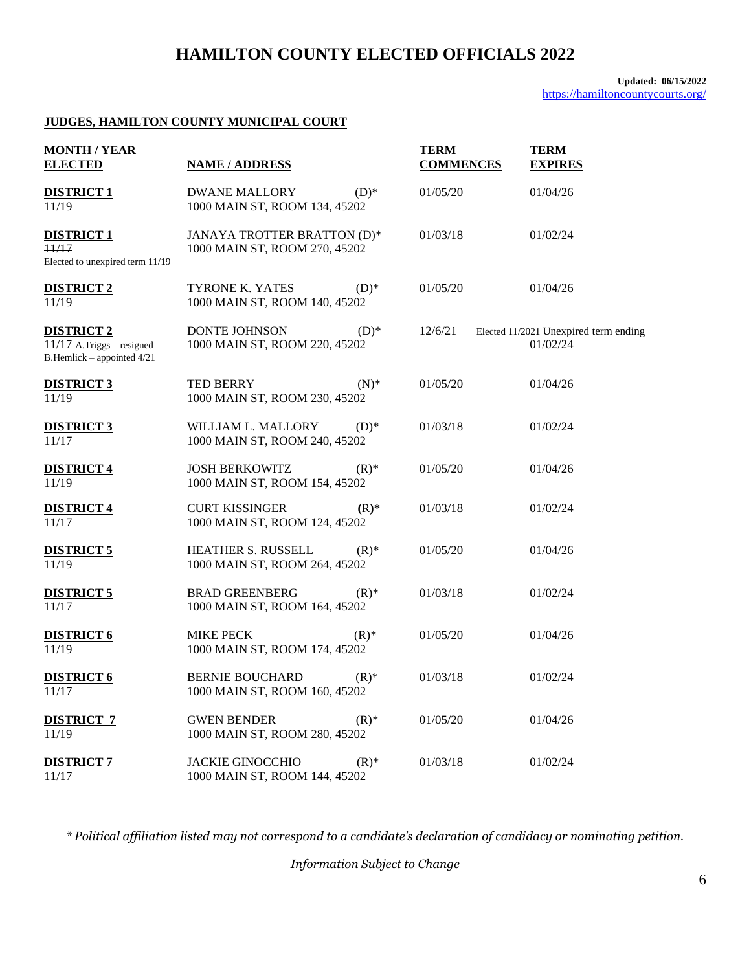#### **Updated: 06/15/2022** <https://hamiltoncountycourts.org/>

#### **JUDGES, HAMILTON COUNTY MUNICIPAL COURT**

| <b>MONTH / YEAR</b><br><b>ELECTED</b>                                        | <b>NAME / ADDRESS</b>                                        |         | TERM<br><b>COMMENCES</b> | <b>TERM</b><br><b>EXPIRES</b>                     |  |
|------------------------------------------------------------------------------|--------------------------------------------------------------|---------|--------------------------|---------------------------------------------------|--|
| <b>DISTRICT 1</b><br>11/19                                                   | <b>DWANE MALLORY</b><br>1000 MAIN ST, ROOM 134, 45202        | $(D)*$  | 01/05/20                 | 01/04/26                                          |  |
| <b>DISTRICT 1</b><br>11/17<br>Elected to unexpired term 11/19                | JANAYA TROTTER BRATTON (D)*<br>1000 MAIN ST, ROOM 270, 45202 |         | 01/03/18                 | 01/02/24                                          |  |
| <b>DISTRICT 2</b><br>11/19                                                   | TYRONE K. YATES<br>1000 MAIN ST, ROOM 140, 45202             | $(D)$ * | 01/05/20                 | 01/04/26                                          |  |
| <b>DISTRICT 2</b><br>11/17 A.Triggs - resigned<br>B.Hemlick - appointed 4/21 | <b>DONTE JOHNSON</b><br>1000 MAIN ST, ROOM 220, 45202        | $(D)$ * | 12/6/21                  | Elected 11/2021 Unexpired term ending<br>01/02/24 |  |
| <b>DISTRICT 3</b><br>11/19                                                   | TED BERRY<br>1000 MAIN ST, ROOM 230, 45202                   | $(N)^*$ | 01/05/20                 | 01/04/26                                          |  |
| <b>DISTRICT 3</b><br>11/17                                                   | WILLIAM L. MALLORY<br>1000 MAIN ST, ROOM 240, 45202          | $(D)*$  | 01/03/18                 | 01/02/24                                          |  |
| <b>DISTRICT 4</b><br>11/19                                                   | <b>JOSH BERKOWITZ</b><br>1000 MAIN ST, ROOM 154, 45202       | $(R)^*$ | 01/05/20                 | 01/04/26                                          |  |
| <b>DISTRICT 4</b><br>11/17                                                   | <b>CURT KISSINGER</b><br>1000 MAIN ST, ROOM 124, 45202       | $(R)$ * | 01/03/18                 | 01/02/24                                          |  |
| <b>DISTRICT 5</b><br>11/19                                                   | HEATHER S. RUSSELL<br>1000 MAIN ST, ROOM 264, 45202          | $(R)^*$ | 01/05/20                 | 01/04/26                                          |  |
| <b>DISTRICT 5</b><br>11/17                                                   | <b>BRAD GREENBERG</b><br>1000 MAIN ST, ROOM 164, 45202       | $(R)^*$ | 01/03/18                 | 01/02/24                                          |  |
| <b>DISTRICT 6</b><br>11/19                                                   | <b>MIKE PECK</b><br>1000 MAIN ST, ROOM 174, 45202            | $(R)$ * | 01/05/20                 | 01/04/26                                          |  |
| <b>DISTRICT 6</b><br>11/17                                                   | <b>BERNIE BOUCHARD</b><br>1000 MAIN ST, ROOM 160, 45202      | $(R)^*$ | 01/03/18                 | 01/02/24                                          |  |
| <b>DISTRICT 7</b><br>11/19                                                   | <b>GWEN BENDER</b><br>1000 MAIN ST, ROOM 280, 45202          | $(R)^*$ | 01/05/20                 | 01/04/26                                          |  |
| <b>DISTRICT 7</b><br>11/17                                                   | <b>JACKIE GINOCCHIO</b><br>1000 MAIN ST, ROOM 144, 45202     | $(R)^*$ | 01/03/18                 | 01/02/24                                          |  |

*\* Political affiliation listed may not correspond to a candidate's declaration of candidacy or nominating petition.*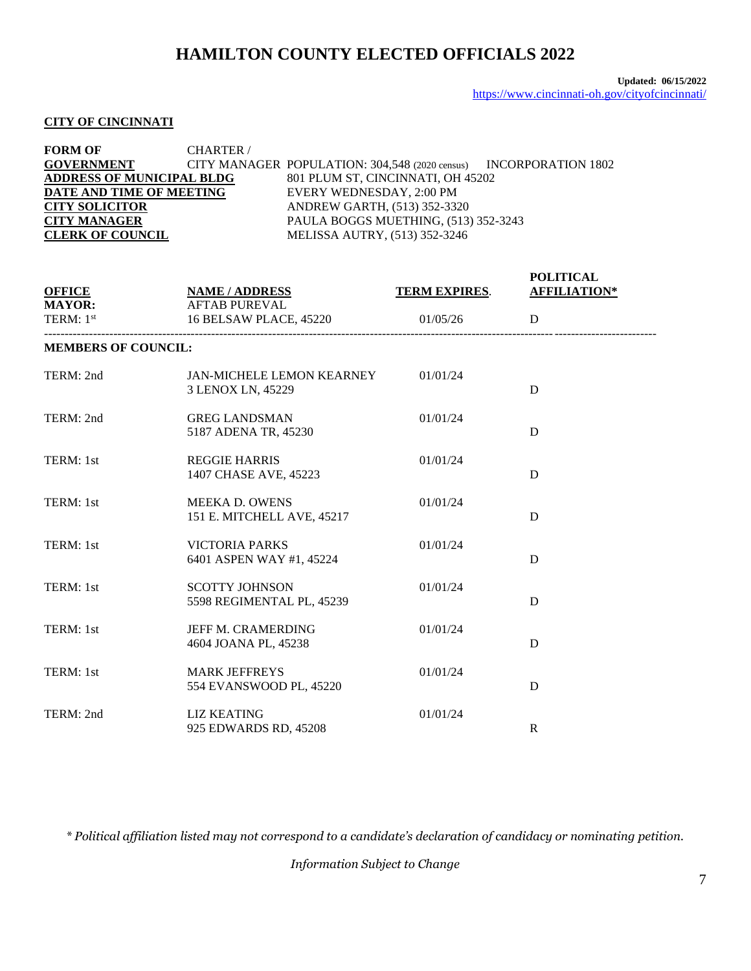#### **CITY OF CINCINNATI**

| <b>FORM OF</b>                   | <b>CHARTER</b> / |                                                                   |  |
|----------------------------------|------------------|-------------------------------------------------------------------|--|
| <b>GOVERNMENT</b>                |                  | CITY MANAGER POPULATION: 304,548 (2020 census) INCORPORATION 1802 |  |
| <b>ADDRESS OF MUNICIPAL BLDG</b> |                  | 801 PLUM ST, CINCINNATI, OH 45202                                 |  |
| DATE AND TIME OF MEETING         |                  | EVERY WEDNESDAY, 2:00 PM                                          |  |
| <b>CITY SOLICITOR</b>            |                  | ANDREW GARTH, (513) 352-3320                                      |  |
| <b>CITY MANAGER</b>              |                  | PAULA BOGGS MUETHING, (513) 352-3243                              |  |
| <b>CLERK OF COUNCIL</b>          |                  | MELISSA AUTRY, (513) 352-3246                                     |  |

| <b>OFFICE</b><br><b>MAYOR:</b> | <b>NAME / ADDRESS</b><br><b>AFTAB PUREVAL</b>       | TERM EXPIRES. | <b>POLITICAL</b><br><b>AFFILIATION*</b> |
|--------------------------------|-----------------------------------------------------|---------------|-----------------------------------------|
| TERM: 1st                      | 16 BELSAW PLACE, 45220                              | 01/05/26      | D                                       |
| <b>MEMBERS OF COUNCIL:</b>     |                                                     |               |                                         |
| TERM: 2nd                      | JAN-MICHELE LEMON KEARNEY<br>3 LENOX LN, 45229      | 01/01/24      | D                                       |
| TERM: 2nd                      | <b>GREG LANDSMAN</b><br>5187 ADENA TR, 45230        | 01/01/24      | D                                       |
| TERM: 1st                      | <b>REGGIE HARRIS</b><br>1407 CHASE AVE, 45223       | 01/01/24      | D                                       |
| TERM: 1st                      | <b>MEEKA D. OWENS</b><br>151 E. MITCHELL AVE, 45217 | 01/01/24      | D                                       |
| TERM: 1st                      | <b>VICTORIA PARKS</b><br>6401 ASPEN WAY #1, 45224   | 01/01/24      | D                                       |
| TERM: 1st                      | <b>SCOTTY JOHNSON</b><br>5598 REGIMENTAL PL, 45239  | 01/01/24      | D                                       |
| TERM: 1st                      | <b>JEFF M. CRAMERDING</b><br>4604 JOANA PL, 45238   | 01/01/24      | D                                       |
| TERM: 1st                      | <b>MARK JEFFREYS</b><br>554 EVANSWOOD PL, 45220     | 01/01/24      | D                                       |
| TERM: 2nd                      | <b>LIZ KEATING</b><br>925 EDWARDS RD, 45208         | 01/01/24      | $\mathbf{R}$                            |

*\* Political affiliation listed may not correspond to a candidate's declaration of candidacy or nominating petition.*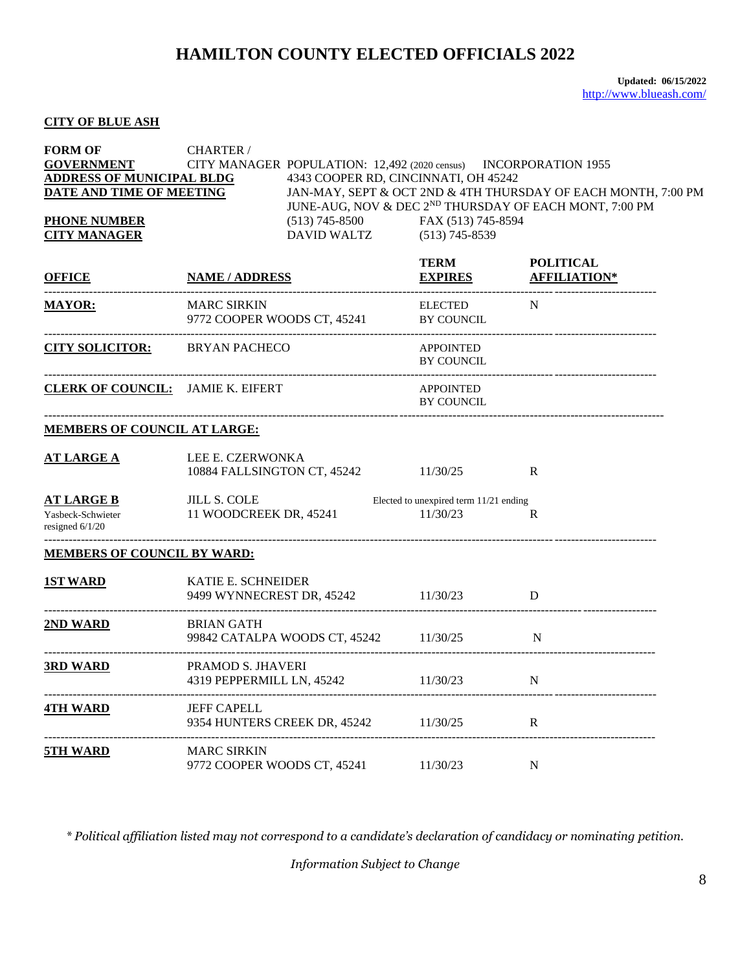#### **CITY OF BLUE ASH**

| <b>FORM OF</b><br><b>GOVERNMENT</b><br><b>ADDRESS OF MUNICIPAL BLDG</b><br>DATE AND TIME OF MEETING<br><b>PHONE NUMBER</b><br><b>CITY MANAGER</b> | CHARTER /<br>CITY MANAGER POPULATION: 12,492 (2020 census) INCORPORATION 1955<br>DAVID WALTZ (513) 745-8539 | 4343 COOPER RD, CINCINNATI, OH 45242<br>(513) 745-8500 FAX (513) 745-8594 | JAN-MAY, SEPT & OCT 2ND & 4TH THURSDAY OF EACH MONTH, 7:00 PM<br>JUNE-AUG, NOV & DEC 2ND THURSDAY OF EACH MONT, 7:00 PM |  |
|---------------------------------------------------------------------------------------------------------------------------------------------------|-------------------------------------------------------------------------------------------------------------|---------------------------------------------------------------------------|-------------------------------------------------------------------------------------------------------------------------|--|
| <b>OFFICE</b>                                                                                                                                     | <b>NAME / ADDRESS</b>                                                                                       | <b>TERM</b><br><b>EXPIRES</b>                                             | <b>POLITICAL</b><br><b>AFFILIATION*</b>                                                                                 |  |
| <b>MAYOR:</b>                                                                                                                                     | <b>MARC SIRKIN</b><br>9772 COOPER WOODS CT, 45241                                                           | <b>ELECTED</b><br>BY COUNCIL                                              | N                                                                                                                       |  |
| <b>CITY SOLICITOR:</b> BRYAN PACHECO                                                                                                              | ------------------------------------                                                                        | <b>APPOINTED</b><br><b>BY COUNCIL</b>                                     |                                                                                                                         |  |
| <b>CLERK OF COUNCIL:</b> JAMIE K. EIFERT                                                                                                          |                                                                                                             | <b>APPOINTED</b><br>BY COUNCIL                                            |                                                                                                                         |  |
| <b>MEMBERS OF COUNCIL AT LARGE:</b>                                                                                                               |                                                                                                             |                                                                           |                                                                                                                         |  |
| <b>AT LARGE A</b>                                                                                                                                 | LEE E. CZERWONKA<br>10884 FALLSINGTON CT, 45242 11/30/25                                                    |                                                                           | R                                                                                                                       |  |
| <b>AT LARGE B</b><br>Yasbeck-Schwieter<br>resigned $6/1/20$                                                                                       | <b>JILL S. COLE</b><br>11 WOODCREEK DR, 45241                                                               | Elected to unexpired term $11/21$ ending<br>11/30/23                      | $\mathbf{R}$                                                                                                            |  |
| <b>MEMBERS OF COUNCIL BY WARD:</b>                                                                                                                |                                                                                                             |                                                                           |                                                                                                                         |  |
| <b>1ST WARD</b>                                                                                                                                   | KATIE E. SCHNEIDER<br>9499 WYNNECREST DR, 45242 11/30/23                                                    |                                                                           | D                                                                                                                       |  |
| 2ND WARD                                                                                                                                          | <b>BRIAN GATH</b><br>99842 CATALPA WOODS CT, 45242 11/30/25                                                 |                                                                           | N                                                                                                                       |  |
| 3RD WARD                                                                                                                                          | PRAMOD S. JHAVERI<br>4319 PEPPERMILL LN, 45242 11/30/23                                                     |                                                                           | $\mathbf N$                                                                                                             |  |
| <b>4TH WARD</b>                                                                                                                                   | <b>JEFF CAPELL</b><br>9354 HUNTERS CREEK DR, 45242 11/30/25                                                 |                                                                           | R                                                                                                                       |  |
| 5TH WARD                                                                                                                                          | <b>MARC SIRKIN</b><br>9772 COOPER WOODS CT, 45241                                                           | 11/30/23                                                                  | N                                                                                                                       |  |

*\* Political affiliation listed may not correspond to a candidate's declaration of candidacy or nominating petition.*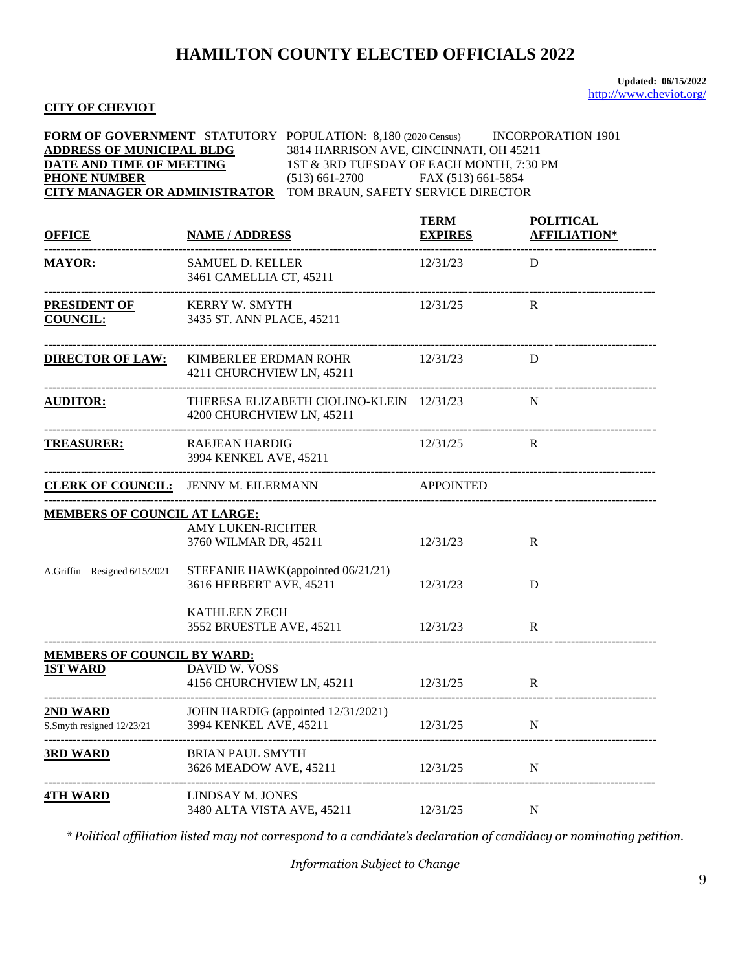**Updated: 06/15/2022** <http://www.cheviot.org/>

#### **CITY OF CHEVIOT**

| FORM OF GOVERNMENT STATUTORY POPULATION: 8,180 (2020 Census) INCORPORATION 1901<br><b>ADDRESS OF MUNICIPAL BLDG</b><br>3814 HARRISON AVE, CINCINNATI, OH 45211<br>DATE AND TIME OF MEETING<br>1ST & 3RD TUESDAY OF EACH MONTH, 7:30 PM<br><b>PHONE NUMBER</b><br>$(513) 661-2700$ FAX $(513) 661-5854$<br><b>CITY MANAGER OR ADMINISTRATOR</b><br>TOM BRAUN, SAFETY SERVICE DIRECTOR |                                                                       |                               |                                         |  |
|--------------------------------------------------------------------------------------------------------------------------------------------------------------------------------------------------------------------------------------------------------------------------------------------------------------------------------------------------------------------------------------|-----------------------------------------------------------------------|-------------------------------|-----------------------------------------|--|
| <b>OFFICE</b>                                                                                                                                                                                                                                                                                                                                                                        | <b>NAME / ADDRESS</b>                                                 | <b>TERM</b><br><b>EXPIRES</b> | <b>POLITICAL</b><br><b>AFFILIATION*</b> |  |
| <b>MAYOR:</b><br>-------------------------------                                                                                                                                                                                                                                                                                                                                     | <b>SAMUEL D. KELLER</b><br>3461 CAMELLIA CT, 45211                    | 12/31/23                      | D                                       |  |
| <b>PRESIDENT OF</b><br><b>COUNCIL:</b>                                                                                                                                                                                                                                                                                                                                               | KERRY W. SMYTH<br>3435 ST. ANN PLACE, 45211                           | 12/31/25                      | R                                       |  |
| <b>DIRECTOR OF LAW:</b>                                                                                                                                                                                                                                                                                                                                                              | KIMBERLEE ERDMAN ROHR 12/31/23<br>4211 CHURCHVIEW LN, 45211           |                               | D                                       |  |
| <b>AUDITOR:</b>                                                                                                                                                                                                                                                                                                                                                                      | THERESA ELIZABETH CIOLINO-KLEIN 12/31/23<br>4200 CHURCHVIEW LN, 45211 |                               | N                                       |  |
| <b>TREASURER:</b>                                                                                                                                                                                                                                                                                                                                                                    | <b>RAEJEAN HARDIG</b><br>3994 KENKEL AVE, 45211                       | 12/31/25                      | R                                       |  |
|                                                                                                                                                                                                                                                                                                                                                                                      | <b>CLERK OF COUNCIL:</b> JENNY M. EILERMANN APPOINTED                 |                               |                                         |  |
| <b>MEMBERS OF COUNCIL AT LARGE:</b>                                                                                                                                                                                                                                                                                                                                                  |                                                                       |                               |                                         |  |
|                                                                                                                                                                                                                                                                                                                                                                                      | <b>AMY LUKEN-RICHTER</b><br>3760 WILMAR DR, 45211                     | 12/31/23                      | $\mathbf R$                             |  |
| A.Griffin - Resigned 6/15/2021                                                                                                                                                                                                                                                                                                                                                       | STEFANIE HAWK (appointed 06/21/21)<br>3616 HERBERT AVE, 45211         | 12/31/23                      | D                                       |  |
|                                                                                                                                                                                                                                                                                                                                                                                      | <b>KATHLEEN ZECH</b><br>3552 BRUESTLE AVE, 45211                      | 12/31/23                      | $\mathbf{R}$                            |  |
| MEMBERS OF COUNCIL BY WARD:                                                                                                                                                                                                                                                                                                                                                          |                                                                       |                               |                                         |  |
| <b>1ST WARD</b>                                                                                                                                                                                                                                                                                                                                                                      | DAVID W. VOSS<br>4156 CHURCHVIEW LN, 45211                            | 12/31/25                      | $\mathbf R$                             |  |
| <u>2ND WARD</u><br>S.Smyth resigned 12/23/21                                                                                                                                                                                                                                                                                                                                         | JOHN HARDIG (appointed 12/31/2021)<br>3994 KENKEL AVE, 45211          | 12/31/25                      | $\mathbf N$                             |  |
| <b>3RD WARD</b>                                                                                                                                                                                                                                                                                                                                                                      | <b>BRIAN PAUL SMYTH</b><br>3626 MEADOW AVE, 45211                     | 12/31/25                      | N                                       |  |
| <u>4TH WARD</u>                                                                                                                                                                                                                                                                                                                                                                      | LINDSAY M. JONES<br>3480 ALTA VISTA AVE, 45211                        | 12/31/25                      | N                                       |  |

*\* Political affiliation listed may not correspond to a candidate's declaration of candidacy or nominating petition.*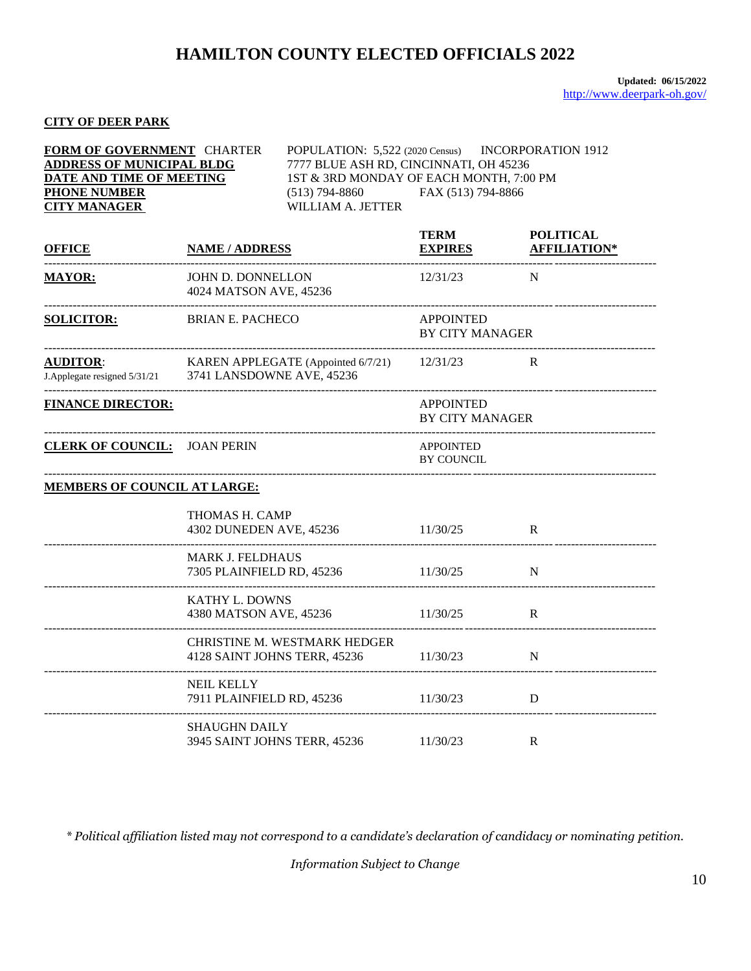### **CITY OF DEER PARK**

| FORM OF GOVERNMENT CHARTER<br><b>ADDRESS OF MUNICIPAL BLDG</b><br>DATE AND TIME OF MEETING<br><b>PHONE NUMBER</b><br><b>CITY MANAGER</b> |                                                      | POPULATION: 5,522 (2020 Census) INCORPORATION 1912<br>7777 BLUE ASH RD, CINCINNATI, OH 45236<br>1ST & 3RD MONDAY OF EACH MONTH, 7:00 PM<br>$(513)$ 794-8860<br>WILLIAM A. JETTER | FAX (513) 794-8866                         |                                         |
|------------------------------------------------------------------------------------------------------------------------------------------|------------------------------------------------------|----------------------------------------------------------------------------------------------------------------------------------------------------------------------------------|--------------------------------------------|-----------------------------------------|
| <b>OFFICE</b>                                                                                                                            | <b>NAME / ADDRESS</b>                                |                                                                                                                                                                                  | <b>TERM</b><br><b>EXPIRES</b>              | <b>POLITICAL</b><br><b>AFFILIATION*</b> |
| <b>MAYOR:</b>                                                                                                                            | JOHN D. DONNELLON<br>4024 MATSON AVE, 45236          |                                                                                                                                                                                  | 12/31/23                                   | $\mathbf N$                             |
| <b>SOLICITOR:</b>                                                                                                                        |                                                      | <b>BRIAN E. PACHECO</b>                                                                                                                                                          |                                            | <b>BY CITY MANAGER</b>                  |
| <b>AUDITOR:</b><br>J.Applegate resigned 5/31/21 3741 LANSDOWNE AVE, 45236                                                                |                                                      | KAREN APPLEGATE (Appointed $6/7/21$ ) 12/31/23                                                                                                                                   |                                            | R                                       |
| <b>FINANCE DIRECTOR:</b>                                                                                                                 |                                                      |                                                                                                                                                                                  | <b>APPOINTED</b><br><b>BY CITY MANAGER</b> |                                         |
| <b>CLERK OF COUNCIL: JOAN PERIN</b>                                                                                                      |                                                      |                                                                                                                                                                                  | <b>APPOINTED</b><br><b>BY COUNCIL</b>      |                                         |
| <b>MEMBERS OF COUNCIL AT LARGE:</b>                                                                                                      |                                                      |                                                                                                                                                                                  |                                            |                                         |
|                                                                                                                                          | THOMAS H. CAMP<br>4302 DUNEDEN AVE, 45236            |                                                                                                                                                                                  | 11/30/25                                   | R                                       |
|                                                                                                                                          | <b>MARK J. FELDHAUS</b><br>7305 PLAINFIELD RD, 45236 |                                                                                                                                                                                  | 11/30/25                                   | $\mathbf N$                             |
|                                                                                                                                          | <b>KATHY L. DOWNS</b><br>4380 MATSON AVE, 45236      |                                                                                                                                                                                  | 11/30/25                                   | R                                       |
|                                                                                                                                          | 4128 SAINT JOHNS TERR, 45236                         | CHRISTINE M. WESTMARK HEDGER                                                                                                                                                     | 11/30/23                                   | N                                       |
|                                                                                                                                          | <b>NEIL KELLY</b><br>7911 PLAINFIELD RD, 45236       |                                                                                                                                                                                  | 11/30/23                                   | D                                       |
|                                                                                                                                          | <b>SHAUGHN DAILY</b>                                 |                                                                                                                                                                                  |                                            |                                         |

*\* Political affiliation listed may not correspond to a candidate's declaration of candidacy or nominating petition.*

3945 SAINT JOHNS TERR, 45236 11/30/23 R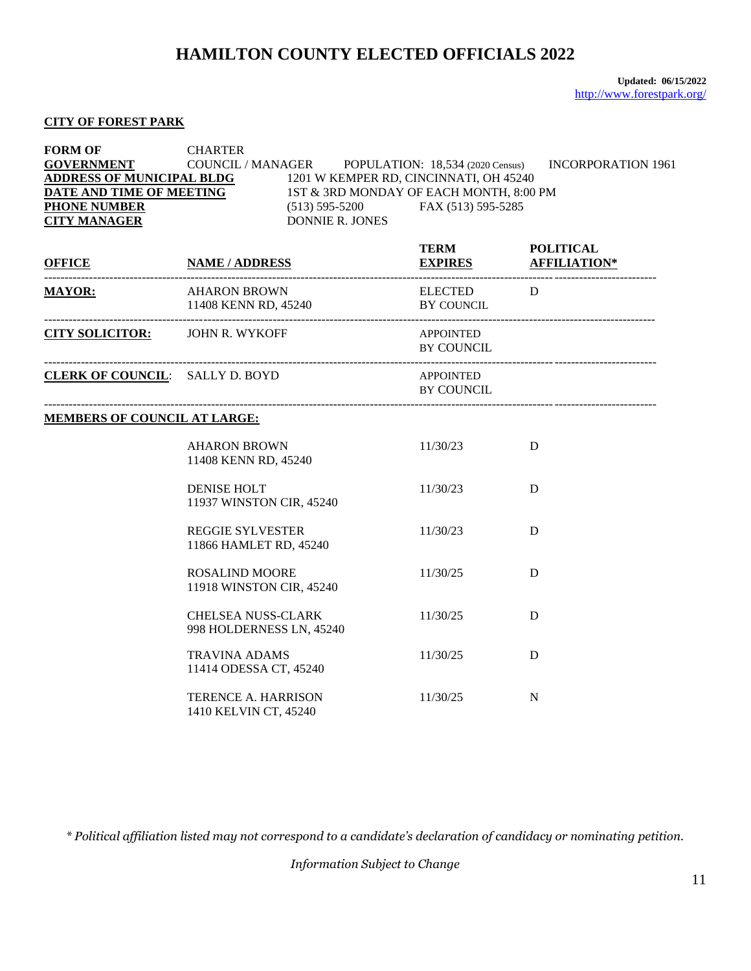### **CITY OF FOREST PARK**

| <b>FORM OF</b><br><b>PHONE NUMBER</b><br><b>CITY MANAGER</b> | <b>CHARTER</b><br><b>GOVERNMENT</b> COUNCIL / MANAGER POPULATION: 18,534 (2020 Census)<br>$\begin{array}{lll}\n \textbf{\underline{ADDRESS OF MUNICIPAL BLDG}} & 1201 \text{ W KEMPER RD, CINCINNATI, OH 45240}\\ \textbf{\underline{DATE} AND TIME OF MEETING} & 1ST & 3RD MONDAY OF EACH MONTH, 8:00 PM}\\ \textbf{\underline{PHONE NUMBER}} & (513) 595-5200 & FAX (513) 595-5285\n \end{array}$<br>$(513) 595 - 5200$ FAX $(513) 595 - 5285$<br><b>DONNIE R. JONES</b> |                                            | <b>INCORPORATION 1961</b> |
|--------------------------------------------------------------|----------------------------------------------------------------------------------------------------------------------------------------------------------------------------------------------------------------------------------------------------------------------------------------------------------------------------------------------------------------------------------------------------------------------------------------------------------------------------|--------------------------------------------|---------------------------|
| <b>OFFICE</b>                                                | <b>NAME / ADDRESS</b>                                                                                                                                                                                                                                                                                                                                                                                                                                                      | <b>TERM</b><br><b>EXPIRES AFFILIATION*</b> | <b>POLITICAL</b>          |
| <b>MAYOR:</b>                                                | <b>AHARON BROWN</b><br>11408 KENN RD, 45240                                                                                                                                                                                                                                                                                                                                                                                                                                | ELECTED D<br>BY COUNCIL                    |                           |
|                                                              | CITY SOLICITOR: JOHN R. WYKOFF                                                                                                                                                                                                                                                                                                                                                                                                                                             | APPOINTED<br><b>BY COUNCIL</b>             |                           |
| <b>CLERK OF COUNCIL:</b> SALLY D. BOYD                       |                                                                                                                                                                                                                                                                                                                                                                                                                                                                            | APPOINTED<br><b>BY COUNCIL</b>             |                           |
| <b>MEMBERS OF COUNCIL AT LARGE:</b>                          |                                                                                                                                                                                                                                                                                                                                                                                                                                                                            |                                            |                           |
|                                                              | <b>AHARON BROWN</b><br>11408 KENN RD, 45240                                                                                                                                                                                                                                                                                                                                                                                                                                | 11/30/23                                   | D                         |
|                                                              | <b>DENISE HOLT</b><br>11937 WINSTON CIR, 45240                                                                                                                                                                                                                                                                                                                                                                                                                             | 11/30/23                                   | D                         |
|                                                              | <b>REGGIE SYLVESTER</b><br>11866 HAMLET RD, 45240                                                                                                                                                                                                                                                                                                                                                                                                                          | 11/30/23                                   | D                         |
|                                                              | <b>ROSALIND MOORE</b><br>11918 WINSTON CIR, 45240                                                                                                                                                                                                                                                                                                                                                                                                                          | 11/30/25                                   | D                         |
|                                                              | <b>CHELSEA NUSS-CLARK</b><br>998 HOLDERNESS LN, 45240                                                                                                                                                                                                                                                                                                                                                                                                                      | 11/30/25                                   | D                         |
|                                                              | <b>TRAVINA ADAMS</b><br>11414 ODESSA CT, 45240                                                                                                                                                                                                                                                                                                                                                                                                                             | 11/30/25                                   | D                         |
|                                                              | TERENCE A. HARRISON<br>1410 KELVIN CT, 45240                                                                                                                                                                                                                                                                                                                                                                                                                               | 11/30/25                                   | N                         |

*\* Political affiliation listed may not correspond to a candidate's declaration of candidacy or nominating petition.*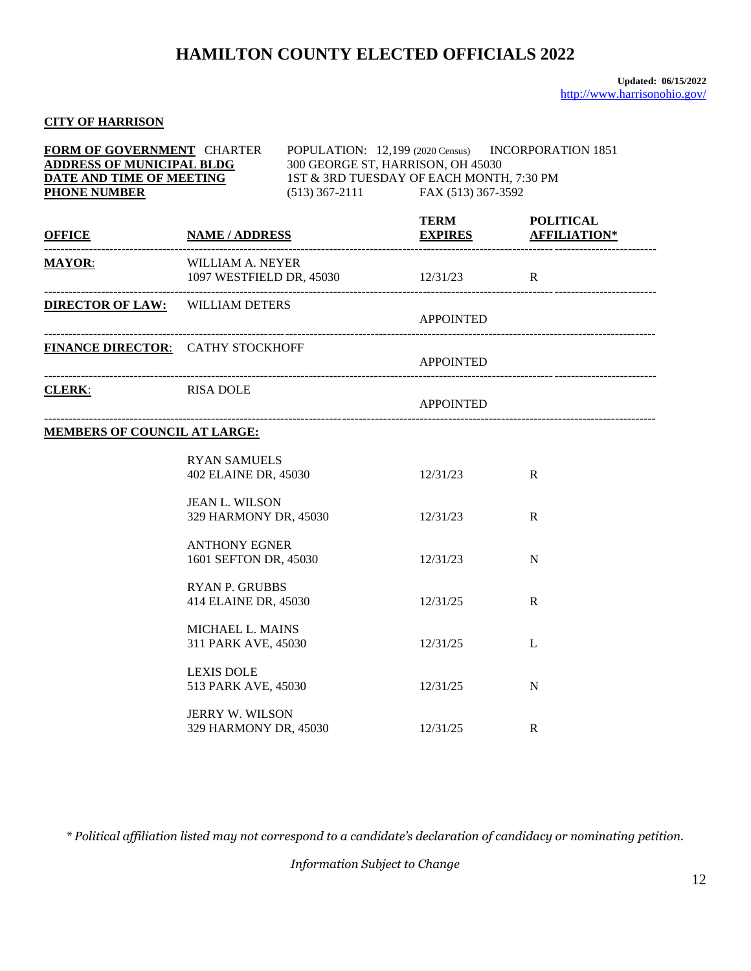### **CITY OF HARRISON**

| FORM OF GOVERNMENT CHARTER<br>$\underbrace{\textbf{ADDRESS OF MUNICIPAL BLDG}}_{\textbf{DATE} \textbf{AND TIME OF MEETING}} \qquad \begin{array}{c} 300 \text{ GEORGE ST, HARRISON, OH 45030} \\ 1 \text{ST & 3 \text{RD TUESDAY OF EACH MONTH, 7:30 PM} \end{array}$<br><b>PHONE NUMBER</b> |                                                         | $(513)$ 367-2111 FAX (513) 367-3592 | POPULATION: 12,199 (2020 Census) INCORPORATION 1851 |             |
|----------------------------------------------------------------------------------------------------------------------------------------------------------------------------------------------------------------------------------------------------------------------------------------------|---------------------------------------------------------|-------------------------------------|-----------------------------------------------------|-------------|
| <b>OFFICE</b>                                                                                                                                                                                                                                                                                |                                                         | <u>EXPIRES AFFILIATION*</u>         | <b>TERM</b>                                         | POLITICAL   |
| <b>MAYOR:</b>                                                                                                                                                                                                                                                                                | WILLIAM A. NEYER<br>1097 WESTFIELD DR, 45030 12/31/23 R |                                     | ----------------------------                        |             |
| <b>DIRECTOR OF LAW: WILLIAM DETERS</b>                                                                                                                                                                                                                                                       |                                                         |                                     | <b>APPOINTED</b>                                    |             |
| FINANCE DIRECTOR: CATHY STOCKHOFF                                                                                                                                                                                                                                                            |                                                         |                                     | APPOINTED                                           |             |
| <b>CLERK:</b>                                                                                                                                                                                                                                                                                | <b>RISA DOLE</b>                                        |                                     | <b>APPOINTED</b>                                    |             |
| <b>MEMBERS OF COUNCIL AT LARGE:</b>                                                                                                                                                                                                                                                          |                                                         |                                     |                                                     |             |
|                                                                                                                                                                                                                                                                                              | <b>RYAN SAMUELS</b><br>402 ELAINE DR, 45030             |                                     | 12/31/23                                            | R           |
|                                                                                                                                                                                                                                                                                              | <b>JEAN L. WILSON</b><br>329 HARMONY DR, 45030          |                                     | 12/31/23                                            | R           |
|                                                                                                                                                                                                                                                                                              | <b>ANTHONY EGNER</b><br>1601 SEFTON DR, 45030           |                                     | 12/31/23                                            | $\mathbf N$ |
|                                                                                                                                                                                                                                                                                              | <b>RYAN P. GRUBBS</b><br>414 ELAINE DR, 45030           |                                     | 12/31/25                                            | $\mathbf R$ |
|                                                                                                                                                                                                                                                                                              | MICHAEL L. MAINS<br>311 PARK AVE, 45030                 |                                     | 12/31/25                                            | L           |
|                                                                                                                                                                                                                                                                                              | <b>LEXIS DOLE</b><br>513 PARK AVE, 45030                |                                     | 12/31/25                                            | N           |
|                                                                                                                                                                                                                                                                                              | JERRY W. WILSON<br>329 HARMONY DR, 45030                |                                     | 12/31/25                                            | R           |

*\* Political affiliation listed may not correspond to a candidate's declaration of candidacy or nominating petition.*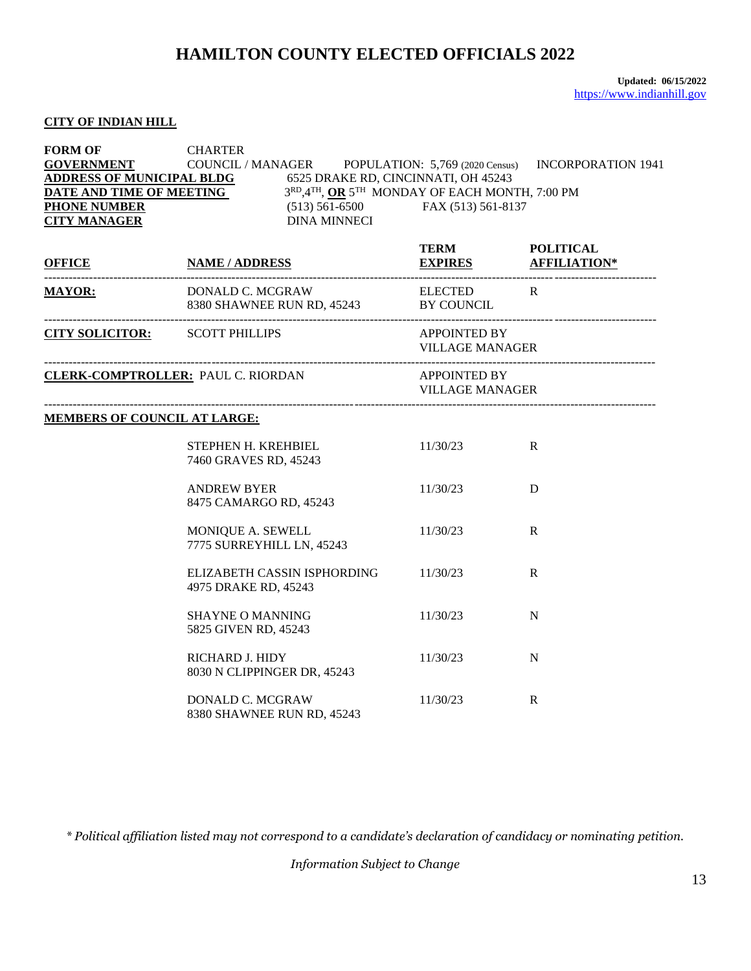#### **CITY OF INDIAN HILL**

| <b>FORM OF</b><br><b>PHONE NUMBER</b><br><b>CITY MANAGER</b> | <b>CHARTER</b><br><b>GOVERNMENT</b> COUNCIL / MANAGER POPULATION: 5,769 (2020 Census)<br><b>ADDRESS OF MUNICIPAL BLDG</b><br><b>EXECUTE AND TIME OF MEETING</b><br><b>EXECUTE AND TIME OF MEETING</b><br><b>EXECUTE AND TIME OF MEETING</b><br>(513) 561-6500<br><b>EXECUTE AND TIME OF MEETING</b><br>(513) 561-6500<br><b>EXECUTE AND TIME OF MEETING</b><br>$(513) 561-6500$ FAX $(513) 561-8137$<br><b>DINA MINNECI</b> |                                               | <b>INCORPORATION 1941</b> |  |
|--------------------------------------------------------------|-----------------------------------------------------------------------------------------------------------------------------------------------------------------------------------------------------------------------------------------------------------------------------------------------------------------------------------------------------------------------------------------------------------------------------|-----------------------------------------------|---------------------------|--|
| <b>OFFICE</b>                                                | <b>NAME / ADDRESS</b>                                                                                                                                                                                                                                                                                                                                                                                                       | TERM POLITICAL<br>EXPIRES AFFILIATION*        |                           |  |
|                                                              | MAYOR: DONALD C. MCGRAW ELECTED R<br>8380 SHAWNEE RUN RD, 45243 BY COUNCIL                                                                                                                                                                                                                                                                                                                                                  |                                               |                           |  |
|                                                              | <b>CITY SOLICITOR:</b> SCOTT PHILLIPS                                                                                                                                                                                                                                                                                                                                                                                       | APPOINTED BY                                  | <b>VILLAGE MANAGER</b>    |  |
| <b>CLERK-COMPTROLLER: PAUL C. RIORDAN</b>                    |                                                                                                                                                                                                                                                                                                                                                                                                                             | <b>APPOINTED BY</b><br><b>VILLAGE MANAGER</b> |                           |  |
| <b>MEMBERS OF COUNCIL AT LARGE:</b>                          |                                                                                                                                                                                                                                                                                                                                                                                                                             |                                               |                           |  |
|                                                              | STEPHEN H. KREHBIEL<br>7460 GRAVES RD, 45243                                                                                                                                                                                                                                                                                                                                                                                | 11/30/23                                      | R                         |  |
|                                                              | <b>ANDREW BYER</b><br>8475 CAMARGO RD, 45243                                                                                                                                                                                                                                                                                                                                                                                | 11/30/23                                      | D                         |  |
|                                                              | MONIQUE A. SEWELL<br>7775 SURREYHILL LN, 45243                                                                                                                                                                                                                                                                                                                                                                              | 11/30/23                                      | R                         |  |
|                                                              | ELIZABETH CASSIN ISPHORDING<br>4975 DRAKE RD, 45243                                                                                                                                                                                                                                                                                                                                                                         | 11/30/23                                      | R                         |  |
|                                                              | <b>SHAYNE O MANNING</b><br>5825 GIVEN RD, 45243                                                                                                                                                                                                                                                                                                                                                                             | 11/30/23                                      | N                         |  |
|                                                              | RICHARD J. HIDY<br>8030 N CLIPPINGER DR, 45243                                                                                                                                                                                                                                                                                                                                                                              | 11/30/23                                      | N                         |  |
|                                                              | DONALD C. MCGRAW<br>8380 SHAWNEE RUN RD, 45243                                                                                                                                                                                                                                                                                                                                                                              | 11/30/23                                      | $\mathbf R$               |  |

*\* Political affiliation listed may not correspond to a candidate's declaration of candidacy or nominating petition.*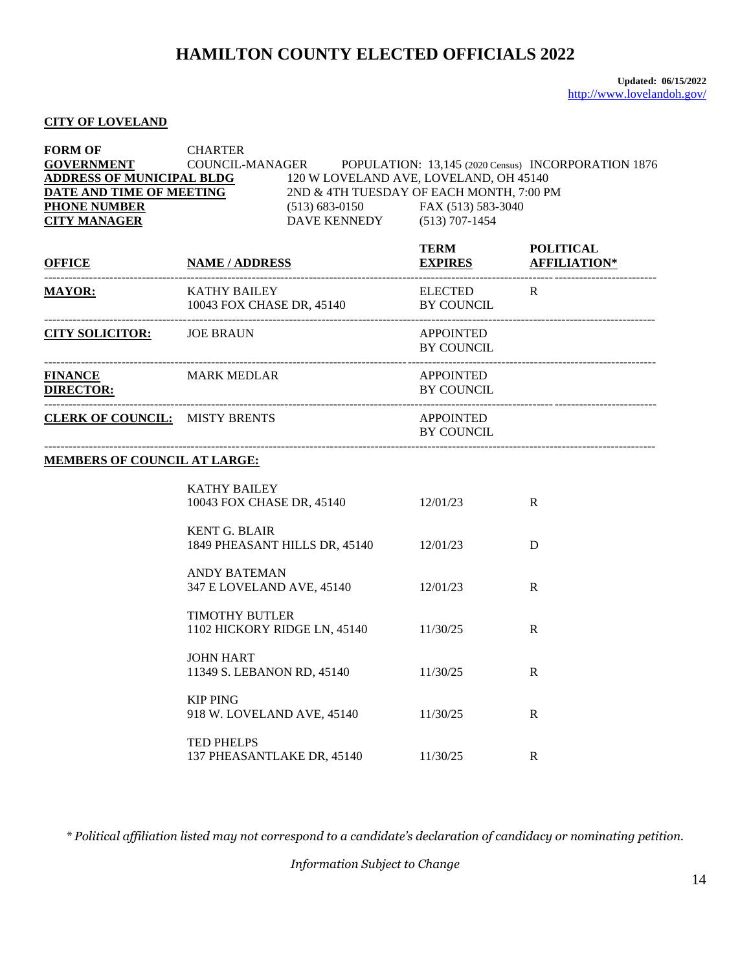#### **CITY OF LOVELAND**

| <b>FORM OF</b><br><b>GOVERNMENT</b><br><b>ADDRESS OF MUNICIPAL BLDG</b> 120 W LOVELAND AVE, LOVELAND, OH 45140<br><b>PHONE NUMBER</b><br><b>CITY MANAGER</b> | <b>CHARTER</b>                                   | (513) 683-0150 FAX (513) 583-3040<br>DAVE KENNEDY (513) 707-1454 |                                       | COUNCIL-MANAGER POPULATION: 13,145 (2020 Census) INCORPORATION 1876<br><b>DATE AND TIME OF MEETING</b> 2ND & 4TH TUESDAY OF EACH MONTH, 7:00 PM |  |
|--------------------------------------------------------------------------------------------------------------------------------------------------------------|--------------------------------------------------|------------------------------------------------------------------|---------------------------------------|-------------------------------------------------------------------------------------------------------------------------------------------------|--|
| <b>OFFICE</b>                                                                                                                                                |                                                  | <u>TERM</u> POLITICAL<br><u>EXPIRES</u> EXPIRES AFFILIATION*     |                                       |                                                                                                                                                 |  |
| <b>MAYOR:</b>                                                                                                                                                | KATHY BAILEY                                     | 10043 FOX CHASE DR, 45140 BY COUNCIL                             | ELECTED R                             |                                                                                                                                                 |  |
| <b>CITY SOLICITOR:</b> JOE BRAUN                                                                                                                             |                                                  |                                                                  | APPOINTED<br>BY COUNCIL               |                                                                                                                                                 |  |
| FINANCE MARK MEDLAR<br><b>DIRECTOR:</b>                                                                                                                      |                                                  |                                                                  | <b>APPOINTED</b><br><b>BY COUNCIL</b> |                                                                                                                                                 |  |
| <b>CLERK OF COUNCIL:</b> MISTY BRENTS                                                                                                                        |                                                  |                                                                  | APPOINTED<br>BY COUNCIL               |                                                                                                                                                 |  |
| <b>MEMBERS OF COUNCIL AT LARGE:</b>                                                                                                                          |                                                  |                                                                  |                                       |                                                                                                                                                 |  |
|                                                                                                                                                              | <b>KATHY BAILEY</b><br>10043 FOX CHASE DR, 45140 |                                                                  | 12/01/23                              | $\mathbf{R}$                                                                                                                                    |  |
|                                                                                                                                                              | <b>KENT G. BLAIR</b>                             | 1849 PHEASANT HILLS DR, 45140 12/01/23                           |                                       | D                                                                                                                                               |  |
|                                                                                                                                                              | <b>ANDY BATEMAN</b>                              | 347 E LOVELAND AVE, 45140 12/01/23                               |                                       | R                                                                                                                                               |  |
|                                                                                                                                                              | <b>TIMOTHY BUTLER</b>                            | 1102 HICKORY RIDGE LN, 45140 11/30/25                            |                                       | $\mathbf{R}$                                                                                                                                    |  |
|                                                                                                                                                              | <b>JOHN HART</b>                                 | 11349 S. LEBANON RD, 45140                                       | 11/30/25                              | R                                                                                                                                               |  |
|                                                                                                                                                              | <b>KIP PING</b><br>918 W. LOVELAND AVE, 45140    |                                                                  | 11/30/25                              | R                                                                                                                                               |  |
|                                                                                                                                                              | <b>TED PHELPS</b><br>137 PHEASANTLAKE DR, 45140  |                                                                  | 11/30/25                              | R                                                                                                                                               |  |

*\* Political affiliation listed may not correspond to a candidate's declaration of candidacy or nominating petition.*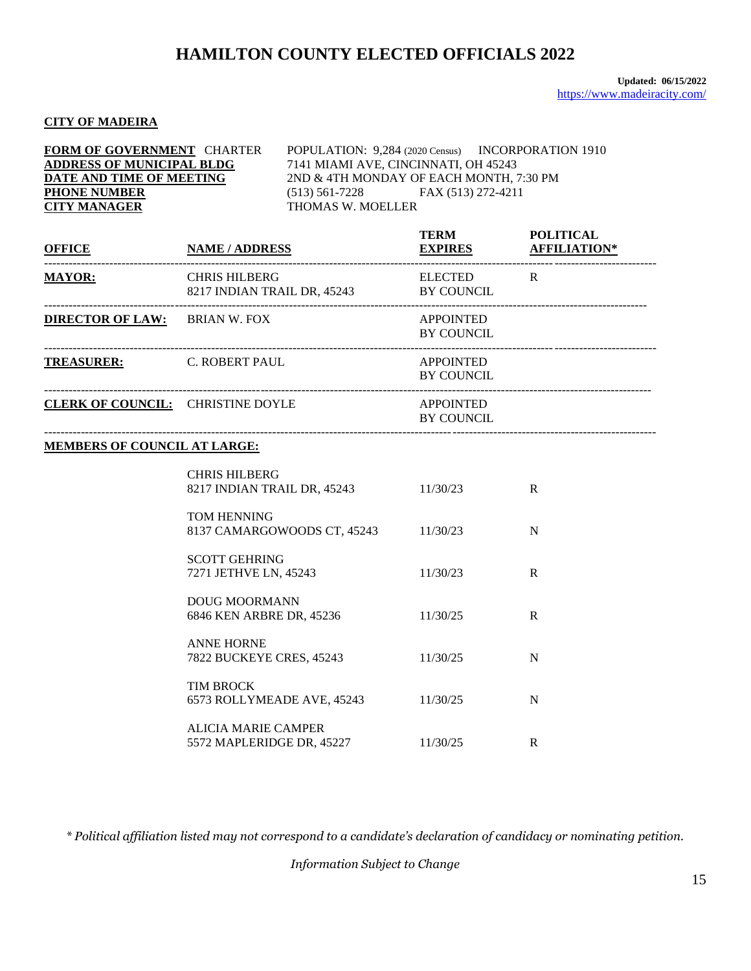#### **CITY OF MADEIRA**

| <b>FORM OF GOVERNMENT CHARTER</b> | POPULATION: 9,284 (2020 Census) INCORPORATION 1910 |
|-----------------------------------|----------------------------------------------------|
| <b>ADDRESS OF MUNICIPAL BLDG</b>  | 7141 MIAMI AVE, CINCINNATI, OH 45243               |
| DATE AND TIME OF MEETING          | 2ND & 4TH MONDAY OF EACH MONTH, 7:30 PM            |
| <b>PHONE NUMBER</b>               | FAX (513) 272-4211<br>$(513) 561 - 7228$           |
| <b>CITY MANAGER</b>               | THOMAS W. MOELLER                                  |

| <b>OFFICE</b>                     | <b>NAME / ADDRESS</b>                               | <b>TERM</b><br><b>EXPIRES</b>         | <b>POLITICAL</b><br><b>AFFILIATION*</b> |
|-----------------------------------|-----------------------------------------------------|---------------------------------------|-----------------------------------------|
| <b>MAYOR:</b>                     | <b>CHRIS HILBERG</b><br>8217 INDIAN TRAIL DR, 45243 | <b>ELECTED</b><br><b>BY COUNCIL</b>   | R                                       |
| <b>DIRECTOR OF LAW:</b>           | BRIAN W. FOX                                        | <b>APPOINTED</b><br><b>BY COUNCIL</b> |                                         |
| <b>TREASURER:</b>                 | C. ROBERT PAUL                                      | <b>APPOINTED</b><br><b>BY COUNCIL</b> |                                         |
| CLERK OF COUNCIL: CHRISTINE DOYLE |                                                     | <b>APPOINTED</b><br><b>BY COUNCIL</b> |                                         |

------------------------------------------------------------------------------------------------------------------------------------------------------

#### **MEMBERS OF COUNCIL AT LARGE:**

| <b>CHRIS HILBERG</b><br>8217 INDIAN TRAIL DR, 45243 | 11/30/23 | R |
|-----------------------------------------------------|----------|---|
| <b>TOM HENNING</b><br>8137 CAMARGOWOODS CT, 45243   | 11/30/23 | N |
| <b>SCOTT GEHRING</b><br>7271 JETHVE LN, 45243       | 11/30/23 | R |
| DOUG MOORMANN<br>6846 KEN ARBRE DR, 45236           | 11/30/25 | R |
| <b>ANNE HORNE</b><br>7822 BUCKEYE CRES, 45243       | 11/30/25 | N |
| <b>TIM BROCK</b><br>6573 ROLLYMEADE AVE, 45243      | 11/30/25 | N |
| ALICIA MARIE CAMPER<br>5572 MAPLERIDGE DR, 45227    | 11/30/25 | R |

*\* Political affiliation listed may not correspond to a candidate's declaration of candidacy or nominating petition.*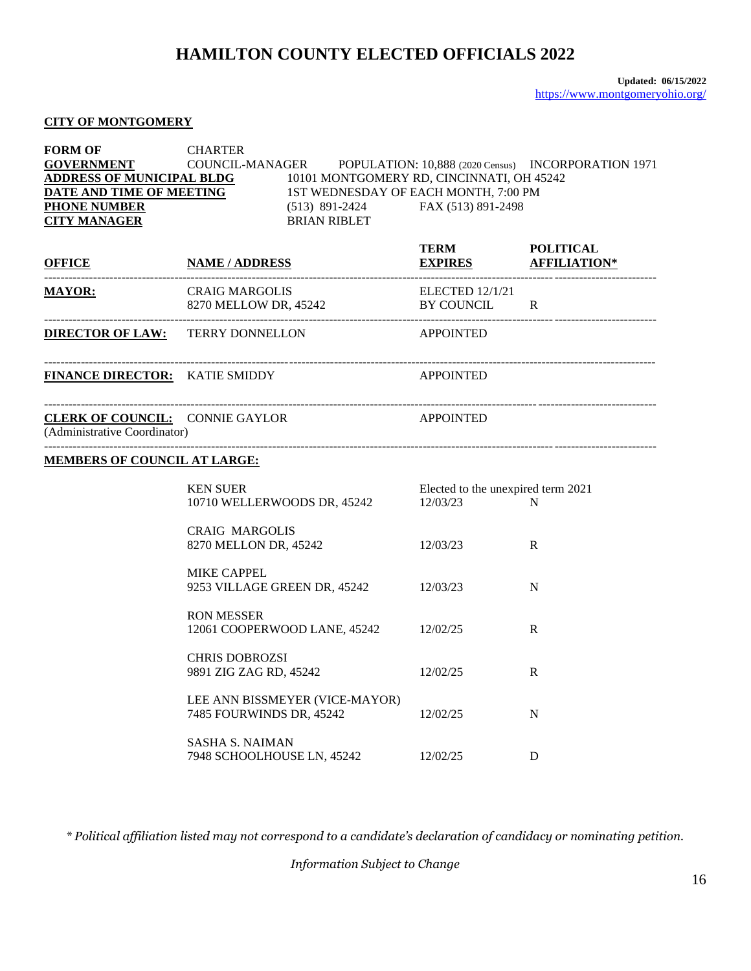#### **CITY OF MONTGOMERY**

| <b>FORM OF</b><br><b>GOVERNMENT</b><br><b>PHONE NUMBER</b><br><b>CITY MANAGER</b> | <b>CHARTER</b><br>COUNCIL-MANAGER POPULATION: 10,888 (2020 Census) INCORPORATION 1971<br>$\begin{array}{ l l }\hline \textbf{ADDRESS OF MUNICIPAL BLDG} \hline & 10101 MONTGOMERY RD, CINCINNATI, OH 45242 \\ \hline \textbf{DATE AND TIME OF MEETING} \hline & 1ST WEDNESDAY OF EACH MONTH, 7:00 PM \\ \hline \end{array}$<br>(513) 891-2424 FAX (513) 891-2498<br><b>BRIAN RIBLET</b> |                                               |              |
|-----------------------------------------------------------------------------------|-----------------------------------------------------------------------------------------------------------------------------------------------------------------------------------------------------------------------------------------------------------------------------------------------------------------------------------------------------------------------------------------|-----------------------------------------------|--------------|
| <b>OFFICE</b>                                                                     | <b>NAME / ADDRESS</b>                                                                                                                                                                                                                                                                                                                                                                   | TERM POLITICAL<br><u>EXPIRES</u> AFFILIATION* |              |
| <b>MAYOR:</b>                                                                     | <b>CRAIG MARGOLIS</b><br>8270 MELLOW DR, 45242                                                                                                                                                                                                                                                                                                                                          | <b>ELECTED 12/1/21</b><br>BY COUNCIL R        |              |
|                                                                                   | <b>DIRECTOR OF LAW:</b> TERRY DONNELLON                                                                                                                                                                                                                                                                                                                                                 | <b>APPOINTED</b>                              |              |
| <b>FINANCE DIRECTOR:</b> KATIE SMIDDY                                             |                                                                                                                                                                                                                                                                                                                                                                                         | <b>APPOINTED</b>                              |              |
| <b>CLERK OF COUNCIL: CONNIE GAYLOR</b><br>(Administrative Coordinator)            |                                                                                                                                                                                                                                                                                                                                                                                         | <b>APPOINTED</b>                              |              |
| <b>MEMBERS OF COUNCIL AT LARGE:</b>                                               |                                                                                                                                                                                                                                                                                                                                                                                         |                                               |              |
|                                                                                   | <b>KEN SUER</b><br>10710 WELLERWOODS DR, 45242 12/03/23                                                                                                                                                                                                                                                                                                                                 | Elected to the unexpired term 2021            | N            |
|                                                                                   | <b>CRAIG MARGOLIS</b><br>8270 MELLON DR, 45242                                                                                                                                                                                                                                                                                                                                          | 12/03/23                                      | $\mathbb{R}$ |
|                                                                                   | <b>MIKE CAPPEL</b><br>9253 VILLAGE GREEN DR, 45242 12/03/23                                                                                                                                                                                                                                                                                                                             |                                               | N            |
|                                                                                   | <b>RON MESSER</b><br>12061 COOPERWOOD LANE, 45242 12/02/25                                                                                                                                                                                                                                                                                                                              |                                               | R            |
|                                                                                   | <b>CHRIS DOBROZSI</b><br>9891 ZIG ZAG RD, 45242                                                                                                                                                                                                                                                                                                                                         | 12/02/25                                      | R            |
|                                                                                   | LEE ANN BISSMEYER (VICE-MAYOR)<br>7485 FOURWINDS DR, 45242                                                                                                                                                                                                                                                                                                                              | 12/02/25                                      | N            |
|                                                                                   | <b>SASHA S. NAIMAN</b><br>7948 SCHOOLHOUSE LN, 45242                                                                                                                                                                                                                                                                                                                                    | 12/02/25                                      | D            |

*\* Political affiliation listed may not correspond to a candidate's declaration of candidacy or nominating petition.*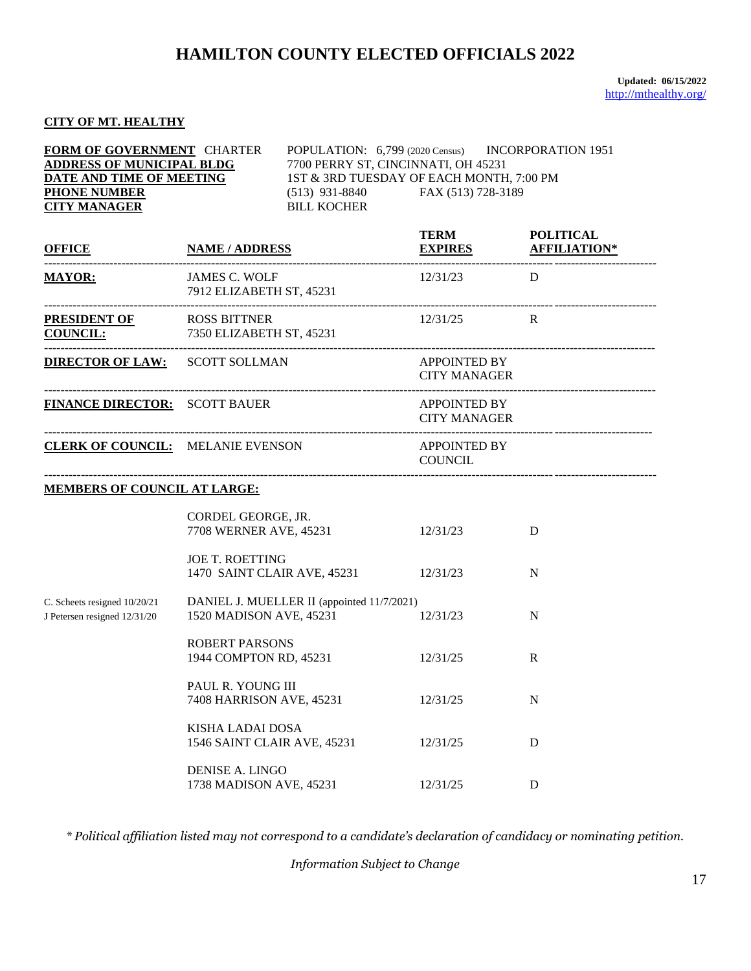**Updated: 06/15/2022** <http://mthealthy.org/>

#### **CITY OF MT. HEALTHY**

| FORM OF GOVERNMENT CHARTER<br><b>ADDRESS OF MUNICIPAL BLDG</b><br>7700 PERRY ST, CINCINNATI, OH 45231<br>DATE AND TIME OF MEETING<br><b>PHONE NUMBER</b><br><b>CITY MANAGER</b><br><b>BILL KOCHER</b> |                                                        |                                            | POPULATION: 6,799 (2020 Census) INCORPORATION 1951<br>1ST & 3RD TUESDAY OF EACH MONTH, 7:00 PM<br>$(513)$ 931-8840 FAX (513) 728-3189 |   |  |
|-------------------------------------------------------------------------------------------------------------------------------------------------------------------------------------------------------|--------------------------------------------------------|--------------------------------------------|---------------------------------------------------------------------------------------------------------------------------------------|---|--|
|                                                                                                                                                                                                       | OFFICE NAME/ADDRESS                                    |                                            | TERM POLITICAL<br><b>EXPIRES AFFILIATION*</b>                                                                                         |   |  |
| <b>MAYOR:</b>                                                                                                                                                                                         | <b>JAMES C. WOLF</b><br>7912 ELIZABETH ST, 45231       |                                            | $12/31/23$ D                                                                                                                          |   |  |
| <b>PRESIDENT OF</b> ROSS BITTNER<br>COUNCIL: 7350 ELIZABETH ST, 45231                                                                                                                                 |                                                        |                                            | 12/31/25                                                                                                                              | R |  |
| <b>DIRECTOR OF LAW: SCOTT SOLLMAN</b>                                                                                                                                                                 |                                                        |                                            | <b>APPOINTED BY</b><br><b>CITY MANAGER</b>                                                                                            |   |  |
| <b>FINANCE DIRECTOR:</b> SCOTT BAUER                                                                                                                                                                  |                                                        |                                            | <b>APPOINTED BY</b><br><b>CITY MANAGER</b>                                                                                            |   |  |
|                                                                                                                                                                                                       | <b>CLERK OF COUNCIL:</b> MELANIE EVENSON               |                                            | APPOINTED BY<br><b>COUNCIL</b>                                                                                                        |   |  |
| <b>MEMBERS OF COUNCIL AT LARGE:</b>                                                                                                                                                                   |                                                        |                                            |                                                                                                                                       |   |  |
|                                                                                                                                                                                                       | CORDEL GEORGE, JR.<br>7708 WERNER AVE, 45231           |                                            | 12/31/23                                                                                                                              | D |  |
|                                                                                                                                                                                                       | <b>JOE T. ROETTING</b>                                 | 1470 SAINT CLAIR AVE, 45231 12/31/23       |                                                                                                                                       | N |  |
| C. Scheets resigned 10/20/21<br>J Petersen resigned 12/31/20                                                                                                                                          | 1520 MADISON AVE, 45231                                | DANIEL J. MUELLER II (appointed 11/7/2021) | 12/31/23                                                                                                                              | N |  |
|                                                                                                                                                                                                       | <b>ROBERT PARSONS</b><br>1944 COMPTON RD, 45231        |                                            | 12/31/25                                                                                                                              | R |  |
|                                                                                                                                                                                                       | PAUL R. YOUNG III<br>7408 HARRISON AVE, 45231          |                                            | 12/31/25                                                                                                                              | N |  |
|                                                                                                                                                                                                       | <b>KISHA LADAI DOSA</b><br>1546 SAINT CLAIR AVE, 45231 |                                            | 12/31/25                                                                                                                              | D |  |
|                                                                                                                                                                                                       | DENISE A. LINGO<br>1738 MADISON AVE, 45231             |                                            | 12/31/25                                                                                                                              | D |  |

*\* Political affiliation listed may not correspond to a candidate's declaration of candidacy or nominating petition.*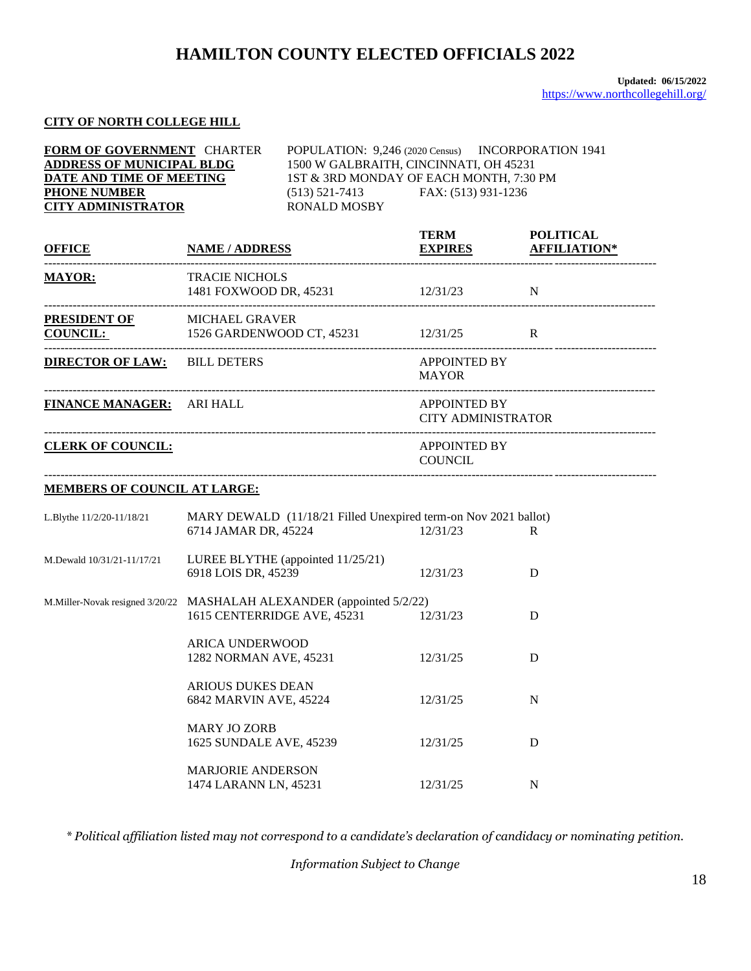#### **CITY OF NORTH COLLEGE HILL**

| FORM OF GOVERNMENT CHARTER<br><b>ADDRESS OF MUNICIPAL BLDG</b><br>DATE AND TIME OF MEETING<br><b>PHONE NUMBER</b><br><b>CITY ADMINISTRATOR</b> |                                                  | POPULATION: 9,246 (2020 Census) INCORPORATION 1941<br>1500 W GALBRAITH, CINCINNATI, OH 45231<br>1ST & 3RD MONDAY OF EACH MONTH, 7:30 PM<br>(513) 521-7413 FAX: (513) 931-1236<br><b>RONALD MOSBY</b> |                                           |                     |
|------------------------------------------------------------------------------------------------------------------------------------------------|--------------------------------------------------|------------------------------------------------------------------------------------------------------------------------------------------------------------------------------------------------------|-------------------------------------------|---------------------|
| <b>OFFICE</b>                                                                                                                                  | <b>NAME / ADDRESS</b>                            |                                                                                                                                                                                                      | TERM POLITICAL<br><b>EXPIRES</b>          | <b>AFFILIATION*</b> |
| <b>MAYOR:</b>                                                                                                                                  | <b>TRACIE NICHOLS</b>                            | 1481 FOXWOOD DR, 45231 12/31/23 N                                                                                                                                                                    |                                           |                     |
| PRESIDENT OF MICHAEL GRAVER<br>COUNCIL: 1526 GARDENWOOD CT, 45231 12/31/25 R                                                                   |                                                  |                                                                                                                                                                                                      |                                           |                     |
| <b>DIRECTOR OF LAW: BILL DETERS</b>                                                                                                            |                                                  |                                                                                                                                                                                                      | APPOINTED BY<br><b>MAYOR</b>              |                     |
| FINANCE MANAGER: ARI HALL                                                                                                                      |                                                  |                                                                                                                                                                                                      | APPOINTED BY<br><b>CITY ADMINISTRATOR</b> |                     |
| <b>CLERK OF COUNCIL:</b>                                                                                                                       |                                                  |                                                                                                                                                                                                      | <b>APPOINTED BY</b><br><b>COUNCIL</b>     |                     |
| <b>MEMBERS OF COUNCIL AT LARGE:</b>                                                                                                            |                                                  |                                                                                                                                                                                                      |                                           |                     |
| L.Blythe 11/2/20-11/18/21                                                                                                                      | 6714 JAMAR DR, 45224                             | MARY DEWALD (11/18/21 Filled Unexpired term-on Nov 2021 ballot)                                                                                                                                      | 12/31/23                                  | R                   |
| M.Dewald 10/31/21-11/17/21                                                                                                                     | 6918 LOIS DR, 45239                              | LUREE BLYTHE (appointed 11/25/21)                                                                                                                                                                    | 12/31/23                                  | D                   |
| M.Miller-Novak resigned 3/20/22 MASHALAH ALEXANDER (appointed 5/2/22)                                                                          |                                                  | 1615 CENTERRIDGE AVE, 45231 12/31/23                                                                                                                                                                 |                                           | D                   |
|                                                                                                                                                | <b>ARICA UNDERWOOD</b><br>1282 NORMAN AVE, 45231 |                                                                                                                                                                                                      | 12/31/25                                  | D                   |
|                                                                                                                                                | <b>ARIOUS DUKES DEAN</b>                         |                                                                                                                                                                                                      |                                           |                     |

6842 MARVIN AVE, 45224 12/31/25 N MARY JO ZORB 1625 SUNDALE AVE, 45239 12/31/25 D MARJORIE ANDERSON 1474 LARANN LN, 45231 12/31/25 N

*\* Political affiliation listed may not correspond to a candidate's declaration of candidacy or nominating petition.*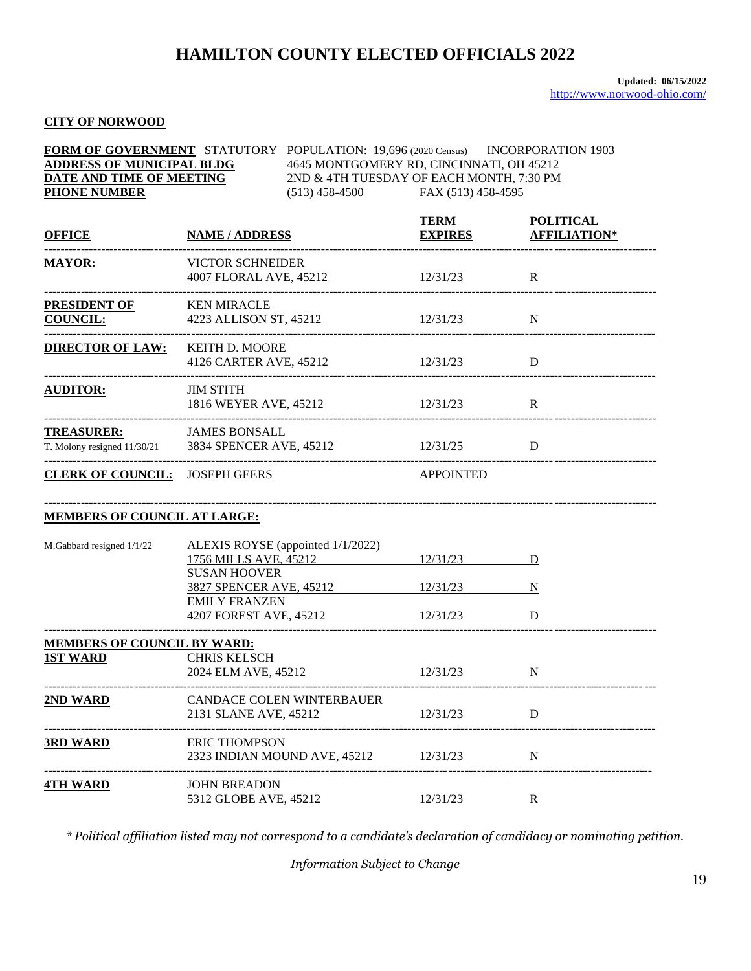### **CITY OF NORWOOD**

| <b>ADDRESS OF MUNICIPAL BLDG</b><br>DATE AND TIME OF MEETING                               |                                              | FORM OF GOVERNMENT STATUTORY POPULATION: 19,696 (2020 Census) INCORPORATION 1903<br>4645 MONTGOMERY RD, CINCINNATI, OH 45212<br>2ND & 4TH TUESDAY OF EACH MONTH, 7:30 PM<br>$(513)$ 458-4500 FAX (513) 458-4595 |                  |                                                 |
|--------------------------------------------------------------------------------------------|----------------------------------------------|-----------------------------------------------------------------------------------------------------------------------------------------------------------------------------------------------------------------|------------------|-------------------------------------------------|
| <b>PHONE NUMBER</b>                                                                        |                                              |                                                                                                                                                                                                                 |                  |                                                 |
| <b>OFFICE</b>                                                                              | <b>NAME / ADDRESS</b>                        |                                                                                                                                                                                                                 | <b>TERM</b>      | <b>POLITICAL</b><br><b>EXPIRES AFFILIATION*</b> |
| <b>MAYOR:</b>                                                                              | VICTOR SCHNEIDER                             | 4007 FLORAL AVE, 45212 12/31/23                                                                                                                                                                                 |                  | $\mathbf{R}$                                    |
| <b>PRESIDENT OF</b><br><b>COUNCIL:</b>                                                     | <b>KEN MIRACLE</b>                           | 4223 ALLISON ST, 45212 12/31/23 N                                                                                                                                                                               |                  |                                                 |
| <b>DIRECTOR OF LAW:</b> KEITH D. MOORE                                                     |                                              | 4126 CARTER AVE, 45212 12/31/23                                                                                                                                                                                 |                  | D                                               |
| <b>AUDITOR:</b><br>------------------------------------                                    | <b>JIM STITH</b>                             | 1816 WEYER AVE, 45212 12/31/23                                                                                                                                                                                  |                  | R                                               |
| TREASURER: JAMES BONSALL<br>T. Molony resigned 11/30/21 3834 SPENCER AVE, 45212 12/31/25 D |                                              |                                                                                                                                                                                                                 |                  | _________________________                       |
| <b>CLERK OF COUNCIL: JOSEPH GEERS</b>                                                      |                                              |                                                                                                                                                                                                                 | <b>APPOINTED</b> |                                                 |
| <b>MEMBERS OF COUNCIL AT LARGE:</b>                                                        |                                              |                                                                                                                                                                                                                 |                  |                                                 |
| M.Gabbard resigned 1/1/22                                                                  | <b>SUSAN HOOVER</b>                          | ALEXIS ROYSE (appointed 1/1/2022)<br>1756 MILLS AVE, 45212                                                                                                                                                      | 12/31/23         | D                                               |
|                                                                                            | <b>EMILY FRANZEN</b>                         | 3827 SPENCER AVE, 45212 12/31/23                                                                                                                                                                                |                  | N                                               |
|                                                                                            |                                              | 4207 FOREST AVE, 45212 12/31/23                                                                                                                                                                                 |                  | $\mathbf{D}$                                    |
| <b>MEMBERS OF COUNCIL BY WARD:</b>                                                         |                                              |                                                                                                                                                                                                                 |                  |                                                 |
| <b>1ST WARD</b>                                                                            | <b>CHRIS KELSCH</b><br>2024 ELM AVE, 45212   |                                                                                                                                                                                                                 | 12/31/23         | $\mathbf N$                                     |
| 2ND WARD                                                                                   | 2131 SLANE AVE, 45212                        | CANDACE COLEN WINTERBAUER                                                                                                                                                                                       | 12/31/23         | D                                               |
| <b>3RD WARD</b>                                                                            | <b>ERIC THOMPSON</b>                         | 2323 INDIAN MOUND AVE, 45212                                                                                                                                                                                    | 12/31/23         | N                                               |
| <b>4TH WARD</b>                                                                            | <b>JOHN BREADON</b><br>5312 GLOBE AVE, 45212 |                                                                                                                                                                                                                 | 12/31/23         | R                                               |

*\* Political affiliation listed may not correspond to a candidate's declaration of candidacy or nominating petition.*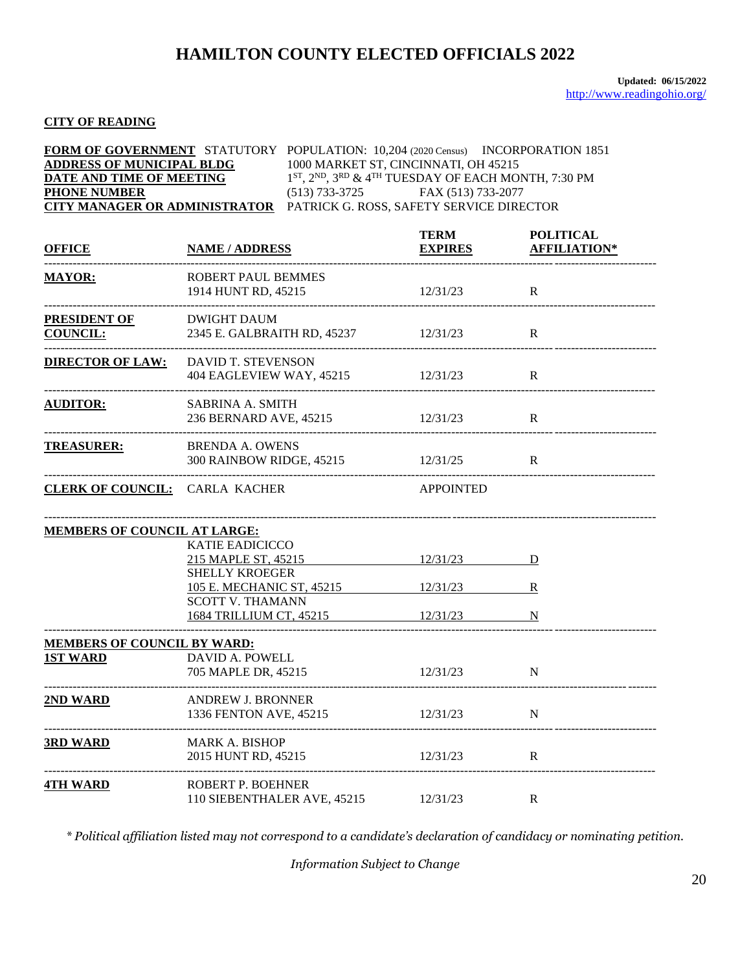### **CITY OF READING**

|                                  | <b>FORM OF GOVERNMENT</b> STATUTORY POPULATION: 10,204 (2020 Census) INCORPORATION 1851 |
|----------------------------------|-----------------------------------------------------------------------------------------|
| <b>ADDRESS OF MUNICIPAL BLDG</b> | 1000 MARKET ST, CINCINNATI, OH 45215                                                    |
| DATE AND TIME OF MEETING         | $1^{ST}$ , $2^{ND}$ , $3^{RD}$ & $4^{TH}$ TUESDAY OF EACH MONTH, 7:30 PM                |
| <b>PHONE NUMBER</b>              | (513) 733-3725<br>FAX (513) 733-2077                                                    |
|                                  | <b>CITY MANAGER OR ADMINISTRATOR PATRICK G. ROSS, SAFETY SERVICE DIRECTOR</b>           |

| <b>OFFICE</b>                          | <b>NAME / ADDRESS</b>                                                    | <b>TERM</b><br><b>EXPIRES</b> | <b>POLITICAL</b><br><b>AFFILIATION*</b> |
|----------------------------------------|--------------------------------------------------------------------------|-------------------------------|-----------------------------------------|
| <b>MAYOR:</b>                          | <b>ROBERT PAUL BEMMES</b><br>1914 HUNT RD, 45215                         | 12/31/23                      | R                                       |
| <b>PRESIDENT OF</b><br><b>COUNCIL:</b> | DWIGHT DAUM<br>2345 E. GALBRAITH RD, 45237 12/31/23                      |                               | R                                       |
| <b>DIRECTOR OF LAW:</b>                | DAVID T. STEVENSON<br>404 EAGLEVIEW WAY, 45215                           | 12/31/23                      | R                                       |
| <b>AUDITOR:</b>                        | <b>SABRINA A. SMITH</b><br>236 BERNARD AVE, 45215                        | 12/31/23                      | $\mathbf R$                             |
| <b>TREASURER:</b>                      | <b>BRENDA A. OWENS</b><br>300 RAINBOW RIDGE, 45215                       | 12/31/25                      | $\mathbf R$                             |
| <b>CLERK OF COUNCIL:</b> CARLA KACHER  |                                                                          | <b>APPOINTED</b>              |                                         |
| <b>MEMBERS OF COUNCIL AT LARGE:</b>    |                                                                          |                               |                                         |
|                                        | <b>KATIE EADICICCO</b><br>215 MAPLE ST, 45215<br><b>SHELLY KROEGER</b>   | $12/31/23$ D                  |                                         |
|                                        | 105 E. MECHANIC ST, 45215 12/31/23<br><b>SCOTT V. THAMANN</b>            |                               | R                                       |
|                                        | 1684 TRILLIUM CT, 45215 12/31/23                                         |                               | N                                       |
| <b>MEMBERS OF COUNCIL BY WARD:</b>     |                                                                          |                               |                                         |
| <b>1ST WARD</b>                        | DAVID A. POWELL<br>705 MAPLE DR, 45215                                   | 12/31/23                      | N                                       |
| 2ND WARD                               | <b>ANDREW J. BRONNER</b><br>1336 FENTON AVE, 45215<br>------------------ | 12/31/23                      | N                                       |
| <b>3RD WARD</b>                        | <b>MARK A. BISHOP</b><br>2015 HUNT RD, 45215                             | 12/31/23                      | $\mathbf R$                             |
| <b>4TH WARD</b>                        | ROBERT P. BOEHNER<br>110 SIEBENTHALER AVE, 45215                         | 12/31/23                      | R                                       |

*\* Political affiliation listed may not correspond to a candidate's declaration of candidacy or nominating petition.*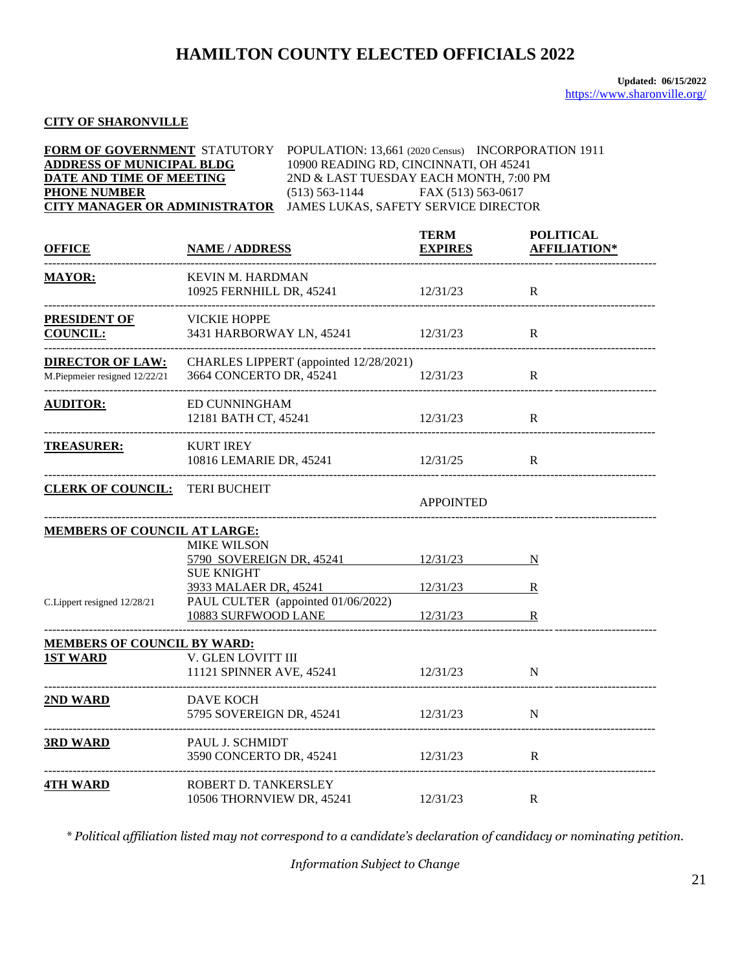### **CITY OF SHARONVILLE**

|                                  | <b>FORM OF GOVERNMENT STATUTORY POPULATION: 13,661 (2020 Census) INCORPORATION 1911</b> |
|----------------------------------|-----------------------------------------------------------------------------------------|
| <b>ADDRESS OF MUNICIPAL BLDG</b> | 10900 READING RD, CINCINNATI, OH 45241                                                  |
| DATE AND TIME OF MEETING         | 2ND & LAST TUESDAY EACH MONTH, 7:00 PM                                                  |
| <b>PHONE NUMBER</b>              | FAX (513) 563-0617<br>$(513) 563 - 1144$                                                |
|                                  | <b>CITY MANAGER OR ADMINISTRATOR JAMES LUKAS, SAFETY SERVICE DIRECTOR</b>               |

| <b>OFFICE</b>                                            | <b>NAME / ADDRESS</b>                                                              | <b>TERM</b><br><b>EXPIRES</b> | <b>POLITICAL</b><br><b>AFFILIATION*</b> |
|----------------------------------------------------------|------------------------------------------------------------------------------------|-------------------------------|-----------------------------------------|
| <b>MAYOR:</b>                                            | <b>KEVIN M. HARDMAN</b><br>10925 FERNHILL DR, 45241                                | 12/31/23                      | $\mathbf R$                             |
| <b>PRESIDENT OF</b><br><b>COUNCIL:</b>                   | <b>VICKIE HOPPE</b><br>3431 HARBORWAY LN, 45241 12/31/23                           |                               | R                                       |
| <b>DIRECTOR OF LAW:</b><br>M.Piepmeier resigned 12/22/21 | CHARLES LIPPERT (appointed 12/28/2021)<br>3664 CONCERTO DR, 45241                  | 12/31/23                      | R                                       |
| <b>AUDITOR:</b>                                          | ED CUNNINGHAM<br>12181 BATH CT, 45241                                              | 12/31/23                      | R                                       |
| <b>TREASURER:</b>                                        | <b>KURT IREY</b><br>10816 LEMARIE DR, 45241<br>12/31/25                            |                               | R                                       |
| <b>CLERK OF COUNCIL:</b> TERI BUCHEIT                    |                                                                                    | <b>APPOINTED</b>              |                                         |
| <b>MEMBERS OF COUNCIL AT LARGE:</b>                      |                                                                                    |                               |                                         |
|                                                          | <b>MIKE WILSON</b><br>5790 SOVEREIGN DR, 45241 12/31/23<br><b>SUE KNIGHT</b>       |                               | N                                       |
| C.Lippert resigned 12/28/21                              | 3933 MALAER DR, 45241<br>PAUL CULTER (appointed 01/06/2022)<br>10883 SURFWOOD LANE | 12/31/23<br>12/31/23          | $\bf R$<br>$\mathbb{R}$                 |
| <b>MEMBERS OF COUNCIL BY WARD:</b>                       |                                                                                    |                               |                                         |
| <b>1ST WARD</b>                                          | V. GLEN LOVITT III<br>11121 SPINNER AVE, 45241                                     | 12/31/23                      | N                                       |
| 2ND WARD                                                 | DAVE KOCH<br>5795 SOVEREIGN DR, 45241                                              | 12/31/23                      | N                                       |
| <b>3RD WARD</b>                                          | PAUL J. SCHMIDT<br>3590 CONCERTO DR, 45241                                         | 12/31/23                      | R                                       |
| <b>4TH WARD</b>                                          | ROBERT D. TANKERSLEY<br>10506 THORNVIEW DR, 45241                                  | 12/31/23                      | R                                       |

*\* Political affiliation listed may not correspond to a candidate's declaration of candidacy or nominating petition.*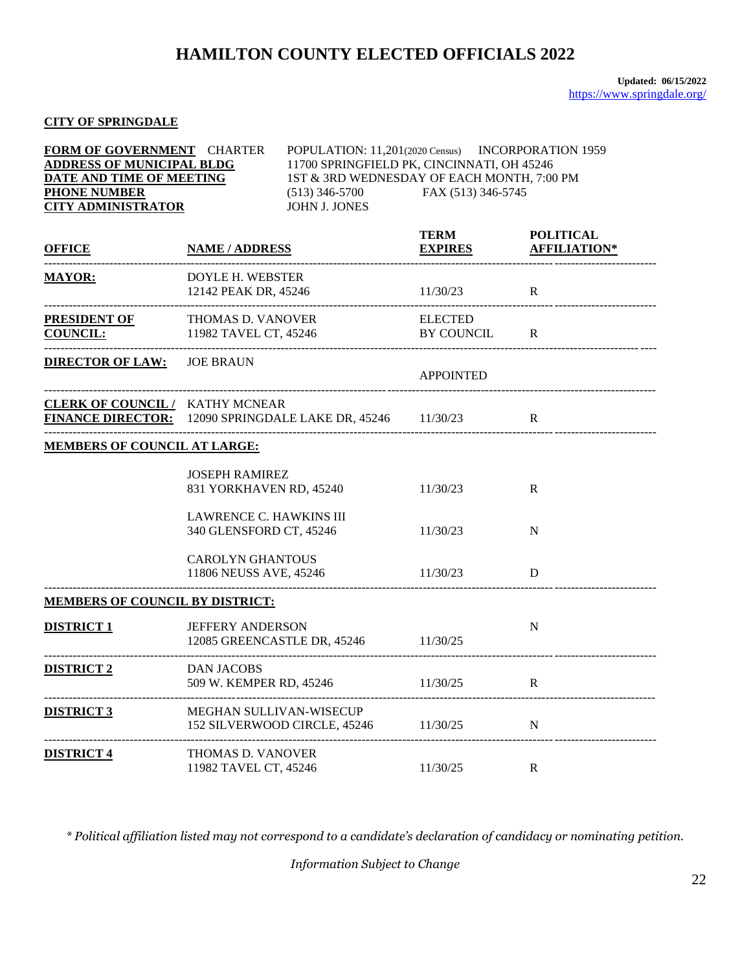**FORM OF GOVERNMENT** CHARTER POPULATION: 11,201(2020 Census) INCORPORATION 1959

### **CITY OF SPRINGDALE**

| <b>ADDRESS OF MUNICIPAL BLDG</b><br>DATE AND TIME OF MEETING<br><b>PHONE NUMBER</b><br><b>CITY ADMINISTRATOR</b> |                                                           | 11700 SPRINGFIELD PK, CINCINNATI, OH 45246<br>1ST & 3RD WEDNESDAY OF EACH MONTH, 7:00 PM<br>$(513)$ 346-5700<br>JOHN J. JONES | FAX (513) 346-5745             |                                         |
|------------------------------------------------------------------------------------------------------------------|-----------------------------------------------------------|-------------------------------------------------------------------------------------------------------------------------------|--------------------------------|-----------------------------------------|
| <b>OFFICE</b>                                                                                                    | <b>NAME / ADDRESS</b>                                     |                                                                                                                               | <b>TERM</b><br><b>EXPIRES</b>  | <b>POLITICAL</b><br><b>AFFILIATION*</b> |
| <b>MAYOR:</b>                                                                                                    | <b>DOYLE H. WEBSTER</b><br>12142 PEAK DR, 45246           |                                                                                                                               | 11/30/23                       | R                                       |
| <b>PRESIDENT OF</b><br><b>COUNCIL:</b>                                                                           | THOMAS D. VANOVER<br>11982 TAVEL CT, 45246                |                                                                                                                               | <b>ELECTED</b><br>BY COUNCIL R | _______________________________         |
| <b>DIRECTOR OF LAW:</b> JOE BRAUN                                                                                |                                                           |                                                                                                                               | <b>APPOINTED</b>               |                                         |
| <b>CLERK OF COUNCIL/ KATHY MCNEAR</b><br>FINANCE DIRECTOR: 12090 SPRINGDALE LAKE DR, 45246 11/30/23              |                                                           |                                                                                                                               |                                | R                                       |
| <b>MEMBERS OF COUNCIL AT LARGE:</b>                                                                              |                                                           |                                                                                                                               |                                |                                         |
|                                                                                                                  | <b>JOSEPH RAMIREZ</b><br>831 YORKHAVEN RD, 45240          |                                                                                                                               | 11/30/23                       | R                                       |
|                                                                                                                  | <b>LAWRENCE C. HAWKINS III</b><br>340 GLENSFORD CT, 45246 |                                                                                                                               | 11/30/23                       | N                                       |
|                                                                                                                  | <b>CAROLYN GHANTOUS</b><br>11806 NEUSS AVE, 45246         |                                                                                                                               | 11/30/23                       | D                                       |
| <b>MEMBERS OF COUNCIL BY DISTRICT:</b>                                                                           |                                                           |                                                                                                                               |                                |                                         |
| <b>DISTRICT 1</b>                                                                                                | <b>JEFFERY ANDERSON</b>                                   | 12085 GREENCASTLE DR, 45246 11/30/25                                                                                          |                                | N                                       |
| <b>DISTRICT 2</b>                                                                                                | <b>DAN JACOBS</b>                                         | 509 W. KEMPER RD, 45246                                                                                                       | 11/30/25                       | R                                       |
| <b>DISTRICT 3</b>                                                                                                | MEGHAN SULLIVAN-WISECUP                                   | 152 SILVERWOOD CIRCLE, 45246                                                                                                  | 11/30/25                       | N                                       |
| <b>DISTRICT 4</b>                                                                                                | THOMAS D. VANOVER<br>11982 TAVEL CT, 45246                |                                                                                                                               | 11/30/25                       | R                                       |

*\* Political affiliation listed may not correspond to a candidate's declaration of candidacy or nominating petition.*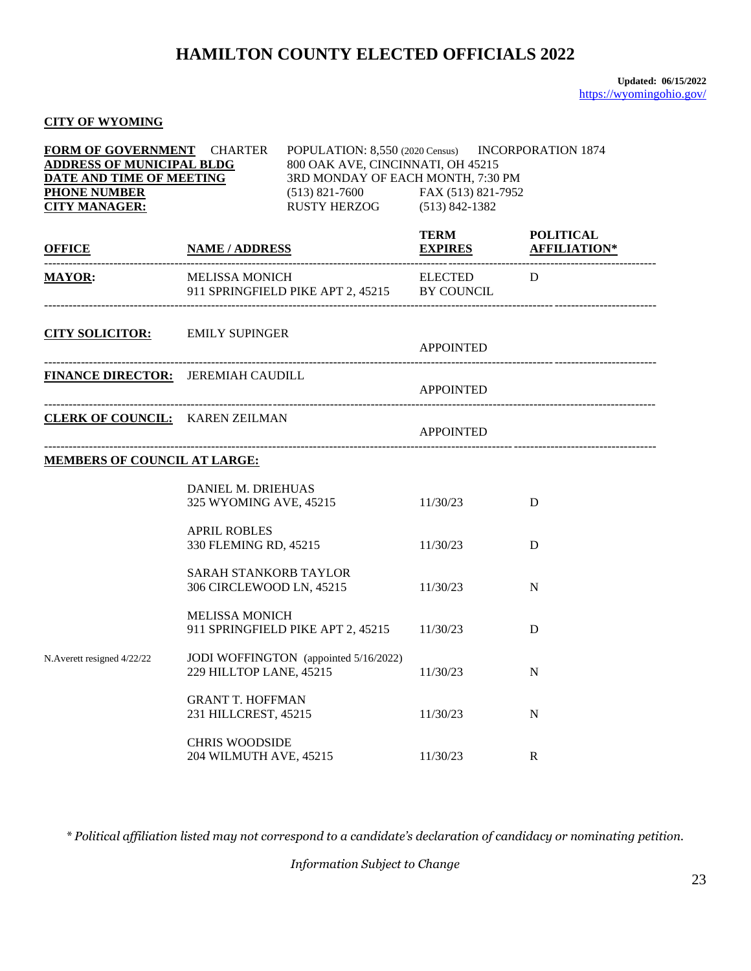### **CITY OF WYOMING**

| FORM OF GOVERNMENT CHARTER<br>POPULATION: 8,550 (2020 Census) INCORPORATION 1874<br><b>ADDRESS OF MUNICIPAL BLDG</b><br>800 OAK AVE, CINCINNATI, OH 45215<br>3RD MONDAY OF EACH MONTH, 7:30 PM<br>DATE AND TIME OF MEETING<br><b>PHONE NUMBER</b><br>$(513)$ 821-7600 FAX (513) 821-7952<br>RUSTY HERZOG (513) 842-1382<br><b>CITY MANAGER:</b> |                                                                  |                                              |                                        |   |
|-------------------------------------------------------------------------------------------------------------------------------------------------------------------------------------------------------------------------------------------------------------------------------------------------------------------------------------------------|------------------------------------------------------------------|----------------------------------------------|----------------------------------------|---|
| <b>OFFICE</b>                                                                                                                                                                                                                                                                                                                                   | <b>NAME / ADDRESS</b>                                            |                                              | TERM POLITICAL<br>EXPIRES AFFILIATION* |   |
| <b>MAYOR:</b>                                                                                                                                                                                                                                                                                                                                   | MELISSA MONICH                                                   | 911 SPRINGFIELD PIKE APT 2, 45215 BY COUNCIL | ELECTED D                              |   |
| <b>CITY SOLICITOR:</b> EMILY SUPINGER                                                                                                                                                                                                                                                                                                           |                                                                  |                                              | <b>APPOINTED</b>                       |   |
| <b>FINANCE DIRECTOR:</b> JEREMIAH CAUDILL                                                                                                                                                                                                                                                                                                       |                                                                  |                                              | <b>APPOINTED</b>                       |   |
|                                                                                                                                                                                                                                                                                                                                                 | <b>CLERK OF COUNCIL:</b> KAREN ZEILMAN                           |                                              | <b>APPOINTED</b>                       |   |
| <b>MEMBERS OF COUNCIL AT LARGE:</b>                                                                                                                                                                                                                                                                                                             |                                                                  |                                              |                                        |   |
|                                                                                                                                                                                                                                                                                                                                                 | DANIEL M. DRIEHUAS                                               | 325 WYOMING AVE, 45215                       | 11/30/23                               | D |
|                                                                                                                                                                                                                                                                                                                                                 | <b>APRIL ROBLES</b><br>330 FLEMING RD, 45215                     |                                              | 11/30/23                               | D |
|                                                                                                                                                                                                                                                                                                                                                 | SARAH STANKORB TAYLOR                                            | 306 CIRCLEWOOD LN, 45215                     | 11/30/23                               | N |
|                                                                                                                                                                                                                                                                                                                                                 | <b>MELISSA MONICH</b><br>911 SPRINGFIELD PIKE APT 2, 45215       |                                              | 11/30/23                               | D |
| N.Averett resigned 4/22/22                                                                                                                                                                                                                                                                                                                      | JODI WOFFINGTON (appointed 5/16/2022)<br>229 HILLTOP LANE, 45215 |                                              | 11/30/23                               | N |
|                                                                                                                                                                                                                                                                                                                                                 | <b>GRANT T. HOFFMAN</b><br>231 HILLCREST, 45215                  |                                              | 11/30/23                               | N |
|                                                                                                                                                                                                                                                                                                                                                 | <b>CHRIS WOODSIDE</b><br>204 WILMUTH AVE, 45215                  |                                              | 11/30/23                               | R |

*\* Political affiliation listed may not correspond to a candidate's declaration of candidacy or nominating petition.*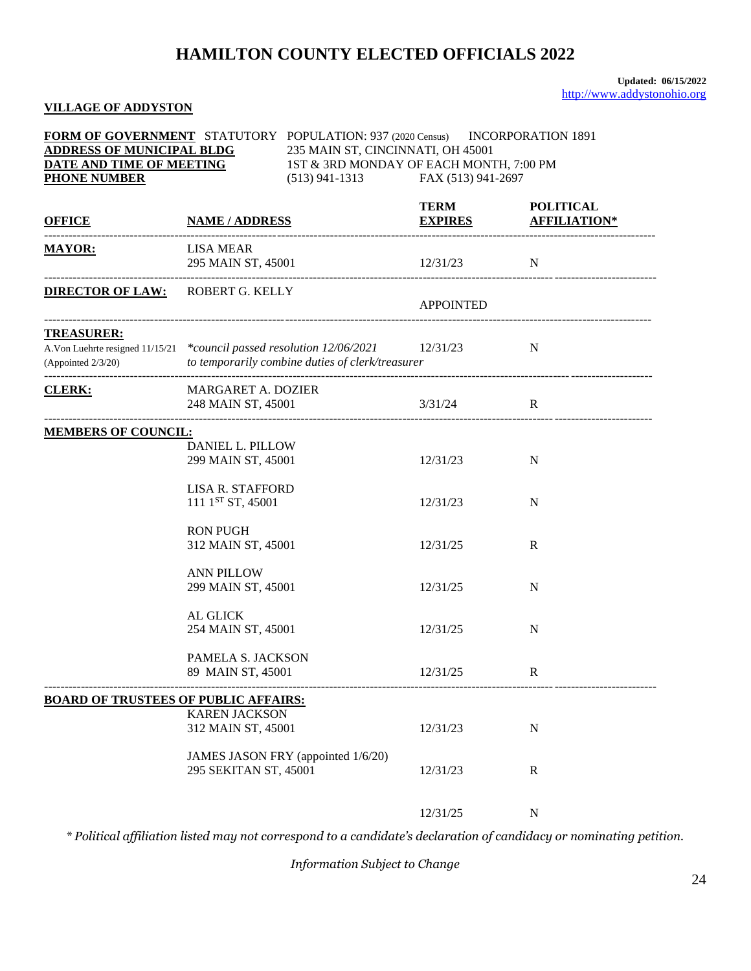#### **VILLAGE OF ADDYSTON**

| <b>FORM OF GOVERNMENT</b> STATUTORY POPULATION: 937 (2020 Census) INCORPORATION 1891<br><b>ADDRESS OF MUNICIPAL BLDG</b><br>235 MAIN ST, CINCINNATI, OH 45001<br>235 MAIN ST, CINCINNATI, OH $45001$<br>1ST & 3RD MONDAY OF EACH MONTH, 7:00 PM<br>DATE AND TIME OF MEETING                                                                                                                                                                                                                                                                                                               |                                                             |                                   |                  |                                                 |
|-------------------------------------------------------------------------------------------------------------------------------------------------------------------------------------------------------------------------------------------------------------------------------------------------------------------------------------------------------------------------------------------------------------------------------------------------------------------------------------------------------------------------------------------------------------------------------------------|-------------------------------------------------------------|-----------------------------------|------------------|-------------------------------------------------|
| <b>PHONE NUMBER</b>                                                                                                                                                                                                                                                                                                                                                                                                                                                                                                                                                                       |                                                             | (513) 941-1313 FAX (513) 941-2697 |                  |                                                 |
| <b>OFFICE NAME / ADDRESS</b>                                                                                                                                                                                                                                                                                                                                                                                                                                                                                                                                                              |                                                             |                                   | <b>TERM</b>      | <b>POLITICAL</b><br><b>EXPIRES AFFILIATION*</b> |
| <b>MAYOR:</b>                                                                                                                                                                                                                                                                                                                                                                                                                                                                                                                                                                             | LISA MEAR                                                   | 295 MAIN ST, 45001 12/31/23 N     |                  |                                                 |
| <b>DIRECTOR OF LAW: ROBERT G. KELLY</b>                                                                                                                                                                                                                                                                                                                                                                                                                                                                                                                                                   |                                                             |                                   | <b>APPOINTED</b> |                                                 |
| <b>TREASURER:</b><br>A.Von Luehrte resigned 11/15/21 *council passed resolution 12/06/2021 12/31/23 N<br>$\label{prop:optimal} (Appo{\bf \textit{ind}}\ 2/3/20) \hspace{1cm} to \textit{ temporarily combine duties of clerk}{\bf \textit{d}}{\bf \textit{tr}}{\bf \textit{e}}{\bf \textit{super}}{\bf \textit{tr}}{\bf \textit{tr}}{\bf \textit{f}}{\bf \textit{h}}{\bf \textit{h}}{\bf \textit{f}}{\bf \textit{h}}{\bf \textit{f}}{\bf \textit{h}}{\bf \textit{f}}{\bf \textit{h}}{\bf \textit{f}}{\bf \textit{h}}{\bf \textit{f}}{\bf \textit{h}}{\bf \textit{f}}{\bf \textit{h}}{\bf$ |                                                             |                                   |                  |                                                 |
| CLERK:                                                                                                                                                                                                                                                                                                                                                                                                                                                                                                                                                                                    | MARGARET A. DOZIER<br>248 MAIN ST, 45001                    |                                   | 3/31/24          | $\mathbf{R}$                                    |
| <b>MEMBERS OF COUNCIL:</b>                                                                                                                                                                                                                                                                                                                                                                                                                                                                                                                                                                |                                                             |                                   |                  |                                                 |
|                                                                                                                                                                                                                                                                                                                                                                                                                                                                                                                                                                                           | DANIEL L. PILLOW<br>299 MAIN ST, 45001                      |                                   | 12/31/23         | N                                               |
|                                                                                                                                                                                                                                                                                                                                                                                                                                                                                                                                                                                           | <b>LISA R. STAFFORD</b><br>111 1 <sup>ST</sup> ST, 45001    |                                   | 12/31/23         | N                                               |
|                                                                                                                                                                                                                                                                                                                                                                                                                                                                                                                                                                                           | <b>RON PUGH</b><br>312 MAIN ST, 45001                       |                                   | 12/31/25         | $\mathbb{R}$                                    |
|                                                                                                                                                                                                                                                                                                                                                                                                                                                                                                                                                                                           | <b>ANN PILLOW</b><br>299 MAIN ST, 45001                     |                                   | 12/31/25         | N                                               |
|                                                                                                                                                                                                                                                                                                                                                                                                                                                                                                                                                                                           | AL GLICK<br>254 MAIN ST, 45001                              |                                   | 12/31/25         | N                                               |
|                                                                                                                                                                                                                                                                                                                                                                                                                                                                                                                                                                                           | PAMELA S. JACKSON<br>89 MAIN ST, 45001                      |                                   | 12/31/25         | R                                               |
| <b>BOARD OF TRUSTEES OF PUBLIC AFFAIRS:</b>                                                                                                                                                                                                                                                                                                                                                                                                                                                                                                                                               |                                                             |                                   |                  |                                                 |
|                                                                                                                                                                                                                                                                                                                                                                                                                                                                                                                                                                                           | <b>KAREN JACKSON</b><br>312 MAIN ST, 45001                  |                                   | 12/31/23         | $\mathbf N$                                     |
|                                                                                                                                                                                                                                                                                                                                                                                                                                                                                                                                                                                           | JAMES JASON FRY (appointed 1/6/20)<br>295 SEKITAN ST, 45001 |                                   | 12/31/23         | $\mathbb{R}$                                    |
|                                                                                                                                                                                                                                                                                                                                                                                                                                                                                                                                                                                           |                                                             |                                   | 12/31/25         | $\mathbf N$                                     |

*\* Political affiliation listed may not correspond to a candidate's declaration of candidacy or nominating petition.*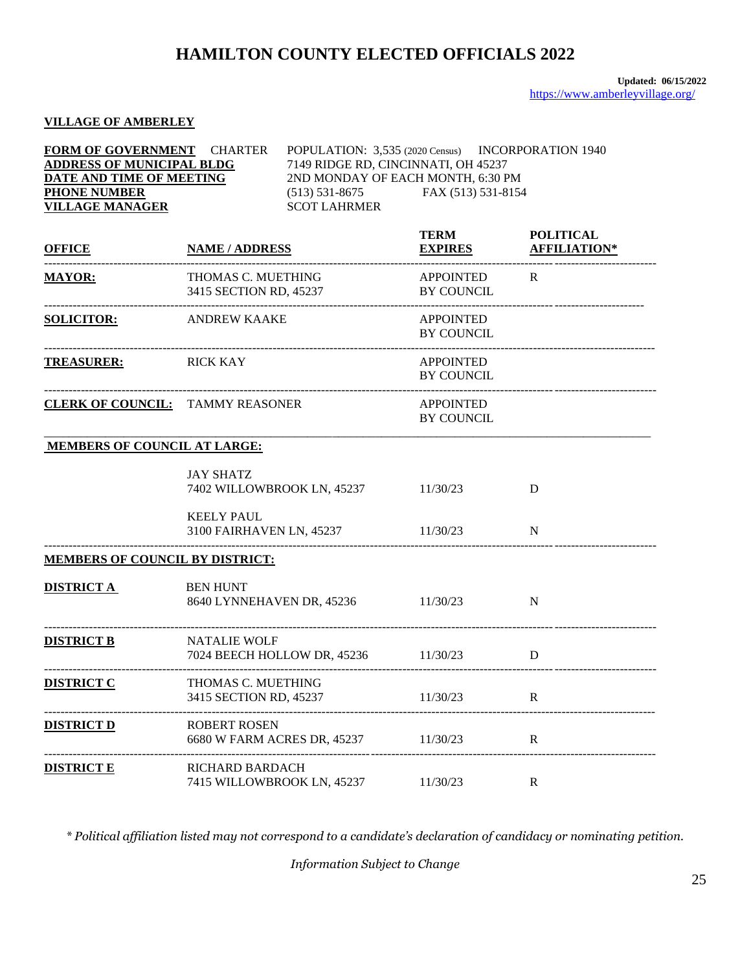#### **VILLAGE OF AMBERLEY**

| FORM OF GOVERNMENT CHARTER<br><b>ADDRESS OF MUNICIPAL BLDG</b><br>DATE AND TIME OF MEETING<br><b>PHONE NUMBER</b><br><b>VILLAGE MANAGER</b> |                                                                                           | POPULATION: 3,535 (2020 Census) INCORPORATION 1940<br>7149 RIDGE RD, CINCINNATI, OH 45237<br>2ND MONDAY OF EACH MONTH, 6:30 PM<br>$(513)$ 531-8675<br><b>SCOT LAHRMER</b> | FAX (513) 531-8154                    |                                         |
|---------------------------------------------------------------------------------------------------------------------------------------------|-------------------------------------------------------------------------------------------|---------------------------------------------------------------------------------------------------------------------------------------------------------------------------|---------------------------------------|-----------------------------------------|
| <b>OFFICE</b>                                                                                                                               | <b>NAME / ADDRESS</b>                                                                     |                                                                                                                                                                           | <b>TERM</b><br><b>EXPIRES</b>         | <b>POLITICAL</b><br><b>AFFILIATION*</b> |
| <b>MAYOR:</b>                                                                                                                               | THOMAS C. MUETHING<br>3415 SECTION RD, 45237                                              |                                                                                                                                                                           | APPOINTED R<br>BY COUNCIL             |                                         |
| -----------------------------------<br><b>SOLICITOR:</b>                                                                                    | ANDREW KAAKE                                                                              |                                                                                                                                                                           | <b>APPOINTED</b><br>BY COUNCIL        |                                         |
| TREASURER: RICK KAY                                                                                                                         |                                                                                           |                                                                                                                                                                           | <b>APPOINTED</b><br>BY COUNCIL        |                                         |
|                                                                                                                                             | <b>CLERK OF COUNCIL:</b> TAMMY REASONER                                                   |                                                                                                                                                                           | <b>APPOINTED</b><br><b>BY COUNCIL</b> |                                         |
| <b>MEMBERS OF COUNCIL AT LARGE:</b>                                                                                                         |                                                                                           |                                                                                                                                                                           |                                       |                                         |
|                                                                                                                                             | <b>JAY SHATZ</b>                                                                          | 7402 WILLOWBROOK LN, 45237 11/30/23                                                                                                                                       |                                       | D                                       |
|                                                                                                                                             | <b>KEELY PAUL</b><br>3100 FAIRHAVEN LN, 45237 11/30/23<br>. _____________________________ |                                                                                                                                                                           |                                       | N                                       |
| MEMBERS OF COUNCIL BY DISTRICT:                                                                                                             |                                                                                           |                                                                                                                                                                           |                                       |                                         |
| <b>DISTRICT A</b>                                                                                                                           | <b>BEN HUNT</b>                                                                           | 8640 LYNNEHAVEN DR, 45236 11/30/23                                                                                                                                        |                                       | N                                       |
| <b>DISTRICT B</b>                                                                                                                           | <b>NATALIE WOLF</b><br>7024 BEECH HOLLOW DR, 45236 11/30/23                               |                                                                                                                                                                           |                                       | D                                       |
| <b>DISTRICT C</b>                                                                                                                           | THOMAS C. MUETHING<br>3415 SECTION RD, 45237                                              |                                                                                                                                                                           | 11/30/23                              | R                                       |
| <b>DISTRICT D</b>                                                                                                                           | <b>ROBERT ROSEN</b><br>6680 W FARM ACRES DR, 45237                                        |                                                                                                                                                                           | 11/30/23                              | $\mathbf R$                             |
| <u>DISTRICT E</u>                                                                                                                           | RICHARD BARDACH<br>7415 WILLOWBROOK LN, 45237                                             |                                                                                                                                                                           | 11/30/23                              | $\mathbf R$                             |

*\* Political affiliation listed may not correspond to a candidate's declaration of candidacy or nominating petition.*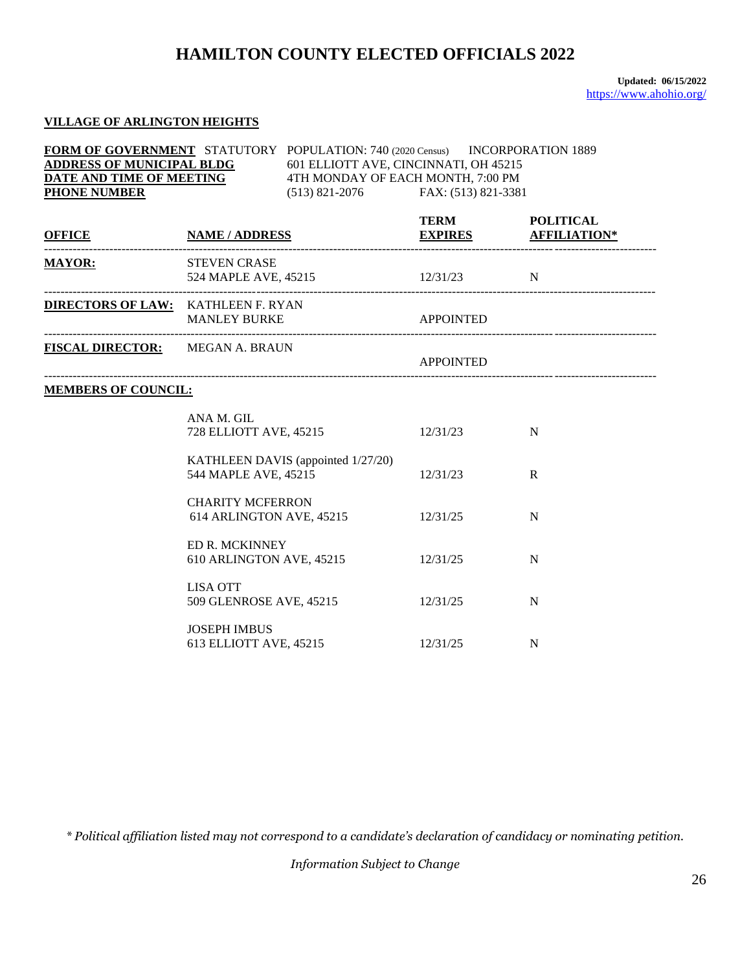**Updated: 06/15/2022** <https://www.ahohio.org/>

#### **VILLAGE OF ARLINGTON HEIGHTS**

| <b>FORM OF GOVERNMENT</b> STATUTORY POPULATION: 740 (2020 Census) INCORPORATION 1889<br>$\underbrace{\textbf{ADDRESS OF MUNICIPAL BLDG}}_{\textbf{DATE} \textbf{AND TIME OF MEETING}} \hspace{10mm} \textbf{601 ELLIOTT AVE, CINCINNATI, OH 45215} \\ \textbf{DATE AND TIME OF MEETING} \hspace{20mm} \textbf{601 ELLIOTT AVE, CINCINNATI, OH 45215} \\ \textbf{7:100 PM} \\ \textbf{101 PM} \\ \textbf{111 AM} \\ \textbf{121 AM} \\ \textbf{131 AM} \\ \textbf{141 AM} \\ \textbf{151 AM} \\ \textbf{161 AM} \\ \textbf{171 AM} \\ \$<br><b>PHONE NUMBER</b><br>$(513) 821 - 2076$ FAX: $(513) 821 - 3381$ |                                               |                                    |                  |                             |
|--------------------------------------------------------------------------------------------------------------------------------------------------------------------------------------------------------------------------------------------------------------------------------------------------------------------------------------------------------------------------------------------------------------------------------------------------------------------------------------------------------------------------------------------------------------------------------------------------------------|-----------------------------------------------|------------------------------------|------------------|-----------------------------|
| <u>OFFICE NAME / ADDRESS EXPIRES AFFILIATION*</u>                                                                                                                                                                                                                                                                                                                                                                                                                                                                                                                                                            |                                               |                                    | TERM POLITICAL   | <b>EXPIRES AFFILIATION*</b> |
| <b>MAYOR:</b>                                                                                                                                                                                                                                                                                                                                                                                                                                                                                                                                                                                                | <b>STEVEN CRASE</b>                           | 524 MAPLE AVE, 45215 12/31/23 N    |                  |                             |
| <b>DIRECTORS OF LAW: KATHLEEN F. RYAN</b>                                                                                                                                                                                                                                                                                                                                                                                                                                                                                                                                                                    | MANLEY BURKE APPOINTED                        |                                    |                  |                             |
| <b>FISCAL DIRECTOR:</b> MEGAN A. BRAUN                                                                                                                                                                                                                                                                                                                                                                                                                                                                                                                                                                       |                                               |                                    | <b>APPOINTED</b> |                             |
| <b>MEMBERS OF COUNCIL:</b>                                                                                                                                                                                                                                                                                                                                                                                                                                                                                                                                                                                   |                                               |                                    |                  |                             |
|                                                                                                                                                                                                                                                                                                                                                                                                                                                                                                                                                                                                              | ANA M. GIL<br>728 ELLIOTT AVE, 45215          |                                    | 12/31/23         | N                           |
|                                                                                                                                                                                                                                                                                                                                                                                                                                                                                                                                                                                                              | 544 MAPLE AVE, 45215                          | KATHLEEN DAVIS (appointed 1/27/20) | 12/31/23         | $\mathbb{R}$                |
|                                                                                                                                                                                                                                                                                                                                                                                                                                                                                                                                                                                                              | <b>CHARITY MCFERRON</b>                       | 614 ARLINGTON AVE, 45215           | 12/31/25         | N                           |
|                                                                                                                                                                                                                                                                                                                                                                                                                                                                                                                                                                                                              | <b>ED R. MCKINNEY</b>                         | 610 ARLINGTON AVE, 45215           | 12/31/25         | N                           |
|                                                                                                                                                                                                                                                                                                                                                                                                                                                                                                                                                                                                              | <b>LISA OTT</b>                               | 509 GLENROSE AVE, 45215            | 12/31/25         | N                           |
|                                                                                                                                                                                                                                                                                                                                                                                                                                                                                                                                                                                                              | <b>JOSEPH IMBUS</b><br>613 ELLIOTT AVE, 45215 |                                    | 12/31/25         | N                           |

*\* Political affiliation listed may not correspond to a candidate's declaration of candidacy or nominating petition.*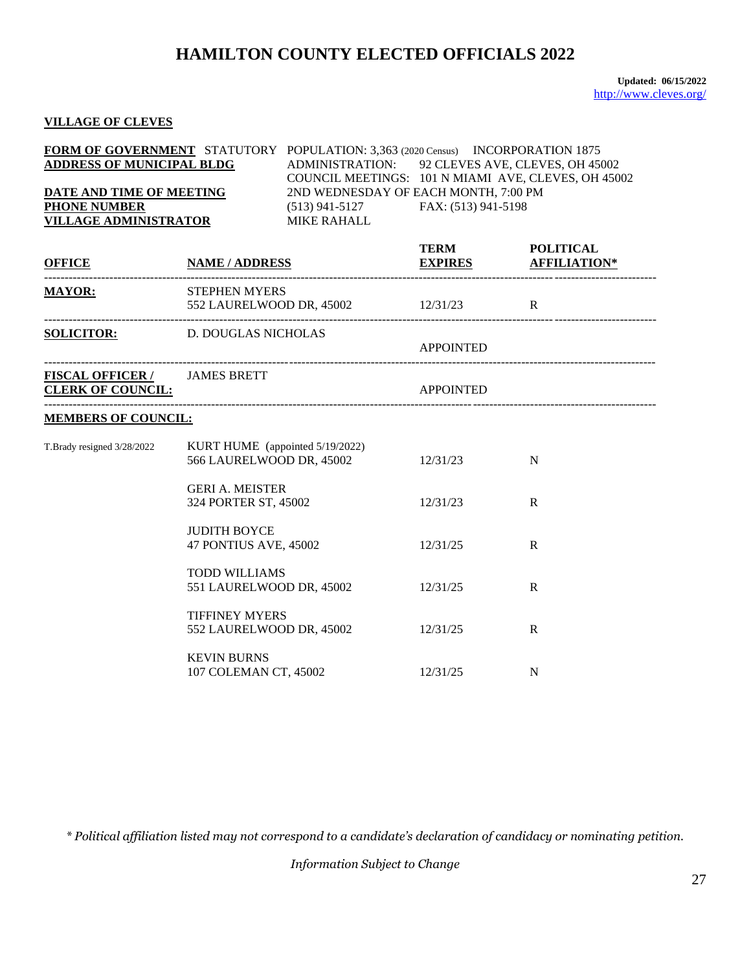**Updated: 06/15/2022** <http://www.cleves.org/>

### **VILLAGE OF CLEVES**

|                                  | <b>FORM OF GOVERNMENT</b> STATUTORY POPULATION: 3,363 (2020 Census) INCORPORATION 1875 |
|----------------------------------|----------------------------------------------------------------------------------------|
| <b>ADDRESS OF MUNICIPAL BLDG</b> | ADMINISTRATION: 92 CLEVES AVE, CLEVES, OH 45002                                        |
|                                  | COUNCIL MEETINGS: 101 N MIAMI AVE, CLEVES, OH 45002                                    |
| DATE AND TIME OF MEETING         | 2ND WEDNESDAY OF EACH MONTH, 7:00 PM                                                   |
| <b>PHONE NUMBER</b>              | FAX: (513) 941-5198<br>$(513)$ 941-5127                                                |
| <b>VILLAGE ADMINISTRATOR</b>     | MIKE RAHALL                                                                            |

| <b>OFFICE</b>                                                   | <b>NAME / ADDRESS</b>                                                | <b>TERM</b><br><b>EXPIRES AFFILIATION*</b> | <b>POLITICAL</b> |
|-----------------------------------------------------------------|----------------------------------------------------------------------|--------------------------------------------|------------------|
| <b>MAYOR:</b>                                                   | <b>STEPHEN MYERS</b><br>552 LAURELWOOD DR, 45002 12/31/23 R          |                                            |                  |
|                                                                 | <b>SOLICITOR:</b> D. DOUGLAS NICHOLAS                                | <b>APPOINTED</b>                           |                  |
| <b>FISCAL OFFICER / JAMES BRETT</b><br><b>CLERK OF COUNCIL:</b> |                                                                      | <b>APPOINTED</b>                           |                  |
| <b>MEMBERS OF COUNCIL:</b>                                      |                                                                      |                                            |                  |
| T.Brady resigned 3/28/2022                                      | KURT HUME (appointed 5/19/2022)<br>566 LAURELWOOD DR, 45002 12/31/23 |                                            | N                |
|                                                                 | <b>GERI A. MEISTER</b><br>324 PORTER ST, 45002                       | 12/31/23                                   | R                |
|                                                                 | <b>JUDITH BOYCE</b><br>47 PONTIUS AVE, 45002                         | 12/31/25                                   | R                |
|                                                                 | <b>TODD WILLIAMS</b><br>551 LAURELWOOD DR, 45002                     | 12/31/25                                   | R                |
|                                                                 | <b>TIFFINEY MYERS</b><br>552 LAURELWOOD DR, 45002                    | 12/31/25                                   | R                |
|                                                                 | <b>KEVIN BURNS</b><br>107 COLEMAN CT, 45002                          | 12/31/25                                   | N                |

*\* Political affiliation listed may not correspond to a candidate's declaration of candidacy or nominating petition.*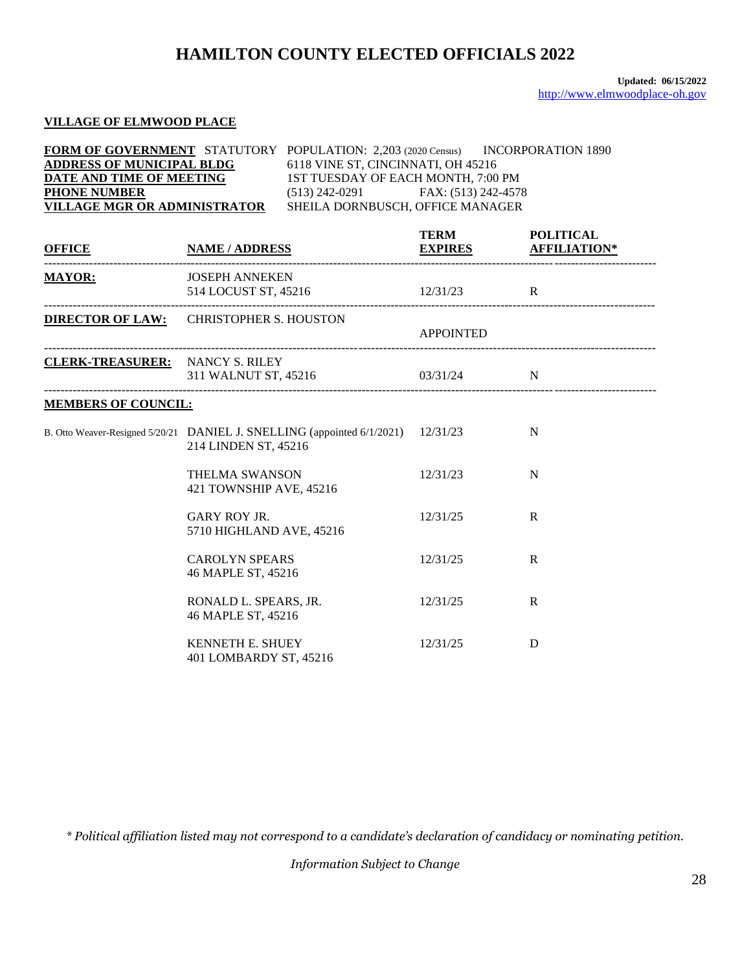### **VILLAGE OF ELMWOOD PLACE**

| <b>FORM OF GOVERNMENT</b> STATUTORY POPULATION: 2,203 (2020 Census) |                                       | INCORPORATION 1890 |
|---------------------------------------------------------------------|---------------------------------------|--------------------|
| <b>ADDRESS OF MUNICIPAL BLDG</b>                                    | 6118 VINE ST, CINCINNATI, OH 45216    |                    |
| DATE AND TIME OF MEETING                                            | 1ST TUESDAY OF EACH MONTH, 7:00 PM    |                    |
| <b>PHONE NUMBER</b>                                                 | FAX: (513) 242-4578<br>(513) 242-0291 |                    |
| VILLAGE MGR OR ADMINISTRATOR                                        | SHEILA DORNBUSCH, OFFICE MANAGER      |                    |

| <b>OFFICE</b>                          | <b>NAME / ADDRESS</b>                                                                           | <b>TERM</b>      | <b>POLITICAL</b><br><b>EXPIRES AFFILIATION*</b> |
|----------------------------------------|-------------------------------------------------------------------------------------------------|------------------|-------------------------------------------------|
| <b>MAYOR:</b>                          | <b>JOSEPH ANNEKEN</b><br>514 LOCUST ST, 45216 12/31/23 R                                        |                  |                                                 |
|                                        | <b>DIRECTOR OF LAW:</b> CHRISTOPHER S. HOUSTON                                                  | <b>APPOINTED</b> |                                                 |
| <b>CLERK-TREASURER:</b> NANCY S. RILEY | 311 WALNUT ST, 45216 03/31/24 N                                                                 |                  |                                                 |
| <b>MEMBERS OF COUNCIL:</b>             |                                                                                                 |                  |                                                 |
|                                        | B. Otto Weaver-Resigned 5/20/21 DANIEL J. SNELLING (appointed 6/1/2021)<br>214 LINDEN ST, 45216 | 12/31/23         | N                                               |
|                                        | <b>THELMA SWANSON</b><br>421 TOWNSHIP AVE, 45216                                                | 12/31/23         | N                                               |
|                                        | <b>GARY ROY JR.</b><br>5710 HIGHLAND AVE, 45216                                                 | 12/31/25         | R                                               |
|                                        | <b>CAROLYN SPEARS</b><br>46 MAPLE ST, 45216                                                     | 12/31/25         | $\mathsf{R}$                                    |
|                                        | RONALD L. SPEARS, JR.<br>46 MAPLE ST, 45216                                                     | 12/31/25         | R                                               |
|                                        | <b>KENNETH E. SHUEY</b><br>401 LOMBARDY ST, 45216                                               | 12/31/25         | D                                               |

*\* Political affiliation listed may not correspond to a candidate's declaration of candidacy or nominating petition.*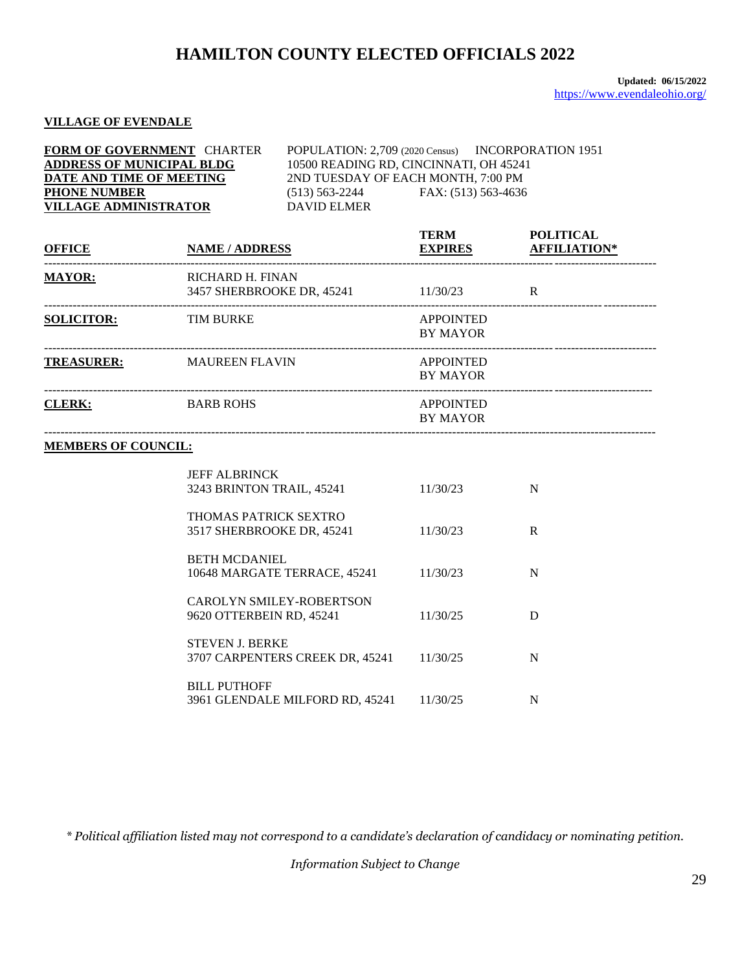#### **VILLAGE OF EVENDALE**

| <b>FORM OF GOVERNMENT CHARTER</b> |                                        | POPULATION: 2,709 (2020 Census) INCORPORATION 1951 |
|-----------------------------------|----------------------------------------|----------------------------------------------------|
| <b>ADDRESS OF MUNICIPAL BLDG</b>  | 10500 READING RD, CINCINNATI, OH 45241 |                                                    |
| DATE AND TIME OF MEETING          | 2ND TUESDAY OF EACH MONTH, 7:00 PM     |                                                    |
| <b>PHONE NUMBER</b>               | $(513) 563 - 2244$                     | FAX: (513) 563-4636                                |
| <b>VILLAGE ADMINISTRATOR</b>      | DAVID ELMER                            |                                                    |

| <b>OFFICE</b>     | <b>NAME / ADDRESS</b>                         | <b>TERM</b><br><b>EXPIRES</b>       | <b>POLITICAL</b><br><b>AFFILIATION*</b> |
|-------------------|-----------------------------------------------|-------------------------------------|-----------------------------------------|
| <b>MAYOR:</b>     | RICHARD H. FINAN<br>3457 SHERBROOKE DR, 45241 | 11/30/23                            | R                                       |
| <b>SOLICITOR:</b> | <b>TIM BURKE</b>                              | <b>APPOINTED</b><br><b>BY MAYOR</b> |                                         |
| <b>TREASURER:</b> | <b>MAUREEN FLAVIN</b>                         | <b>APPOINTED</b><br><b>BY MAYOR</b> |                                         |
| <b>CLERK:</b>     | <b>BARB ROHS</b>                              | <b>APPOINTED</b><br><b>BY MAYOR</b> |                                         |

#### **MEMBERS OF COUNCIL:**

| <b>JEFF ALBRINCK</b>            |          |   |
|---------------------------------|----------|---|
| 3243 BRINTON TRAIL, 45241       | 11/30/23 | N |
| THOMAS PATRICK SEXTRO           |          |   |
|                                 |          |   |
| 3517 SHERBROOKE DR, 45241       | 11/30/23 | R |
| <b>BETH MCDANIEL</b>            |          |   |
|                                 |          |   |
| 10648 MARGATE TERRACE, 45241    | 11/30/23 | N |
|                                 |          |   |
| CAROLYN SMILEY-ROBERTSON        |          |   |
| 9620 OTTERBEIN RD, 45241        | 11/30/25 |   |
|                                 |          |   |
| <b>STEVEN J. BERKE</b>          |          |   |
| 3707 CARPENTERS CREEK DR, 45241 | 11/30/25 | N |
|                                 |          |   |
| <b>BILL PUTHOFF</b>             |          |   |
| 3961 GLENDALE MILFORD RD, 45241 | 11/30/25 |   |

*\* Political affiliation listed may not correspond to a candidate's declaration of candidacy or nominating petition.*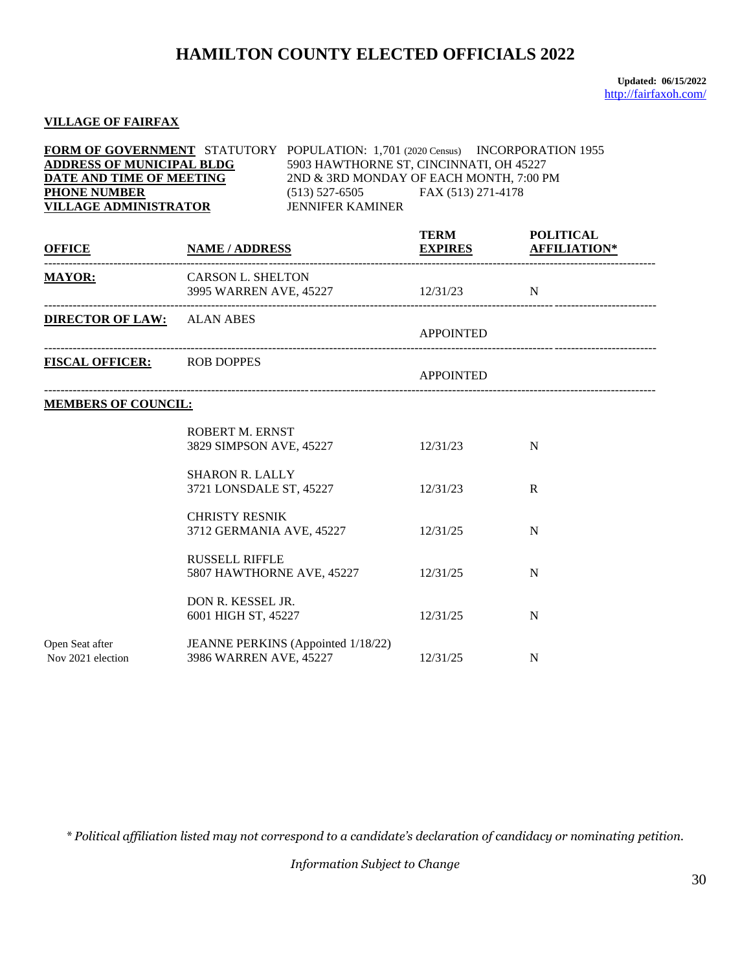**Updated: 06/15/2022** <http://fairfaxoh.com/>

#### **VILLAGE OF FAIRFAX**

| FORM OF GOVERNMENT STATUTORY POPULATION: 1,701 (2020 Census) INCORPORATION 1955<br><b>ADDRESS OF MUNICIPAL BLDG</b><br>DATE AND TIME OF MEETING<br><b>PHONE NUMBER</b><br><b>VILLAGE ADMINISTRATOR</b> |                                                   | (513) 527-6505 FAX (513) 271-4178<br><b>JENNIFER KAMINER</b> | 5903 HAWTHORNE ST, CINCINNATI, OH 45227<br>2ND & 3RD MONDAY OF EACH MONTH, 7:00 PM |                  |  |
|--------------------------------------------------------------------------------------------------------------------------------------------------------------------------------------------------------|---------------------------------------------------|--------------------------------------------------------------|------------------------------------------------------------------------------------|------------------|--|
| <b>OFFICE</b>                                                                                                                                                                                          | <b>NAME / ADDRESS</b>                             |                                                              | <b>TERM</b><br><b>EXPIRES AFFILIATION*</b>                                         | <b>POLITICAL</b> |  |
| <b>MAYOR:</b>                                                                                                                                                                                          | CARSON L. SHELTON                                 | 3995 WARREN AVE, 45227 12/31/23                              |                                                                                    | N                |  |
| <b>DIRECTOR OF LAW:</b> ALAN ABES                                                                                                                                                                      |                                                   |                                                              | <b>APPOINTED</b>                                                                   |                  |  |
| <b>FISCAL OFFICER:</b> ROB DOPPES                                                                                                                                                                      |                                                   |                                                              | <b>APPOINTED</b>                                                                   |                  |  |
| <b>MEMBERS OF COUNCIL:</b>                                                                                                                                                                             |                                                   |                                                              |                                                                                    |                  |  |
|                                                                                                                                                                                                        | ROBERT M. ERNST<br>3829 SIMPSON AVE, 45227        |                                                              | 12/31/23                                                                           | N                |  |
|                                                                                                                                                                                                        | <b>SHARON R. LALLY</b><br>3721 LONSDALE ST, 45227 |                                                              | 12/31/23                                                                           | $\mathbf{R}$     |  |
|                                                                                                                                                                                                        | <b>CHRISTY RESNIK</b>                             | 3712 GERMANIA AVE, 45227                                     | 12/31/25                                                                           | N                |  |
|                                                                                                                                                                                                        | <b>RUSSELL RIFFLE</b>                             | 5807 HAWTHORNE AVE, 45227 12/31/25                           |                                                                                    | N                |  |
|                                                                                                                                                                                                        | DON R. KESSEL JR.<br>6001 HIGH ST, 45227          |                                                              | 12/31/25                                                                           | N                |  |
| Open Seat after<br>Nov 2021 election                                                                                                                                                                   | 3986 WARREN AVE, 45227                            | JEANNE PERKINS (Appointed 1/18/22)                           | 12/31/25                                                                           | N                |  |

*\* Political affiliation listed may not correspond to a candidate's declaration of candidacy or nominating petition.*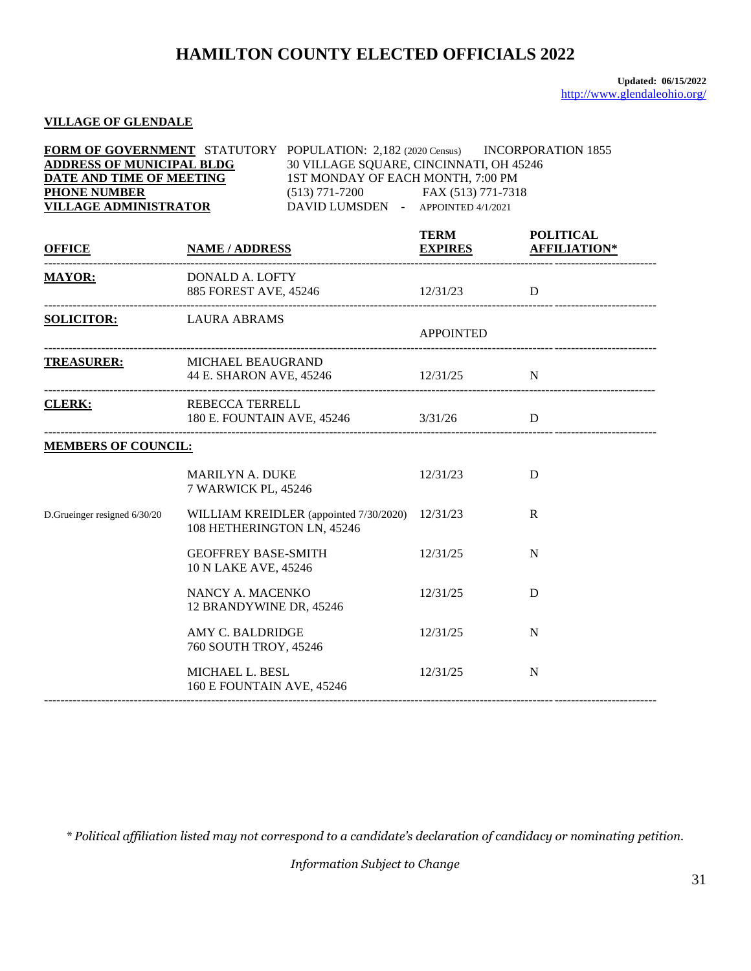#### **VILLAGE OF GLENDALE**

| FORM OF GOVERNMENT STATUTORY POPULATION: 2,182 (2020 Census) INCORPORATION 1855<br><b>ADDRESS OF MUNICIPAL BLDG</b><br>DATE AND TIME OF MEETING<br><b>PHONE NUMBER</b><br><b>VILLAGE ADMINISTRATOR</b> |                                                                                 | 30 VILLAGE SQUARE, CINCINNATI, OH 45246<br>1ST MONDAY OF EACH MONTH, 7:00 PM<br>(513) 771-7200 FAX (513) 771-7318<br>DAVID LUMSDEN - APPOINTED 4/1/2021 |                                               |              |
|--------------------------------------------------------------------------------------------------------------------------------------------------------------------------------------------------------|---------------------------------------------------------------------------------|---------------------------------------------------------------------------------------------------------------------------------------------------------|-----------------------------------------------|--------------|
|                                                                                                                                                                                                        |                                                                                 |                                                                                                                                                         | TERM POLITICAL<br><b>EXPIRES AFFILIATION*</b> |              |
| MAYOR: DONALD A. LOFTY                                                                                                                                                                                 |                                                                                 | 885 FOREST AVE, 45246 12/31/23 D                                                                                                                        |                                               |              |
| <b>SOLICITOR:</b> LAURA ABRAMS                                                                                                                                                                         |                                                                                 |                                                                                                                                                         | <b>APPOINTED</b>                              |              |
| TREASURER: MICHAEL BEAUGRAND<br>---------------------------------                                                                                                                                      |                                                                                 | 44 E. SHARON AVE, 45246 12/31/25 N                                                                                                                      |                                               |              |
|                                                                                                                                                                                                        | CLERK: REBECCA TERRELL<br>180 E. FOUNTAIN AVE, 45246 3/31/26                    |                                                                                                                                                         |                                               | D            |
| <b>MEMBERS OF COUNCIL:</b>                                                                                                                                                                             |                                                                                 |                                                                                                                                                         |                                               |              |
|                                                                                                                                                                                                        | <b>MARILYN A. DUKE</b><br>7 WARWICK PL, 45246                                   |                                                                                                                                                         | 12/31/23                                      | D            |
| D.Grueinger resigned 6/30/20                                                                                                                                                                           | 108 HETHERINGTON LN, 45246                                                      | WILLIAM KREIDLER (appointed 7/30/2020) 12/31/23                                                                                                         |                                               | $\mathbf{R}$ |
|                                                                                                                                                                                                        | <b>GEOFFREY BASE-SMITH</b><br>10 N LAKE AVE, 45246                              |                                                                                                                                                         | 12/31/25                                      | N            |
|                                                                                                                                                                                                        | NANCY A. MACENKO<br>12 BRANDYWINE DR, 45246                                     |                                                                                                                                                         | 12/31/25                                      | D            |
|                                                                                                                                                                                                        | AMY C. BALDRIDGE<br>760 SOUTH TROY, 45246                                       |                                                                                                                                                         | 12/31/25                                      | N            |
|                                                                                                                                                                                                        | MICHAEL L. BESL<br>160 E FOUNTAIN AVE, 45246<br>_______________________________ |                                                                                                                                                         | 12/31/25                                      | N            |

*\* Political affiliation listed may not correspond to a candidate's declaration of candidacy or nominating petition.*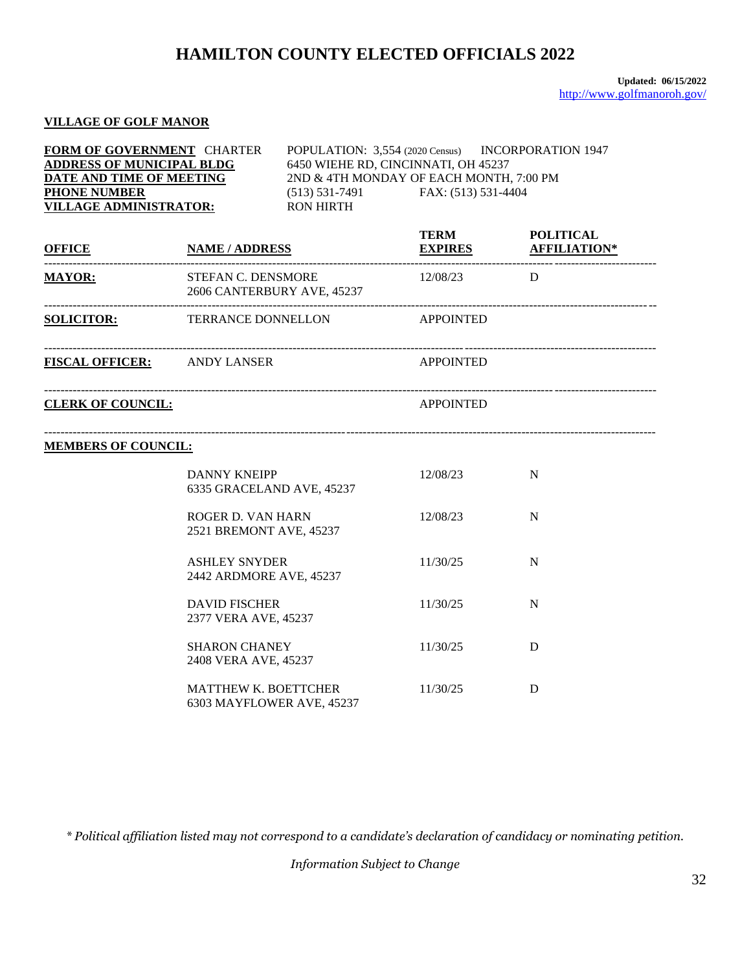#### **VILLAGE OF GOLF MANOR**

| FORM OF GOVERNMENT CHARTER<br><b>ADDRESS OF MUNICIPAL BLDG</b><br>DATE AND TIME OF MEETING<br><b>PHONE NUMBER</b><br><b>VILLAGE ADMINISTRATOR:</b> |                                                          | POPULATION: 3,554 (2020 Census) INCORPORATION 1947<br>6450 WIEHE RD, CINCINNATI, OH 45237<br>2ND & 4TH MONDAY OF EACH MONTH, 7:00 PM<br>$(513) 531-7491$ FAX: $(513) 531-4404$<br><b>RON HIRTH</b> |                  |                                                 |
|----------------------------------------------------------------------------------------------------------------------------------------------------|----------------------------------------------------------|----------------------------------------------------------------------------------------------------------------------------------------------------------------------------------------------------|------------------|-------------------------------------------------|
| <b>OFFICE</b>                                                                                                                                      | <b>NAME / ADDRESS</b>                                    |                                                                                                                                                                                                    | <b>TERM</b>      | <b>POLITICAL</b><br><b>EXPIRES AFFILIATION*</b> |
| <b>MAYOR:</b>                                                                                                                                      | STEFAN C. DENSMORE<br>2606 CANTERBURY AVE, 45237         |                                                                                                                                                                                                    | 12/08/23 D       |                                                 |
| <b>SOLICITOR:</b> TERRANCE DONNELLON APPOINTED                                                                                                     |                                                          |                                                                                                                                                                                                    |                  |                                                 |
| <b>FISCAL OFFICER:</b> ANDY LANSER                                                                                                                 |                                                          |                                                                                                                                                                                                    | <b>APPOINTED</b> |                                                 |
| <b>CLERK OF COUNCIL:</b>                                                                                                                           |                                                          |                                                                                                                                                                                                    | <b>APPOINTED</b> |                                                 |
| <b>MEMBERS OF COUNCIL:</b>                                                                                                                         |                                                          |                                                                                                                                                                                                    |                  |                                                 |
|                                                                                                                                                    | <b>DANNY KNEIPP</b><br>6335 GRACELAND AVE, 45237         |                                                                                                                                                                                                    | 12/08/23         | N                                               |
|                                                                                                                                                    | ROGER D. VAN HARN<br>2521 BREMONT AVE, 45237             |                                                                                                                                                                                                    | 12/08/23         | N                                               |
|                                                                                                                                                    | <b>ASHLEY SNYDER</b><br>2442 ARDMORE AVE, 45237          |                                                                                                                                                                                                    | 11/30/25         | N                                               |
|                                                                                                                                                    | <b>DAVID FISCHER</b><br>2377 VERA AVE, 45237             |                                                                                                                                                                                                    | 11/30/25         | N                                               |
|                                                                                                                                                    | <b>SHARON CHANEY</b><br>2408 VERA AVE, 45237             |                                                                                                                                                                                                    | 11/30/25         | D                                               |
|                                                                                                                                                    | <b>MATTHEW K. BOETTCHER</b><br>6303 MAYFLOWER AVE, 45237 |                                                                                                                                                                                                    | 11/30/25         | D                                               |

*\* Political affiliation listed may not correspond to a candidate's declaration of candidacy or nominating petition.*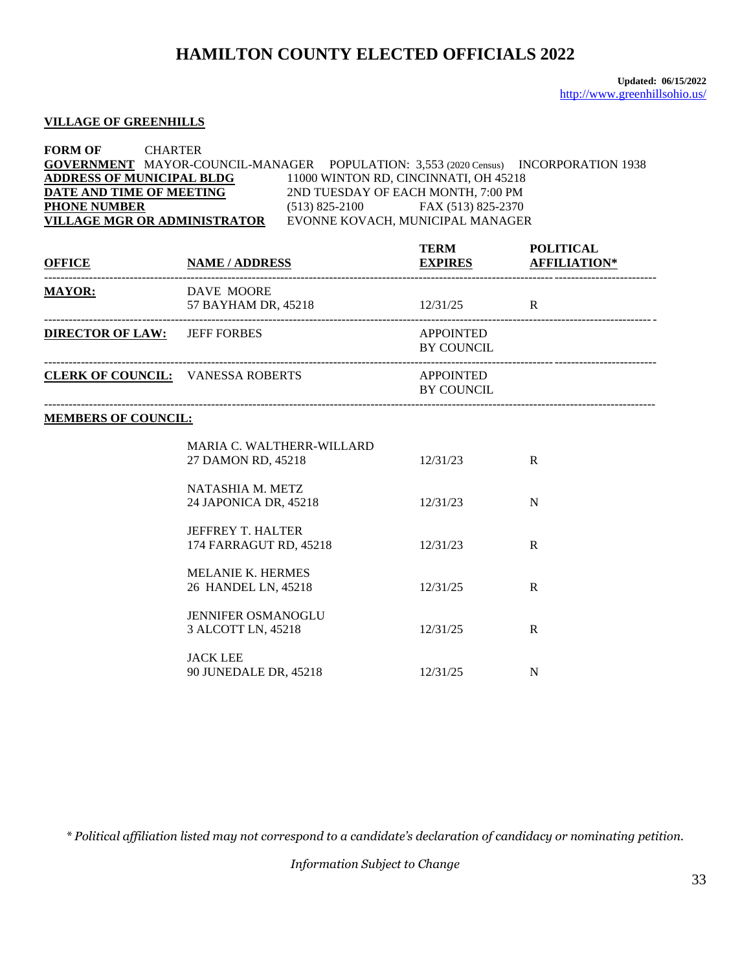#### **VILLAGE OF GREENHILLS**

#### **FORM OF** CHARTER **GOVERNMENT** MAYOR-COUNCIL-MANAGER POPULATION: 3,553 (2020 Census) INCORPORATION 1938 **ADDRESS OF MUNICIPAL BLDG** 11000 WINTON RD, CINCINNATI, OH 45218<br>**DATE AND TIME OF MEETING** 2ND TUESDAY OF EACH MONTH, 7:00 PM 2ND TUESDAY OF EACH MONTH, 7:00 PM **PHONE NUMBER** (513) 825-2100 FAX (513) 825-2370 **VILLAGE MGR OR ADMINISTRATOR** EVONNE KOVACH, MUNICIPAL MANAGER

| OFFICE NAME / ADDRESS                    |                                                        | <b>TERM</b><br><b>EXPIRES AFFILIATION*</b> | <b>POLITICAL</b> |
|------------------------------------------|--------------------------------------------------------|--------------------------------------------|------------------|
| <b>MAYOR:</b>                            | DAVE MOORE<br>57 BAYHAM DR, 45218 12/31/25 R           |                                            |                  |
| <b>DIRECTOR OF LAW:</b> JEFF FORBES      |                                                        | APPOINTED<br><b>BY COUNCIL</b>             |                  |
| <b>CLERK OF COUNCIL: VANESSA ROBERTS</b> |                                                        | APPOINTED<br><b>BY COUNCIL</b>             |                  |
| <b>MEMBERS OF COUNCIL:</b>               |                                                        |                                            |                  |
|                                          | <b>MARIA C. WALTHERR-WILLARD</b><br>27 DAMON RD, 45218 | 12/31/23                                   | R                |
|                                          | NATASHIA M. METZ<br>24 JAPONICA DR, 45218              | 12/31/23                                   | N                |
|                                          | <b>JEFFREY T. HALTER</b><br>174 FARRAGUT RD, 45218     | 12/31/23                                   | R                |
|                                          | <b>MELANIE K. HERMES</b><br>26 HANDEL LN, 45218        | 12/31/25                                   | $\mathbf{R}$     |
|                                          | <b>JENNIFER OSMANOGLU</b><br>3 ALCOTT LN, 45218        | 12/31/25                                   | $\mathbf{R}$     |
|                                          | <b>JACK LEE</b><br>90 JUNEDALE DR, 45218               | 12/31/25                                   | N                |

*\* Political affiliation listed may not correspond to a candidate's declaration of candidacy or nominating petition.*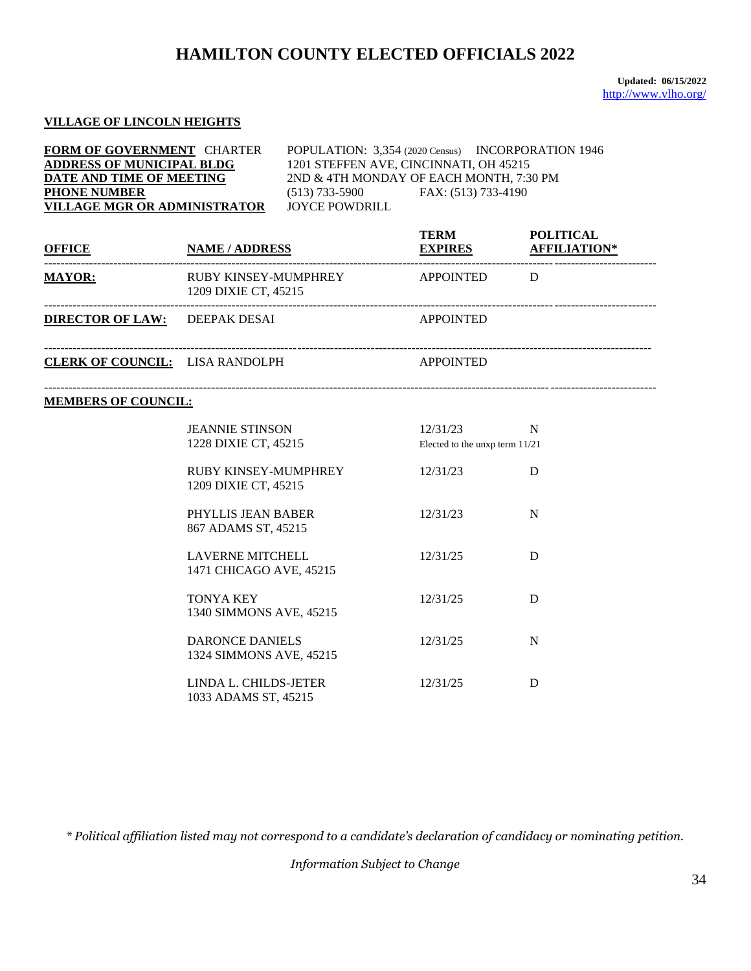**Updated: 06/15/2022** <http://www.vlho.org/>

#### **VILLAGE OF LINCOLN HEIGHTS**

**FORM OF GOVERNMENT** CHARTER POPULATION: 3,354 (2020 Census) INCORPORATION 1946 **ADDRESS OF MUNICIPAL BLDG** 1201 STEFFEN AVE, CINCINNATI, OH 45215 **DATE AND TIME OF MEETING** 2ND & 4TH MONDAY OF EACH MONTH, 7:30 PM **PHONE NUMBER** (513) 733-5900 FAX: (513) 733-4190 **VILLAGE MGR OR ADMINISTRATOR** JOYCE POWDRILL

| <b>OFFICE</b>           | <b>NAME/ADDRESS</b>                                 | <b>TERM</b><br><b>EXPIRES</b> | <b>POLITICAL</b><br><b>AFFILIATION*</b> |
|-------------------------|-----------------------------------------------------|-------------------------------|-----------------------------------------|
| <b>MAYOR:</b>           | <b>RUBY KINSEY-MUMPHREY</b><br>1209 DIXIE CT, 45215 | <b>APPOINTED</b>              | D                                       |
| <b>DIRECTOR OF LAW:</b> | DEEPAK DESAI                                        | <b>APPOINTED</b>              |                                         |

------------------------------------------------------------------------------------------------------------------------------------------------------

**CLERK OF COUNCIL:** LISA RANDOLPH APPOINTED

#### **MEMBERS OF COUNCIL:**

| <b>JEANNIE STINSON</b><br>1228 DIXIE CT, 45215     | 12/31/23<br>Elected to the unxp term $11/21$ | N |
|----------------------------------------------------|----------------------------------------------|---|
| RUBY KINSEY-MUMPHREY<br>1209 DIXIE CT, 45215       | 12/31/23                                     | D |
| PHYLLIS JEAN BABER<br>867 ADAMS ST, 45215          | 12/31/23                                     | N |
| <b>LAVERNE MITCHELL</b><br>1471 CHICAGO AVE, 45215 | 12/31/25                                     | D |
| <b>TONYA KEY</b><br>1340 SIMMONS AVE, 45215        | 12/31/25                                     | D |
| DARONCE DANIELS<br>1324 SIMMONS AVE, 45215         | 12/31/25                                     | N |
| LINDA L. CHILDS-JETER<br>1033 ADAMS ST, 45215      | 12/31/25                                     | D |

*\* Political affiliation listed may not correspond to a candidate's declaration of candidacy or nominating petition.*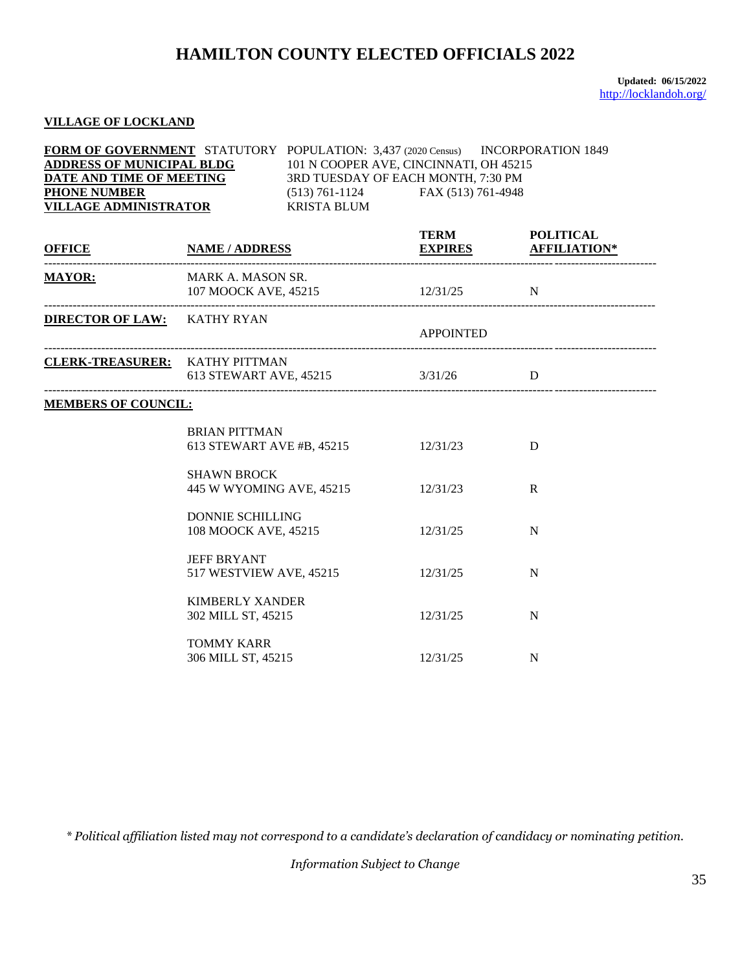**Updated: 06/15/2022** <http://locklandoh.org/>

### **VILLAGE OF LOCKLAND**

| <b>FORM OF GOVERNMENT</b> STATUTORY POPULATION: 3,437 (2020 Census) INCORPORATION 1849<br><b>ADDRESS OF MUNICIPAL BLDG</b><br>DATE AND TIME OF MEETING<br><b>PHONE NUMBER</b><br><b>VILLAGE ADMINISTRATOR</b> |                                                 | 101 N COOPER AVE, CINCINNATI, OH 45215<br>3RD TUESDAY OF EACH MONTH, 7:30 PM<br>(513) 761-1124 FAX (513) 761-4948<br>KRISTA BLUM |                                               |   |
|---------------------------------------------------------------------------------------------------------------------------------------------------------------------------------------------------------------|-------------------------------------------------|----------------------------------------------------------------------------------------------------------------------------------|-----------------------------------------------|---|
| <u>OFFICE NAME / ADDRESS EXPIRES AFFILIATION</u>                                                                                                                                                              |                                                 |                                                                                                                                  | TERM POLITICAL<br><b>EXPIRES AFFILIATION*</b> |   |
| <b>MAYOR:</b>                                                                                                                                                                                                 | MARK A. MASON SR.<br>107 MOOCK AVE, 45215       |                                                                                                                                  | $12/31/25$ N                                  |   |
| <b>DIRECTOR OF LAW:</b> KATHY RYAN                                                                                                                                                                            |                                                 |                                                                                                                                  | <b>APPOINTED</b>                              |   |
| <b>CLERK-TREASURER:</b> KATHY PITTMAN                                                                                                                                                                         |                                                 | 613 STEWART AVE, 45215 3/31/26 D                                                                                                 |                                               |   |
| <b>MEMBERS OF COUNCIL:</b>                                                                                                                                                                                    |                                                 |                                                                                                                                  |                                               |   |
|                                                                                                                                                                                                               | <b>BRIAN PITTMAN</b>                            | 613 STEWART AVE #B, 45215 12/31/23                                                                                               |                                               | D |
|                                                                                                                                                                                                               | <b>SHAWN BROCK</b><br>445 W WYOMING AVE, 45215  |                                                                                                                                  | 12/31/23                                      | R |
|                                                                                                                                                                                                               | <b>DONNIE SCHILLING</b><br>108 MOOCK AVE, 45215 |                                                                                                                                  | 12/31/25                                      | N |
|                                                                                                                                                                                                               | <b>JEFF BRYANT</b><br>517 WESTVIEW AVE, 45215   |                                                                                                                                  | 12/31/25                                      | N |
|                                                                                                                                                                                                               | <b>KIMBERLY XANDER</b><br>302 MILL ST, 45215    |                                                                                                                                  | 12/31/25                                      | N |
|                                                                                                                                                                                                               | <b>TOMMY KARR</b><br>306 MILL ST, 45215         |                                                                                                                                  | 12/31/25                                      | N |

*\* Political affiliation listed may not correspond to a candidate's declaration of candidacy or nominating petition.*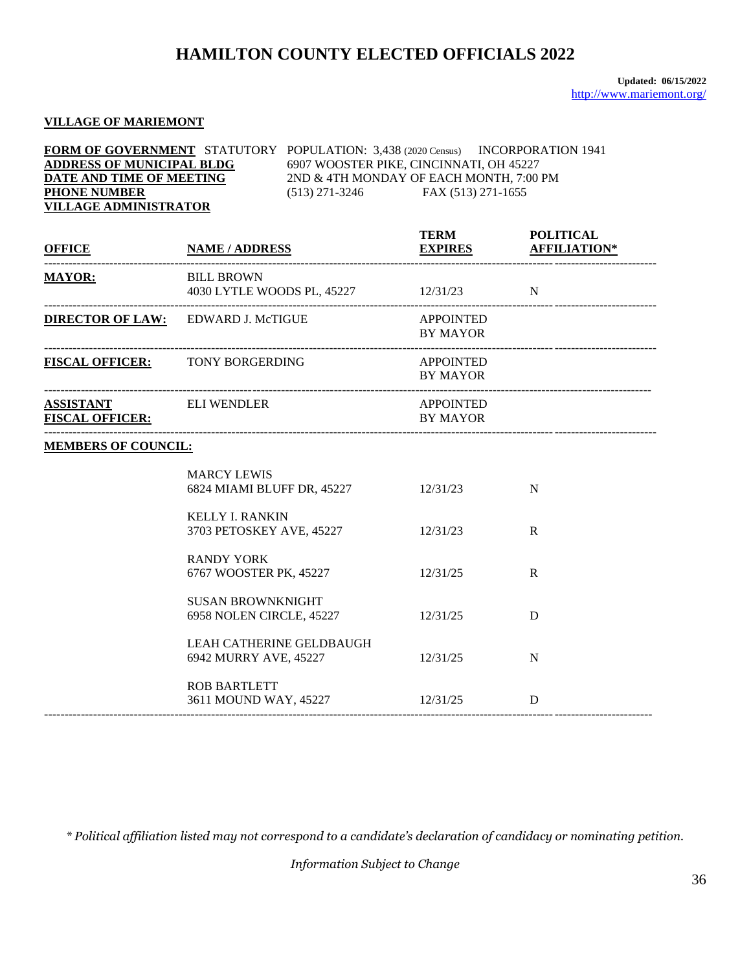### **VILLAGE OF MARIEMONT**

| <b>FORM OF GOVERNMENT</b> STATUTORY POPULATION: 3,438 (2020 Census) INCORPORATION 1941 |                                         |                    |
|----------------------------------------------------------------------------------------|-----------------------------------------|--------------------|
| <b>ADDRESS OF MUNICIPAL BLDG</b>                                                       | 6907 WOOSTER PIKE, CINCINNATI, OH 45227 |                    |
| DATE AND TIME OF MEETING                                                               | 2ND & 4TH MONDAY OF EACH MONTH, 7:00 PM |                    |
| <b>PHONE NUMBER</b>                                                                    | (513) 271-3246                          | FAX (513) 271-1655 |
| <b>VILLAGE ADMINISTRATOR</b>                                                           |                                         |                    |

| <b>OFFICE</b>                                          | <b>NAME / ADDRESS</b>                                      | <b>TERM</b><br><b>EXPIRES AFFILIATION*</b> | <b>POLITICAL</b> |
|--------------------------------------------------------|------------------------------------------------------------|--------------------------------------------|------------------|
| <b>MAYOR:</b>                                          | <b>BILL BROWN</b><br>4030 LYTLE WOODS PL, 45227 12/31/23 N |                                            |                  |
|                                                        | <b>DIRECTOR OF LAW:</b> EDWARD J. McTIGUE                  | <b>APPOINTED</b><br><b>BY MAYOR</b>        |                  |
| <b>FISCAL OFFICER:</b> TONY BORGERDING                 |                                                            | <b>APPOINTED</b><br><b>BY MAYOR</b>        |                  |
| <b>ASSISTANT</b> ELI WENDLER<br><b>FISCAL OFFICER:</b> |                                                            | APPOINTED<br><b>BY MAYOR</b>               |                  |
| <b>MEMBERS OF COUNCIL:</b>                             |                                                            |                                            |                  |
|                                                        | <b>MARCY LEWIS</b><br>6824 MIAMI BLUFF DR, 45227 12/31/23  |                                            | N                |
|                                                        | <b>KELLY I. RANKIN</b><br>3703 PETOSKEY AVE, 45227         | 12/31/23                                   | $\mathbf R$      |
|                                                        | <b>RANDY YORK</b><br>6767 WOOSTER PK, 45227                | 12/31/25                                   | $\mathbf{R}$     |
|                                                        | <b>SUSAN BROWNKNIGHT</b><br>6958 NOLEN CIRCLE, 45227       | 12/31/25                                   | D                |
|                                                        | LEAH CATHERINE GELDBAUGH<br>6942 MURRY AVE, 45227          | 12/31/25                                   | N                |
|                                                        | <b>ROB BARTLETT</b><br>3611 MOUND WAY, 45227 12/31/25      |                                            | D                |

*\* Political affiliation listed may not correspond to a candidate's declaration of candidacy or nominating petition.*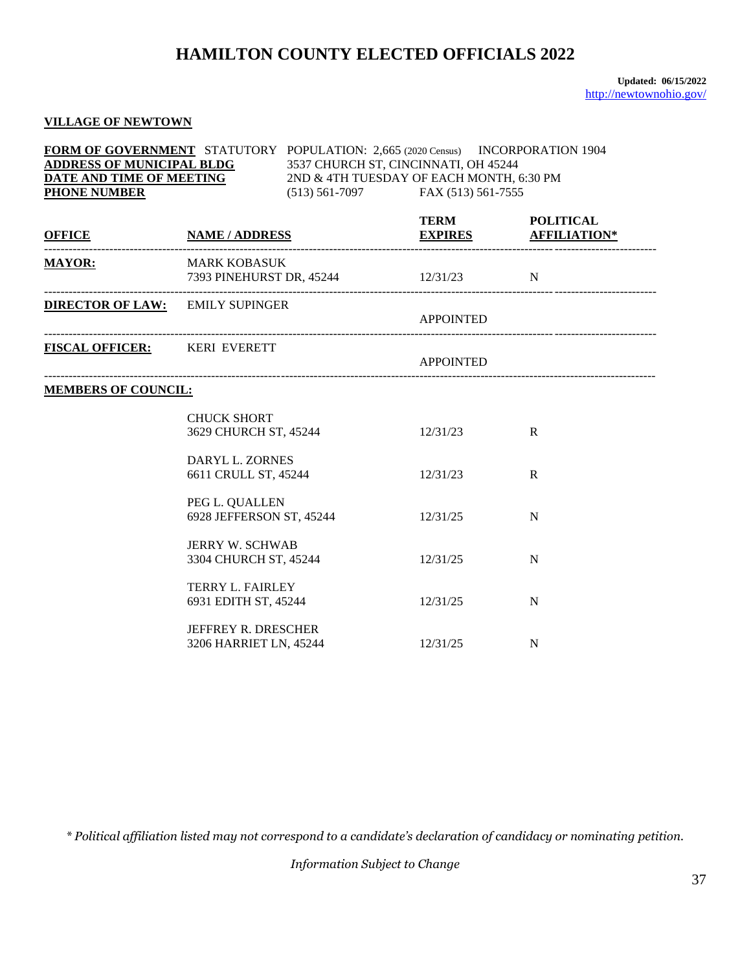**Updated: 06/15/2022** <http://newtownohio.gov/>

### **VILLAGE OF NEWTOWN**

| <b>FORM OF GOVERNMENT</b> STATUTORY POPULATION: 2.665 (2020 Census) |                                          | INCORPORATION 1904 |
|---------------------------------------------------------------------|------------------------------------------|--------------------|
| <b>ADDRESS OF MUNICIPAL BLDG</b>                                    | 3537 CHURCH ST, CINCINNATI, OH 45244     |                    |
| DATE AND TIME OF MEETING                                            | 2ND & 4TH TUESDAY OF EACH MONTH, 6:30 PM |                    |
| <b>PHONE NUMBER</b>                                                 | $(513) 561 - 7097$                       | FAX (513) 561-7555 |

| <u>OFFICE</u>                          | <b>NAME / ADDRESS</b>                                | <b>TERM</b>      | <b>POLITICAL</b><br><b>EXPIRES AFFILIATION*</b> |
|----------------------------------------|------------------------------------------------------|------------------|-------------------------------------------------|
| <b>MAYOR:</b>                          | MARK KOBASUK<br>7393 PINEHURST DR, 45244 12/31/23 N  |                  |                                                 |
| <b>DIRECTOR OF LAW: EMILY SUPINGER</b> |                                                      | <b>APPOINTED</b> |                                                 |
| <b>FISCAL OFFICER:</b> KERI EVERETT    |                                                      | APPOINTED        |                                                 |
| <b>MEMBERS OF COUNCIL:</b>             |                                                      |                  |                                                 |
|                                        | <b>CHUCK SHORT</b><br>3629 CHURCH ST, 45244          | 12/31/23         | $\mathbf R$                                     |
|                                        | DARYL L. ZORNES<br>6611 CRULL ST, 45244              | 12/31/23         | R                                               |
|                                        | PEG L. QUALLEN<br>6928 JEFFERSON ST, 45244           | 12/31/25         | N                                               |
|                                        | <b>JERRY W. SCHWAB</b><br>3304 CHURCH ST, 45244      | 12/31/25         | N                                               |
|                                        | <b>TERRY L. FAIRLEY</b><br>6931 EDITH ST, 45244      | 12/31/25         | N                                               |
|                                        | <b>JEFFREY R. DRESCHER</b><br>3206 HARRIET LN, 45244 | 12/31/25         | N                                               |

*\* Political affiliation listed may not correspond to a candidate's declaration of candidacy or nominating petition.*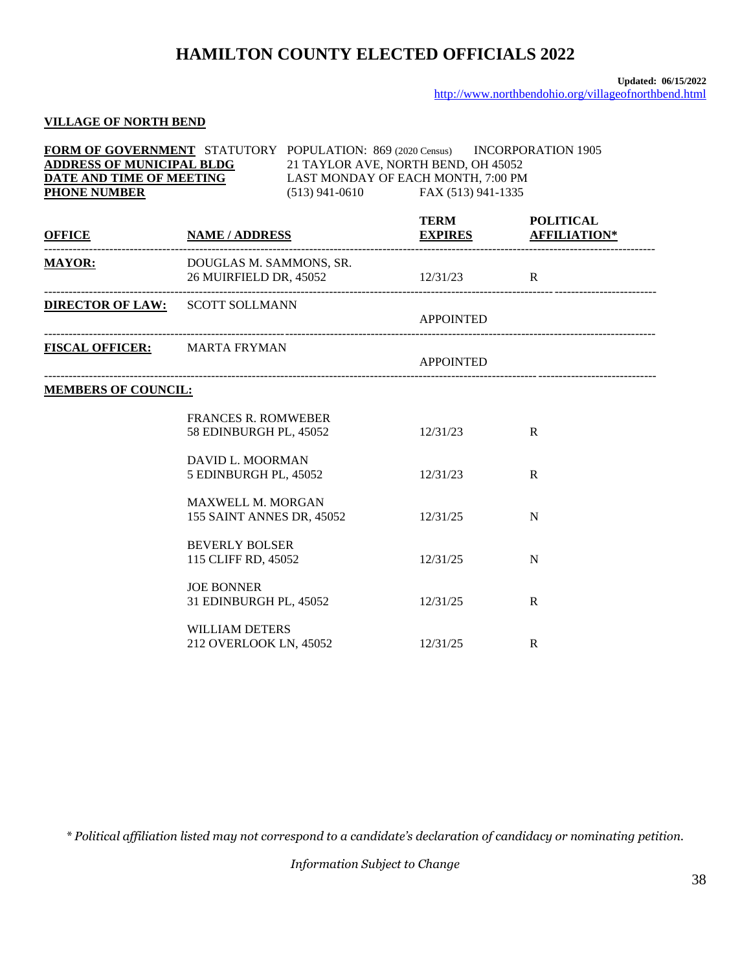#### **Updated: 06/15/2022** <http://www.northbendohio.org/villageofnorthbend.html>

## **VILLAGE OF NORTH BEND**

| FORM OF GOVERNMENT STATUTORY POPULATION: 869 (2020 Census) INCORPORATION 1905<br><b>ADDRESS OF MUNICIPAL BLDG<br/>DATE AND TIME OF MEETING</b><br>21 TAYLOR AVE, NORTH BEND, OH 45052<br>LAST MONDAY OF EACH MONTH, 7:00 PM<br><b>PHONE NUMBER</b><br>(513) 941-0610 FAX (513) 941-1335 |                                                       |  |                  |                                               |  |
|-----------------------------------------------------------------------------------------------------------------------------------------------------------------------------------------------------------------------------------------------------------------------------------------|-------------------------------------------------------|--|------------------|-----------------------------------------------|--|
| <u>OFFICE</u> NAME/ADDRESS                                                                                                                                                                                                                                                              |                                                       |  |                  | TERM POLITICAL<br><b>EXPIRES AFFILIATION*</b> |  |
| <b>MAYOR:</b><br>___________________________________                                                                                                                                                                                                                                    | DOUGLAS M. SAMMONS, SR.<br>26 MUIRFIELD DR, 45052     |  |                  |                                               |  |
|                                                                                                                                                                                                                                                                                         | <b>DIRECTOR OF LAW:</b> SCOTT SOLLMANN                |  | <b>APPOINTED</b> |                                               |  |
| FISCAL OFFICER: MARTA FRYMAN                                                                                                                                                                                                                                                            |                                                       |  | <b>APPOINTED</b> |                                               |  |
| <b>MEMBERS OF COUNCIL:</b>                                                                                                                                                                                                                                                              |                                                       |  |                  |                                               |  |
|                                                                                                                                                                                                                                                                                         | <b>FRANCES R. ROMWEBER</b><br>58 EDINBURGH PL, 45052  |  | 12/31/23         | $\mathbb{R}$                                  |  |
|                                                                                                                                                                                                                                                                                         | DAVID L. MOORMAN<br>5 EDINBURGH PL, 45052             |  | 12/31/23         | R                                             |  |
|                                                                                                                                                                                                                                                                                         | <b>MAXWELL M. MORGAN</b><br>155 SAINT ANNES DR, 45052 |  | 12/31/25         | N                                             |  |
|                                                                                                                                                                                                                                                                                         | <b>BEVERLY BOLSER</b><br>115 CLIFF RD, 45052          |  | 12/31/25         | N                                             |  |
|                                                                                                                                                                                                                                                                                         | <b>JOE BONNER</b><br>31 EDINBURGH PL, 45052           |  | 12/31/25         | $\mathsf{R}$                                  |  |
|                                                                                                                                                                                                                                                                                         | <b>WILLIAM DETERS</b><br>212 OVERLOOK LN, 45052       |  | 12/31/25         | R                                             |  |

*\* Political affiliation listed may not correspond to a candidate's declaration of candidacy or nominating petition.*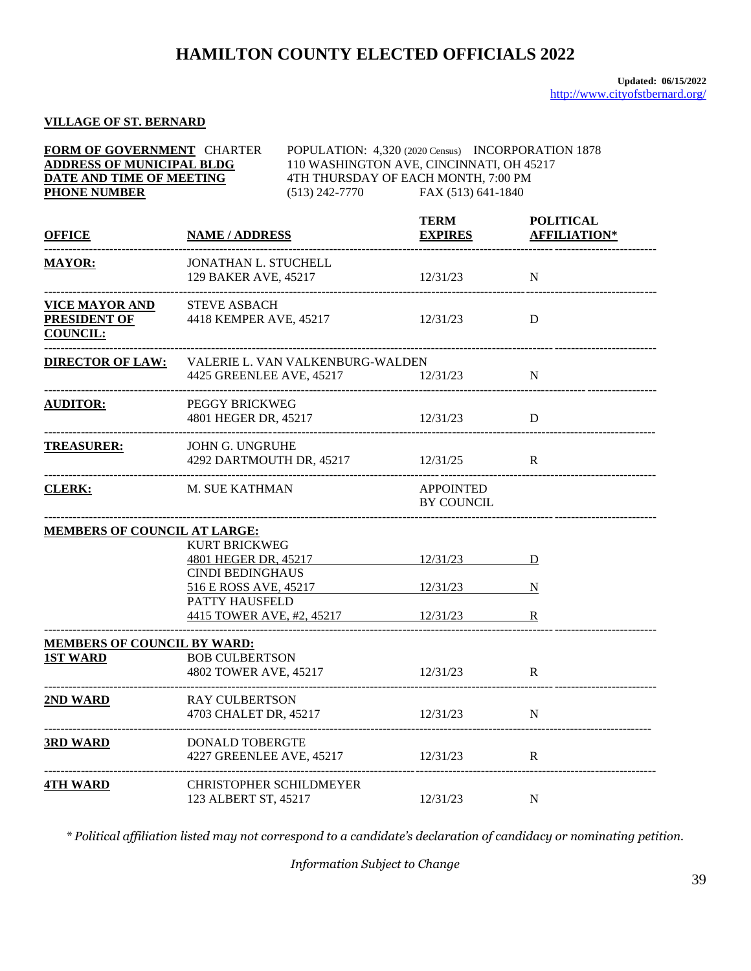**FORM OF GOVERNMENT** CHARTER POPULATION: 4,320 (2020 Census) INCORPORATION 1878

### **VILLAGE OF ST. BERNARD**

| <b>ADDRESS OF MUNICIPAL BLDG</b><br>DATE AND TIME OF MEETING<br><b>PHONE NUMBER</b> |                                                              |  | 110 WASHINGTON AVE, CINCINNATI, OH 45217<br>4TH THURSDAY OF EACH MONTH, 7:00 PM<br>$(513)$ 242-7770 FAX $(513)$ 641-1840 |                                         |
|-------------------------------------------------------------------------------------|--------------------------------------------------------------|--|--------------------------------------------------------------------------------------------------------------------------|-----------------------------------------|
| <b>OFFICE</b>                                                                       | <b>NAME / ADDRESS</b>                                        |  | <b>TERM</b><br><b>EXPIRES</b>                                                                                            | <b>POLITICAL</b><br><b>AFFILIATION*</b> |
| <b>MAYOR:</b><br>---------------------------------                                  | JONATHAN L. STUCHELL<br>129 BAKER AVE, 45217                 |  | 12/31/23                                                                                                                 | $\mathbf N$                             |
| VICE MAYOR AND<br>PRESIDENT OF<br><b>COUNCIL:</b>                                   | <b>STEVE ASBACH</b><br>4418 KEMPER AVE, 45217                |  | 12/31/23                                                                                                                 | D                                       |
| <b>DIRECTOR OF LAW:</b>                                                             | VALERIE L. VAN VALKENBURG-WALDEN<br>4425 GREENLEE AVE, 45217 |  | 12/31/23                                                                                                                 | N                                       |
| <b>AUDITOR:</b>                                                                     | PEGGY BRICKWEG<br>4801 HEGER DR, 45217                       |  | 12/31/23                                                                                                                 | D                                       |
| <b>TREASURER:</b>                                                                   | <b>JOHN G. UNGRUHE</b><br>4292 DARTMOUTH DR, 45217 12/31/25  |  |                                                                                                                          | $\mathbf{R}$                            |
| <b>CLERK:</b>                                                                       | M. SUE KATHMAN                                               |  | <b>APPOINTED</b><br><b>BY COUNCIL</b>                                                                                    |                                         |
| <b>MEMBERS OF COUNCIL AT LARGE:</b>                                                 |                                                              |  |                                                                                                                          |                                         |
|                                                                                     | <b>KURT BRICKWEG</b>                                         |  |                                                                                                                          |                                         |
|                                                                                     | 4801 HEGER DR, 45217                                         |  | 12/31/23                                                                                                                 | D                                       |
|                                                                                     | <b>CINDI BEDINGHAUS</b>                                      |  |                                                                                                                          |                                         |
|                                                                                     | 516 E ROSS AVE, 45217<br>PATTY HAUSFELD                      |  | 12/31/23                                                                                                                 | $\overline{\mathbf{N}}$                 |
|                                                                                     | 4415 TOWER AVE, #2, 45217 12/31/23                           |  |                                                                                                                          | $\mathbf R$                             |
| <b>MEMBERS OF COUNCIL BY WARD:</b>                                                  |                                                              |  |                                                                                                                          |                                         |
| <b>1ST WARD</b>                                                                     | <b>BOB CULBERTSON</b><br>4802 TOWER AVE, 45217 12/31/23      |  |                                                                                                                          | $\mathbf R$                             |
| 2ND WARD                                                                            | <b>RAY CULBERTSON</b><br>4703 CHALET DR, 45217               |  | 12/31/23                                                                                                                 | N                                       |
| <b>3RD WARD</b>                                                                     | DONALD TOBERGTE<br>4227 GREENLEE AVE, 45217                  |  | 12/31/23                                                                                                                 | $\mathbf R$                             |
| <b>4TH WARD</b>                                                                     | CHRISTOPHER SCHILDMEYER<br>123 ALBERT ST, 45217              |  | 12/31/23                                                                                                                 | N                                       |

*\* Political affiliation listed may not correspond to a candidate's declaration of candidacy or nominating petition.*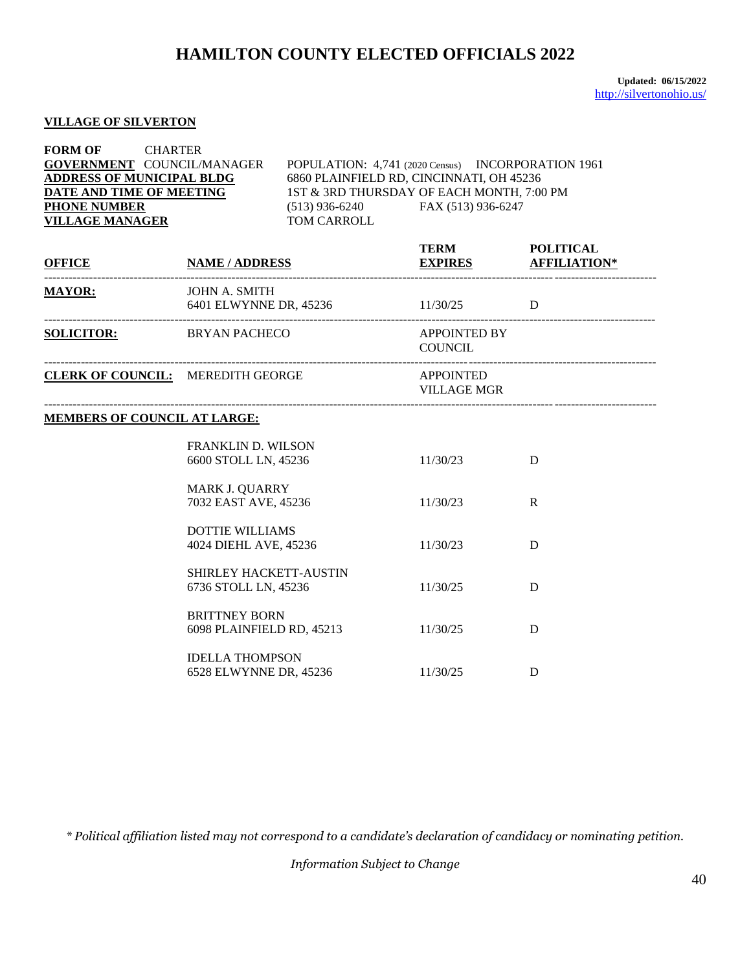### **VILLAGE OF SILVERTON**

| <b>FORM OF</b><br><b>CHARTER</b><br><b>GOVERNMENT COUNCIL/MANAGER</b><br><b>ADDRESS OF MUNICIPAL BLDG</b><br>DATE AND TIME OF MEETING<br><b>PHONE NUMBER</b><br><b>VILLAGE MANAGER</b> |                                                           | POPULATION: 4,741 (2020 Census) INCORPORATION 1961<br>6860 PLAINFIELD RD, CINCINNATI, OH 45236<br>1ST & 3RD THURSDAY OF EACH MONTH, 7:00 PM<br>(513) 936-6240 FAX (513) 936-6247<br>TOM CARROLL |                                               |             |
|----------------------------------------------------------------------------------------------------------------------------------------------------------------------------------------|-----------------------------------------------------------|-------------------------------------------------------------------------------------------------------------------------------------------------------------------------------------------------|-----------------------------------------------|-------------|
| <u>OFFICE NAME / ADDRESS</u>                                                                                                                                                           |                                                           |                                                                                                                                                                                                 | TERM POLITICAL<br><b>EXPIRES AFFILIATION*</b> |             |
| <b>MAYOR:</b>                                                                                                                                                                          | <b>JOHN A. SMITH</b><br>6401 ELWYNNE DR, 45236 11/30/25 D |                                                                                                                                                                                                 |                                               |             |
| SOLICITOR: BRYAN PACHECO                                                                                                                                                               |                                                           |                                                                                                                                                                                                 | <b>APPOINTED BY</b><br><b>COUNCIL</b>         |             |
| <b>CLERK OF COUNCIL:</b> MEREDITH GEORGE                                                                                                                                               |                                                           |                                                                                                                                                                                                 | <b>APPOINTED</b><br><b>VILLAGE MGR</b>        |             |
| <b>MEMBERS OF COUNCIL AT LARGE:</b>                                                                                                                                                    |                                                           |                                                                                                                                                                                                 |                                               |             |
|                                                                                                                                                                                        | <b>FRANKLIN D. WILSON</b><br>6600 STOLL LN, 45236         |                                                                                                                                                                                                 | 11/30/23                                      | D           |
|                                                                                                                                                                                        | <b>MARK J. QUARRY</b><br>7032 EAST AVE, 45236             |                                                                                                                                                                                                 | 11/30/23                                      | $\mathbf R$ |
|                                                                                                                                                                                        | <b>DOTTIE WILLIAMS</b><br>4024 DIEHL AVE, 45236           |                                                                                                                                                                                                 | 11/30/23                                      | D           |
|                                                                                                                                                                                        | SHIRLEY HACKETT-AUSTIN<br>6736 STOLL LN, 45236            |                                                                                                                                                                                                 | 11/30/25                                      | D           |
|                                                                                                                                                                                        | <b>BRITTNEY BORN</b><br>6098 PLAINFIELD RD, 45213         |                                                                                                                                                                                                 | 11/30/25                                      | D           |
|                                                                                                                                                                                        | <b>IDELLA THOMPSON</b><br>6528 ELWYNNE DR, 45236          |                                                                                                                                                                                                 | 11/30/25                                      | D           |

*\* Political affiliation listed may not correspond to a candidate's declaration of candidacy or nominating petition.*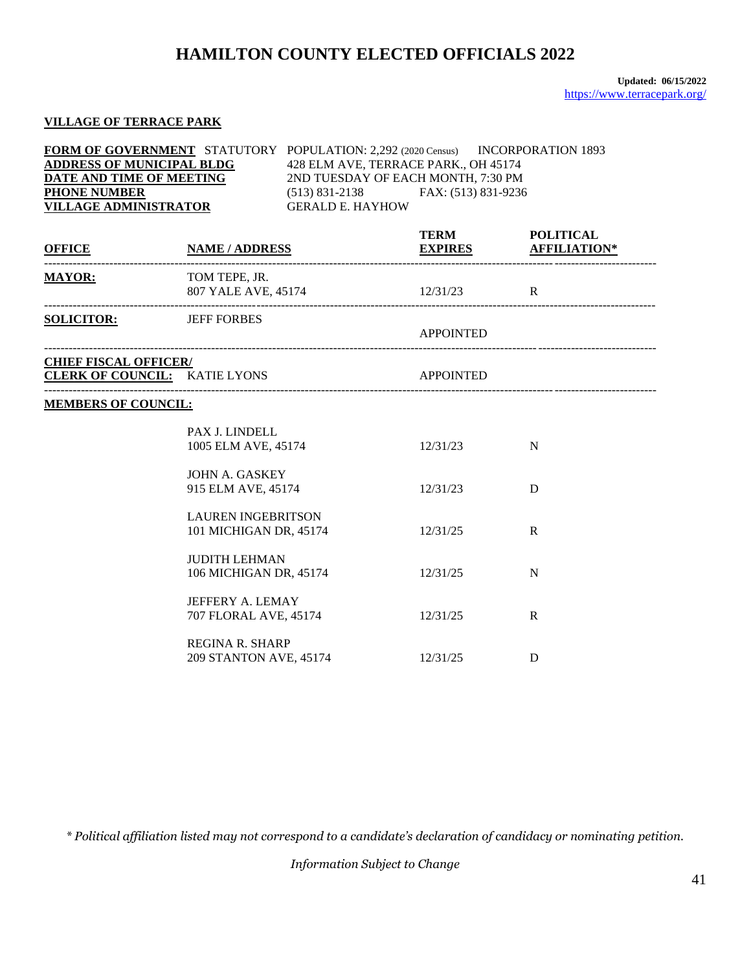### **VILLAGE OF TERRACE PARK**

| <b>FORM OF GOVERNMENT</b> STATUTORY POPULATION: 2,292 (2020 Census) | INCORPORATION 1893                      |
|---------------------------------------------------------------------|-----------------------------------------|
| <b>ADDRESS OF MUNICIPAL BLDG</b>                                    | 428 ELM AVE, TERRACE PARK., OH 45174    |
| DATE AND TIME OF MEETING                                            | 2ND TUESDAY OF EACH MONTH, 7:30 PM      |
| <b>PHONE NUMBER</b>                                                 | FAX: (513) 831-9236<br>$(513)$ 831-2138 |
| <b>VILLAGE ADMINISTRATOR</b>                                        | <b>GERALD E. HAYHOW</b>                 |

| OFFICE                        | <b>NAME / ADDRESS</b>                               | <b>TERM</b><br><b>EXPIRES</b> | <b>POLITICAL</b><br><b>AFFILIATION*</b> |
|-------------------------------|-----------------------------------------------------|-------------------------------|-----------------------------------------|
| <b>MAYOR:</b>                 | TOM TEPE, JR.<br>807 YALE AVE, 45174 12/31/23 R     |                               |                                         |
| <b>SOLICITOR:</b> JEFF FORBES |                                                     | <b>APPOINTED</b>              |                                         |
| <b>CHIEF FISCAL OFFICER/</b>  | <b>CLERK OF COUNCIL:</b> KATIE LYONS                | <b>APPOINTED</b>              |                                         |
| <b>MEMBERS OF COUNCIL:</b>    |                                                     |                               |                                         |
|                               | PAX J. LINDELL<br>1005 ELM AVE, 45174               | 12/31/23                      | N                                       |
|                               | JOHN A. GASKEY<br>915 ELM AVE, 45174                | 12/31/23                      | D                                       |
|                               | <b>LAUREN INGEBRITSON</b><br>101 MICHIGAN DR, 45174 | 12/31/25                      | $\mathbf R$                             |
|                               | <b>JUDITH LEHMAN</b><br>106 MICHIGAN DR, 45174      | 12/31/25                      | N                                       |
|                               | <b>JEFFERY A. LEMAY</b><br>707 FLORAL AVE, 45174    | 12/31/25                      | $\mathbf R$                             |
|                               | <b>REGINA R. SHARP</b><br>209 STANTON AVE, 45174    | 12/31/25                      | D                                       |

*\* Political affiliation listed may not correspond to a candidate's declaration of candidacy or nominating petition.*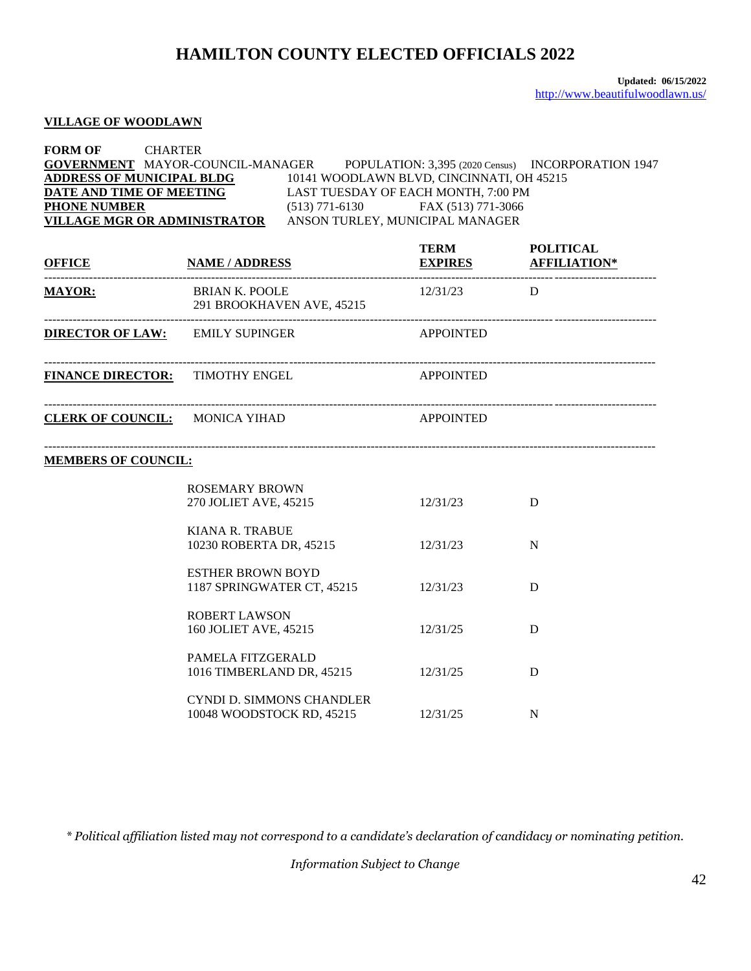#### **VILLAGE OF WOODLAWN**

#### **FORM OF** CHARTER **GOVERNMENT** MAYOR-COUNCIL-MANAGER POPULATION: 3,395 (2020 Census) INCORPORATION 1947 **ADDRESS OF MUNICIPAL BLDG** 10141 WOODLAWN BLVD, CINCINNATI, OH 45215<br>DATE AND TIME OF MEETING LAST TUESDAY OF EACH MONTH, 7:00 PM LAST TUESDAY OF EACH MONTH, 7:00 PM **PHONE NUMBER** (513) 771-6130 FAX (513) 771-3066 **VILLAGE MGR OR ADMINISTRATOR** ANSON TURLEY, MUNICIPAL MANAGER

| <b>OFFICE</b>                                                | <b>NAME / ADDRESS</b>                                         | <b>TERM</b>      | <b>POLITICAL</b><br><b>EXPIRES AFFILIATION*</b> |
|--------------------------------------------------------------|---------------------------------------------------------------|------------------|-------------------------------------------------|
| <b>MAYOR:</b><br>BRIAN K. POOLE<br>291 BROOKHAVEN AVE, 45215 |                                                               | $12/31/23$ D     |                                                 |
|                                                              | <b>DIRECTOR OF LAW:</b> EMILY SUPINGER                        | <b>APPOINTED</b> |                                                 |
| <b>FINANCE DIRECTOR: TIMOTHY ENGEL</b>                       |                                                               | <b>APPOINTED</b> |                                                 |
| CLERK OF COUNCIL: MONICA YIHAD                               |                                                               | APPOINTED        |                                                 |
| <b>MEMBERS OF COUNCIL:</b>                                   |                                                               |                  |                                                 |
|                                                              | <b>ROSEMARY BROWN</b><br>270 JOLIET AVE, 45215                | 12/31/23         | D                                               |
|                                                              | <b>KIANA R. TRABUE</b><br>10230 ROBERTA DR, 45215             | 12/31/23         | N                                               |
|                                                              | <b>ESTHER BROWN BOYD</b><br>1187 SPRINGWATER CT, 45215        | 12/31/23         | D                                               |
|                                                              | <b>ROBERT LAWSON</b><br>160 JOLIET AVE, 45215                 | 12/31/25         | D                                               |
|                                                              | PAMELA FITZGERALD<br>1016 TIMBERLAND DR, 45215                | 12/31/25         | D                                               |
|                                                              | <b>CYNDI D. SIMMONS CHANDLER</b><br>10048 WOODSTOCK RD, 45215 | 12/31/25         | N                                               |

*\* Political affiliation listed may not correspond to a candidate's declaration of candidacy or nominating petition.*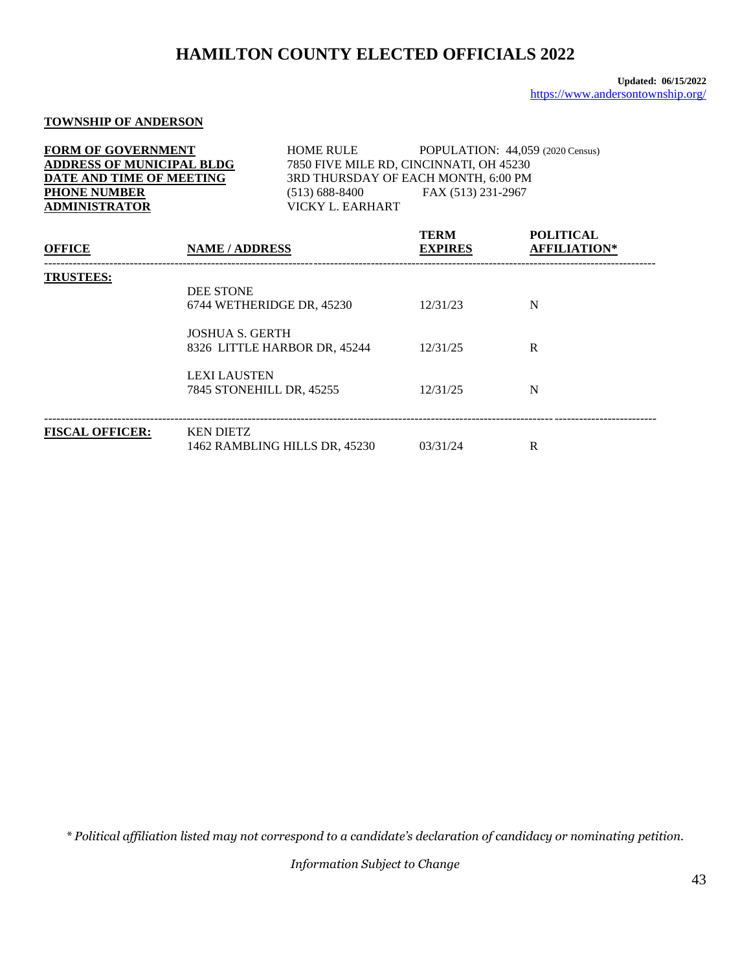### **TOWNSHIP OF ANDERSON**

| <b>OFFICE</b>                    | <b>NAME / ADDRESS</b> | <b>TERM</b><br><b>EXPIRES</b>           | <b>POLITICAL</b><br><b>AFFILIATION*</b> |
|----------------------------------|-----------------------|-----------------------------------------|-----------------------------------------|
| <b>ADMINISTRATOR</b>             | VICKY L. EARHART      |                                         |                                         |
| <b>PHONE NUMBER</b>              | $(513) 688 - 8400$    | FAX (513) 231-2967                      |                                         |
| DATE AND TIME OF MEETING         |                       | 3RD THURSDAY OF EACH MONTH, 6:00 PM     |                                         |
| <b>ADDRESS OF MUNICIPAL BLDG</b> |                       | 7850 FIVE MILE RD, CINCINNATI, OH 45230 |                                         |
| <b>FORM OF GOVERNMENT</b>        | <b>HOME RULE</b>      |                                         | POPULATION: 44,059 (2020 Census)        |

| <b>TRUSTEES:</b>       | <b>DEE STONE</b><br>6744 WETHERIDGE DR, 45230          | 12/31/23 | N |
|------------------------|--------------------------------------------------------|----------|---|
|                        | <b>JOSHUA S. GERTH</b><br>8326 LITTLE HARBOR DR, 45244 | 12/31/25 | R |
|                        | <b>LEXI LAUSTEN</b><br>7845 STONEHILL DR, 45255        | 12/31/25 | N |
| <b>FISCAL OFFICER:</b> | <b>KEN DIETZ</b><br>1462 RAMBLING HILLS DR, 45230      | 03/31/24 | R |

*\* Political affiliation listed may not correspond to a candidate's declaration of candidacy or nominating petition.*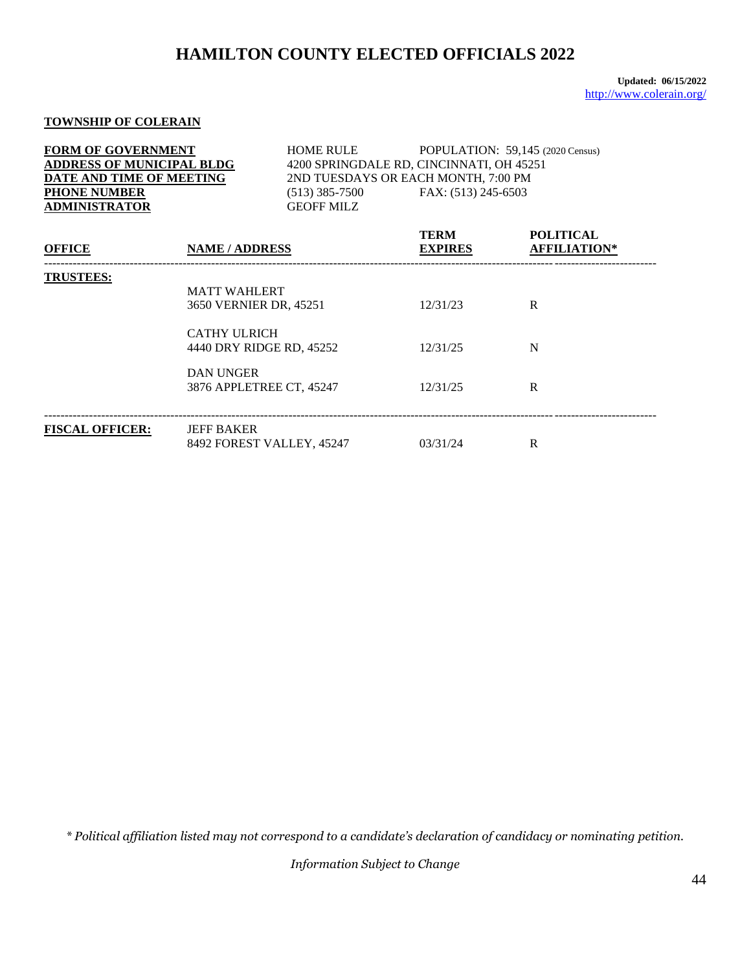**Updated: 06/15/2022** <http://www.colerain.org/>

### **TOWNSHIP OF COLERAIN**

| <b>FORM OF GOVERNMENT</b><br><b>ADDRESS OF MUNICIPAL BLDG</b><br>DATE AND TIME OF MEETING<br><b>PHONE NUMBER</b><br><b>ADMINISTRATOR</b>                             |                       | <b>HOME RULE</b><br>$(513)$ 385-7500<br><b>GEOFF MILZ</b> |                                  | POPULATION: 59,145 (2020 Census)<br>4200 SPRINGDALE RD, CINCINNATI, OH 45251<br>2ND TUESDAYS OR EACH MONTH, 7:00 PM<br>FAX: (513) 245-6503 |  |
|----------------------------------------------------------------------------------------------------------------------------------------------------------------------|-----------------------|-----------------------------------------------------------|----------------------------------|--------------------------------------------------------------------------------------------------------------------------------------------|--|
| <b>OFFICE</b>                                                                                                                                                        | <b>NAME / ADDRESS</b> |                                                           | <b>TERM</b><br><b>EXPIRES</b>    | <b>POLITICAL</b><br><b>AFFILIATION*</b>                                                                                                    |  |
| <b>TRUSTEES:</b><br><b>MATT WAHLERT</b><br>3650 VERNIER DR, 45251<br><b>CATHY ULRICH</b><br>4440 DRY RIDGE RD, 45252<br><b>DAN UNGER</b><br>3876 APPLETREE CT, 45247 |                       |                                                           | 12/31/23<br>12/31/25<br>12/31/25 | R<br>N<br>R                                                                                                                                |  |
|                                                                                                                                                                      |                       |                                                           |                                  |                                                                                                                                            |  |
| <b>FISCAL OFFICER:</b>                                                                                                                                               | <b>JEFF BAKER</b>     | 8492 FOREST VALLEY, 45247                                 | 03/31/24                         | R                                                                                                                                          |  |

*\* Political affiliation listed may not correspond to a candidate's declaration of candidacy or nominating petition.*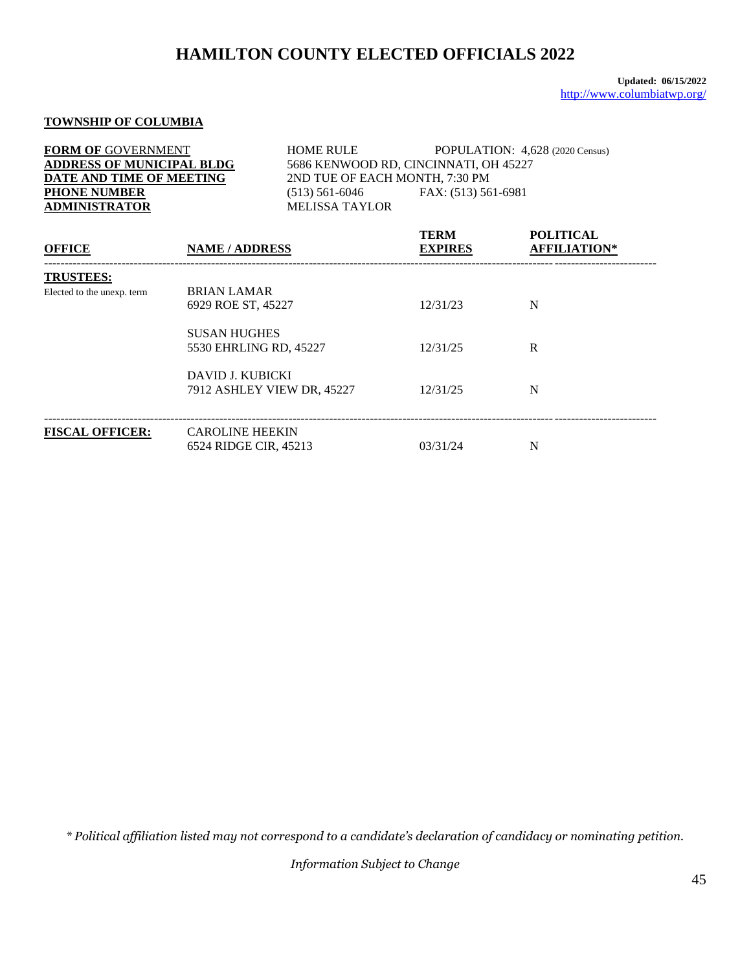#### **TOWNSHIP OF COLUMBIA**

| <b>FORM OF GOVERNMENT</b><br><b>ADDRESS OF MUNICIPAL BLDG</b><br>DATE AND TIME OF MEETING<br><b>PHONE NUMBER</b><br><b>ADMINISTRATOR</b> |                                          | <b>HOME RULE</b><br>2ND TUE OF EACH MONTH, 7:30 PM<br>$(513)$ 561-6046<br><b>MELISSA TAYLOR</b> | POPULATION: 4,628 (2020 Census)<br>5686 KENWOOD RD, CINCINNATI, OH 45227<br>FAX: (513) 561-6981 |                                         |
|------------------------------------------------------------------------------------------------------------------------------------------|------------------------------------------|-------------------------------------------------------------------------------------------------|-------------------------------------------------------------------------------------------------|-----------------------------------------|
| <b>OFFICE</b>                                                                                                                            | <b>NAME / ADDRESS</b>                    |                                                                                                 | <b>TERM</b><br><b>EXPIRES</b>                                                                   | <b>POLITICAL</b><br><b>AFFILIATION*</b> |
| <b>TRUSTEES:</b>                                                                                                                         |                                          |                                                                                                 |                                                                                                 |                                         |
| Elected to the unexp. term                                                                                                               | <b>BRIAN LAMAR</b><br>6929 ROE ST, 45227 |                                                                                                 | 12/31/23                                                                                        | N                                       |
| <b>SUSAN HUGHES</b><br>5530 EHRLING RD, 45227                                                                                            |                                          |                                                                                                 | 12/31/25                                                                                        | R                                       |
|                                                                                                                                          | DAVID J. KUBICKI                         | 7912 ASHLEY VIEW DR, 45227                                                                      | 12/31/25                                                                                        | N                                       |
| <b>FISCAL OFFICER:</b>                                                                                                                   | <b>CAROLINE HEEKIN</b>                   |                                                                                                 |                                                                                                 |                                         |

6524 RIDGE CIR, 45213 03/31/24 N

*\* Political affiliation listed may not correspond to a candidate's declaration of candidacy or nominating petition.*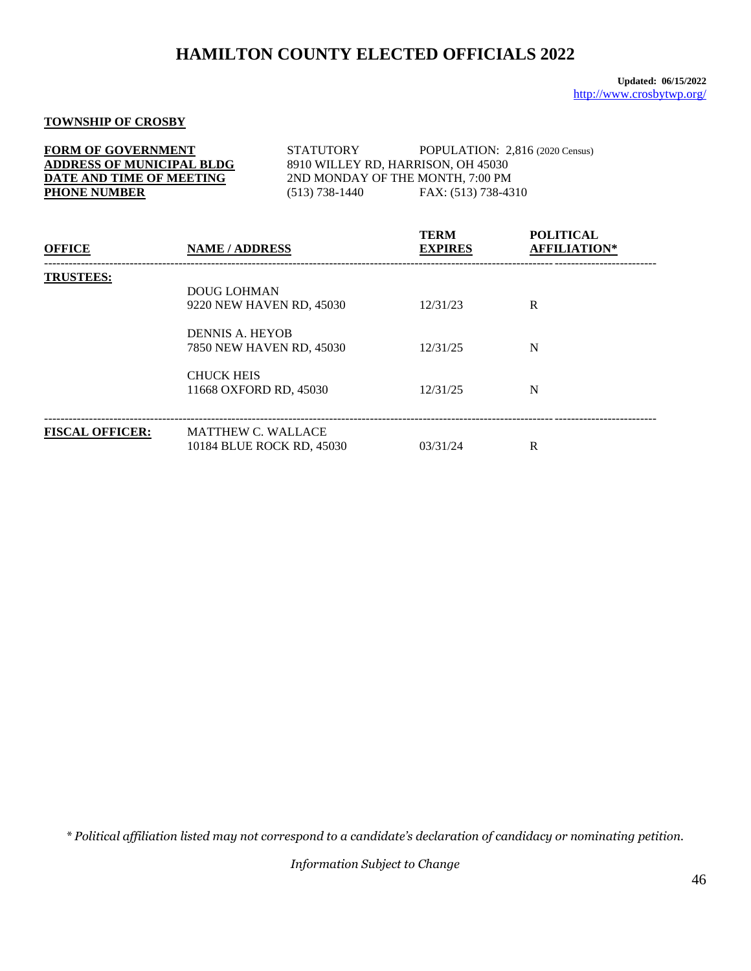### **TOWNSHIP OF CROSBY**

| <b>FORM OF GOVERNMENT</b>        | <b>STATUTORY</b>                   | POPULATION: $2,816$ (2020 Census) |  |  |
|----------------------------------|------------------------------------|-----------------------------------|--|--|
| <b>ADDRESS OF MUNICIPAL BLDG</b> | 8910 WILLEY RD, HARRISON, OH 45030 |                                   |  |  |
| DATE AND TIME OF MEETING         | 2ND MONDAY OF THE MONTH, 7:00 PM   |                                   |  |  |
| <b>PHONE NUMBER</b>              | $(513)$ 738-1440                   | FAX: (513) 738-4310               |  |  |

| <b>OFFICE</b>          | <b>NAME / ADDRESS</b>                                  | <b>TERM</b><br><b>EXPIRES</b> | <b>POLITICAL</b><br><b>AFFILIATION*</b> |
|------------------------|--------------------------------------------------------|-------------------------------|-----------------------------------------|
| <b>TRUSTEES:</b>       | <b>DOUG LOHMAN</b><br>9220 NEW HAVEN RD, 45030         | 12/31/23                      | R                                       |
|                        | DENNIS A. HEYOB<br>7850 NEW HAVEN RD, 45030            | 12/31/25                      | N                                       |
|                        | <b>CHUCK HEIS</b><br>11668 OXFORD RD, 45030            | 12/31/25                      | N                                       |
| <b>FISCAL OFFICER:</b> | <b>MATTHEW C. WALLACE</b><br>10184 BLUE ROCK RD, 45030 | 03/31/24                      | R                                       |

*\* Political affiliation listed may not correspond to a candidate's declaration of candidacy or nominating petition.*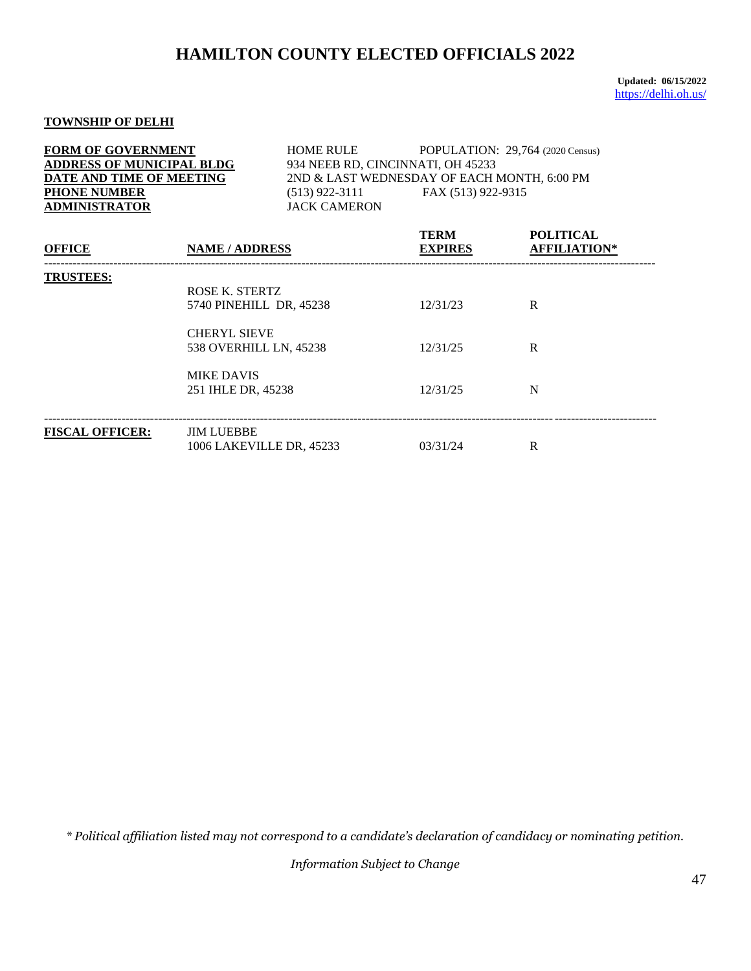**Updated: 06/15/2022** <https://delhi.oh.us/>

## **TOWNSHIP OF DELHI**

| <b>FORM OF GOVERNMENT</b><br><b>ADDRESS OF MUNICIPAL BLDG</b><br>DATE AND TIME OF MEETING<br><b>PHONE NUMBER</b><br><b>ADMINISTRATOR</b> |                                                                                                                                       | <b>HOME RULE</b><br>$(513)$ 922-3111<br><b>JACK CAMERON</b> | 934 NEEB RD, CINCINNATI, OH 45233<br>2ND & LAST WEDNESDAY OF EACH MONTH, 6:00 PM<br>FAX (513) 922-9315 | POPULATION: 29,764 (2020 Census)        |
|------------------------------------------------------------------------------------------------------------------------------------------|---------------------------------------------------------------------------------------------------------------------------------------|-------------------------------------------------------------|--------------------------------------------------------------------------------------------------------|-----------------------------------------|
| <b>OFFICE</b>                                                                                                                            | <b>NAME / ADDRESS</b>                                                                                                                 |                                                             | <b>TERM</b><br><b>EXPIRES</b>                                                                          | <b>POLITICAL</b><br><b>AFFILIATION*</b> |
| <b>TRUSTEES:</b>                                                                                                                         | ROSE K. STERTZ<br>5740 PINEHILL DR, 45238<br><b>CHERYL SIEVE</b><br>538 OVERHILL LN, 45238<br><b>MIKE DAVIS</b><br>251 IHLE DR, 45238 |                                                             | 12/31/23<br>12/31/25<br>12/31/25                                                                       | $\mathbf{R}$<br>R<br>N                  |
| <b>FISCAL OFFICER:</b>                                                                                                                   | <b>JIM LUEBBE</b><br>1006 LAKEVILLE DR, 45233                                                                                         |                                                             | 03/31/24                                                                                               | R                                       |

*\* Political affiliation listed may not correspond to a candidate's declaration of candidacy or nominating petition.*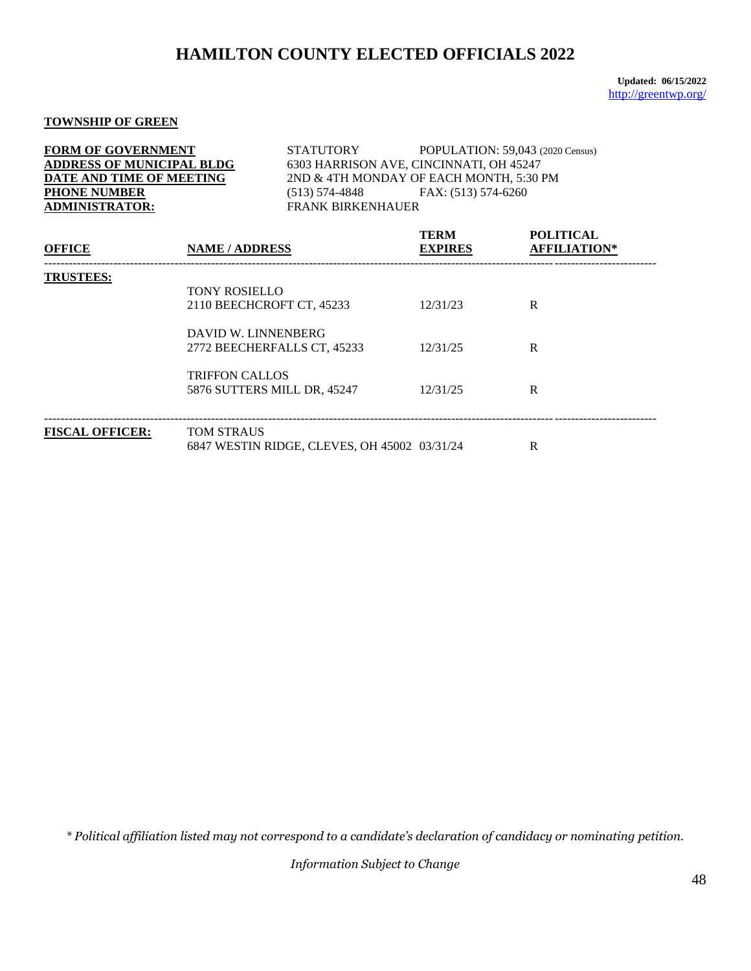**Updated: 06/15/2022** <http://greentwp.org/>

### **TOWNSHIP OF GREEN**

| <b>FORM OF GOVERNMENT</b><br><b>ADDRESS OF MUNICIPAL BLDG</b><br>DATE AND TIME OF MEETING<br><b>PHONE NUMBER</b><br><b>ADMINISTRATOR:</b> |                                                                          | STATUTORY POPULATION: 59,043 (2020 Census)<br>6303 HARRISON AVE, CINCINNATI, OH 45247<br>2ND & 4TH MONDAY OF EACH MONTH, 5:30 PM<br>$(513) 574-4848$ FAX: $(513) 574-6260$<br><b>FRANK BIRKENHAUER</b> |                                         |  |  |
|-------------------------------------------------------------------------------------------------------------------------------------------|--------------------------------------------------------------------------|--------------------------------------------------------------------------------------------------------------------------------------------------------------------------------------------------------|-----------------------------------------|--|--|
| <b>OFFICE</b>                                                                                                                             | <b>NAME / ADDRESS</b>                                                    | <b>TERM</b><br><b>EXPIRES</b>                                                                                                                                                                          | <b>POLITICAL</b><br><b>AFFILIATION*</b> |  |  |
| <b>TRUSTEES:</b>                                                                                                                          | <b>TONY ROSIELLO</b><br>2110 BEECHCROFT CT, 45233<br>DAVID W. LINNENBERG | 12/31/23                                                                                                                                                                                               | $\mathbf{R}$                            |  |  |
|                                                                                                                                           | 2772 BEECHERFALLS CT, 45233                                              | 12/31/25                                                                                                                                                                                               | R                                       |  |  |
|                                                                                                                                           | <b>TRIFFON CALLOS</b><br>5876 SUTTERS MILL DR, 45247                     | 12/31/25                                                                                                                                                                                               | R                                       |  |  |
| <b>FISCAL OFFICER:</b>                                                                                                                    | <b>TOM STRAUS</b><br>6847 WESTIN RIDGE, CLEVES, OH 45002 03/31/24        |                                                                                                                                                                                                        | R                                       |  |  |

*\* Political affiliation listed may not correspond to a candidate's declaration of candidacy or nominating petition.*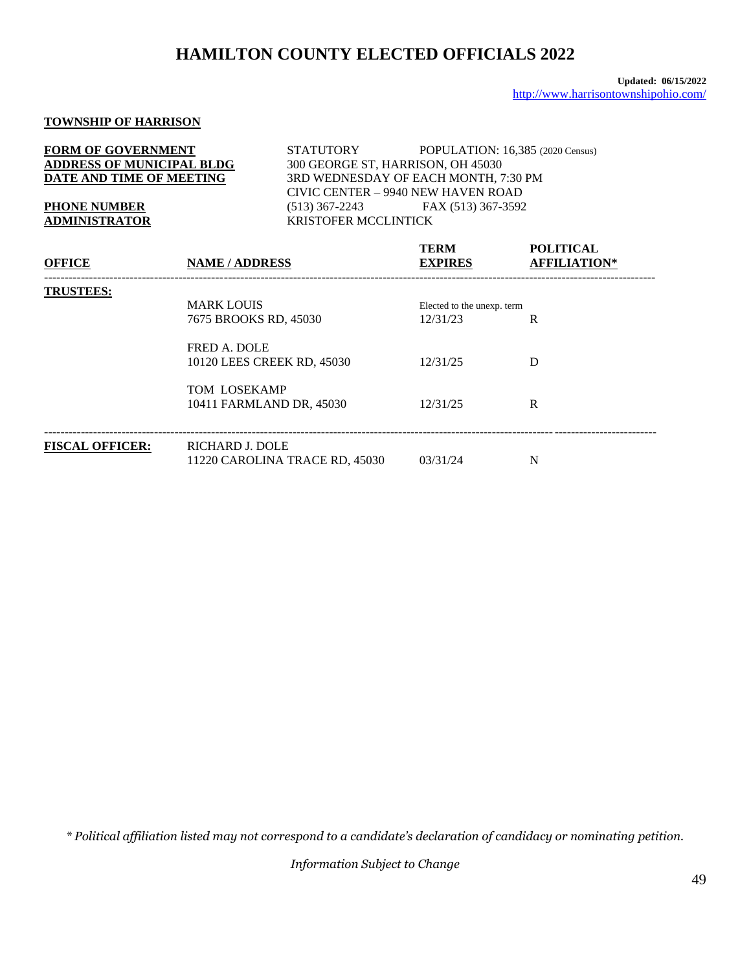### **TOWNSHIP OF HARRISON**

| <b>FORM OF GOVERNMENT</b>        | <b>STATUTORY</b>                     | POPULATION: 16,385 (2020 Census) |  |  |
|----------------------------------|--------------------------------------|----------------------------------|--|--|
| <b>ADDRESS OF MUNICIPAL BLDG</b> | 300 GEORGE ST, HARRISON, OH 45030    |                                  |  |  |
| DATE AND TIME OF MEETING         | 3RD WEDNESDAY OF EACH MONTH, 7:30 PM |                                  |  |  |
|                                  | CIVIC CENTER - 9940 NEW HAVEN ROAD   |                                  |  |  |
| <b>PHONE NUMBER</b>              | $(513)$ 367-2243                     | FAX (513) 367-3592               |  |  |
| <b>ADMINISTRATOR</b>             | <b>KRISTOFER MCCLINTICK</b>          |                                  |  |  |

| <b>OFFICE</b>          | <b>NAME / ADDRESS</b>                                    | <b>TERM</b><br><b>EXPIRES</b>          | <b>POLITICAL</b><br><b>AFFILIATION*</b> |
|------------------------|----------------------------------------------------------|----------------------------------------|-----------------------------------------|
| <b>TRUSTEES:</b>       | <b>MARK LOUIS</b><br>7675 BROOKS RD, 45030               | Elected to the unexp. term<br>12/31/23 | R                                       |
|                        | <b>FRED A. DOLE</b><br>10120 LEES CREEK RD, 45030        | 12/31/25                               | D                                       |
|                        | <b>TOM LOSEKAMP</b><br>10411 FARMLAND DR, 45030          | 12/31/25                               | R                                       |
| <b>FISCAL OFFICER:</b> | <b>RICHARD J. DOLE</b><br>11220 CAROLINA TRACE RD, 45030 | 03/31/24                               | N                                       |

*\* Political affiliation listed may not correspond to a candidate's declaration of candidacy or nominating petition.*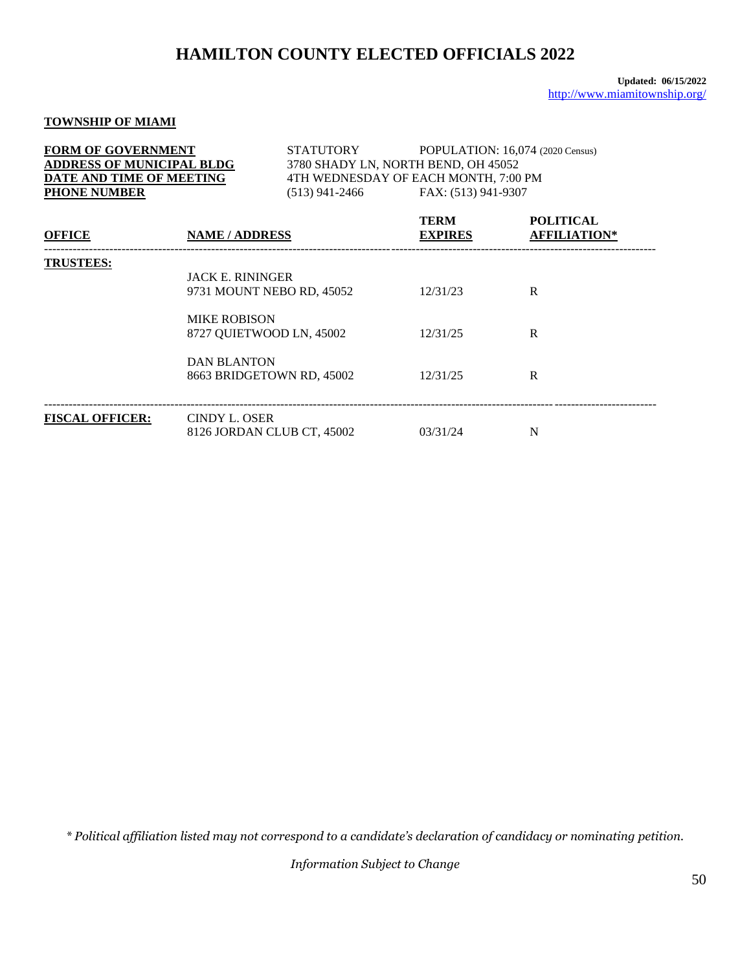### **TOWNSHIP OF MIAMI**

| <b>FORM OF GOVERNMENT</b><br><b>ADDRESS OF MUNICIPAL BLDG</b><br>DATE AND TIME OF MEETING<br><b>PHONE NUMBER</b> |                                                | STATUTORY<br>(513) 941-2466                           | 3780 SHADY LN, NORTH BEND, OH 45052<br>4TH WEDNESDAY OF EACH MONTH, 7:00 PM<br>FAX: (513) 941-9307 | POPULATION: 16,074 (2020 Census)        |
|------------------------------------------------------------------------------------------------------------------|------------------------------------------------|-------------------------------------------------------|----------------------------------------------------------------------------------------------------|-----------------------------------------|
| <b>OFFICE</b>                                                                                                    | <b>NAME / ADDRESS</b>                          |                                                       | <b>TERM</b><br><b>EXPIRES</b>                                                                      | <b>POLITICAL</b><br><b>AFFILIATION*</b> |
| <b>TRUSTEES:</b>                                                                                                 | <b>JACK E. RININGER</b><br><b>MIKE ROBISON</b> | 9731 MOUNT NEBO RD, 45052                             | 12/31/23<br>12/31/25                                                                               | R<br>R                                  |
|                                                                                                                  | <b>DAN BLANTON</b>                             | 8727 QUIETWOOD LN, 45002<br>8663 BRIDGETOWN RD, 45002 | 12/31/25                                                                                           | R                                       |
| <b>FISCAL OFFICER:</b>                                                                                           | <b>CINDY L. OSER</b>                           | 8126 JORDAN CLUB CT, 45002                            | 03/31/24                                                                                           | N                                       |

*\* Political affiliation listed may not correspond to a candidate's declaration of candidacy or nominating petition.*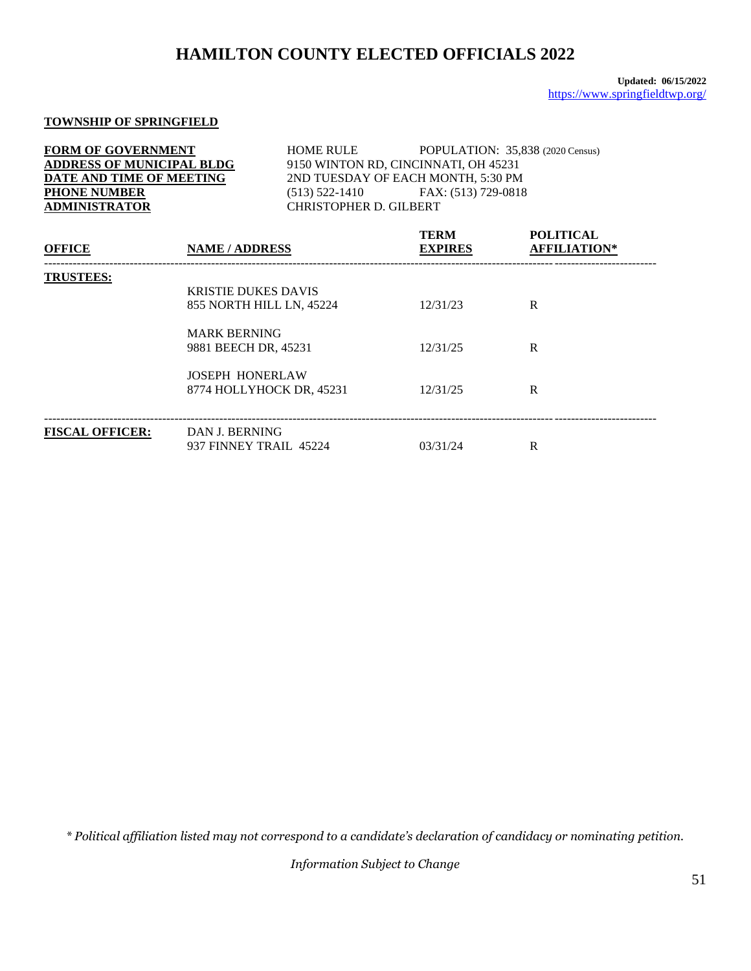### **TOWNSHIP OF SPRINGFIELD**

| <b>FORM OF GOVERNMENT</b><br><b>ADDRESS OF MUNICIPAL BLDG</b><br>DATE AND TIME OF MEETING<br><b>PHONE NUMBER</b><br><b>ADMINISTRATOR</b> |                                             |                          | HOME RULE<br>POPULATION: 35,838 (2020 Census)<br>9150 WINTON RD, CINCINNATI, OH 45231<br>2ND TUESDAY OF EACH MONTH, 5:30 PM<br>$(513) 522-1410$ FAX: $(513) 729-0818$<br><b>CHRISTOPHER D. GILBERT</b> |                                         |  |  |
|------------------------------------------------------------------------------------------------------------------------------------------|---------------------------------------------|--------------------------|--------------------------------------------------------------------------------------------------------------------------------------------------------------------------------------------------------|-----------------------------------------|--|--|
| <b>OFFICE</b>                                                                                                                            | <b>NAME / ADDRESS</b>                       |                          | TERM<br><b>EXPIRES</b>                                                                                                                                                                                 | <b>POLITICAL</b><br><b>AFFILIATION*</b> |  |  |
| <b>TRUSTEES:</b>                                                                                                                         | <b>KRISTIE DUKES DAVIS</b>                  | 855 NORTH HILL LN, 45224 | 12/31/23                                                                                                                                                                                               | R                                       |  |  |
|                                                                                                                                          | <b>MARK BERNING</b><br>9881 BEECH DR, 45231 |                          | 12/31/25                                                                                                                                                                                               | R                                       |  |  |
|                                                                                                                                          | <b>JOSEPH HONERLAW</b>                      | 8774 HOLLYHOCK DR, 45231 | 12/31/25                                                                                                                                                                                               | R                                       |  |  |
| <b>FISCAL OFFICER:</b>                                                                                                                   | DAN J. BERNING<br>937 FINNEY TRAIL 45224    |                          | 03/31/24                                                                                                                                                                                               | R                                       |  |  |

*\* Political affiliation listed may not correspond to a candidate's declaration of candidacy or nominating petition.*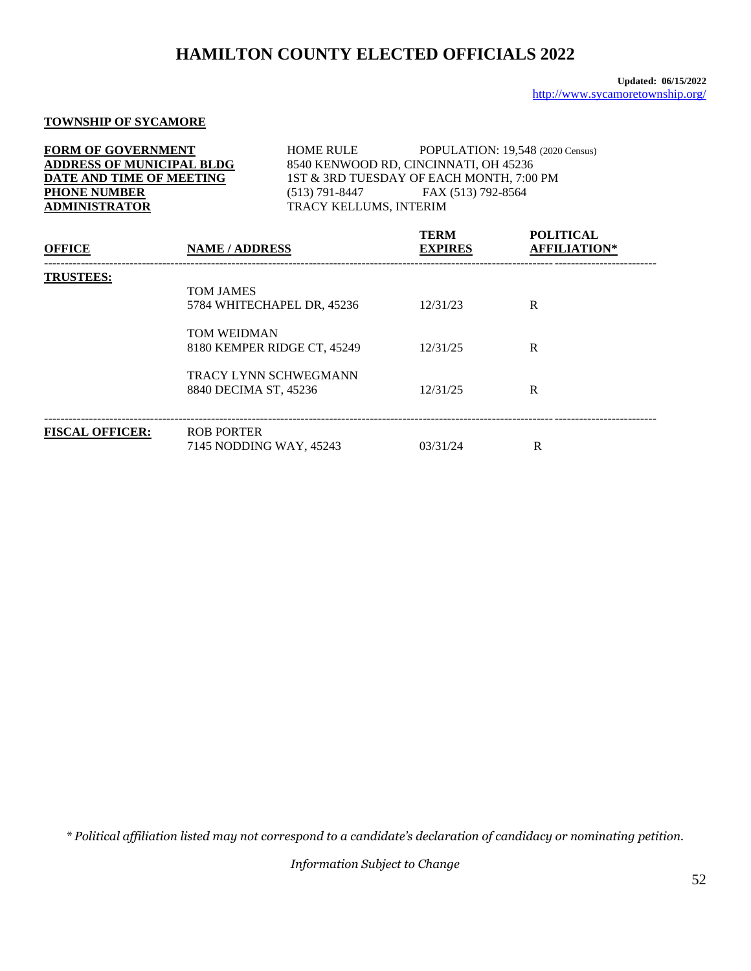## **TOWNSHIP OF SYCAMORE**

| <b>OFFICE</b>                    | <b>NAME / ADDRESS</b> |                        | <b>TERM</b><br><b>EXPIRES</b>            | <b>POLITICAL</b><br><b>AFFILIATION*</b> |
|----------------------------------|-----------------------|------------------------|------------------------------------------|-----------------------------------------|
| <b>ADMINISTRATOR</b>             |                       | TRACY KELLUMS, INTERIM |                                          |                                         |
| <b>PHONE NUMBER</b>              |                       |                        | (513) 791-8447 FAX (513) 792-8564        |                                         |
| DATE AND TIME OF MEETING         |                       |                        | 1ST & 3RD TUESDAY OF EACH MONTH, 7:00 PM |                                         |
| <b>ADDRESS OF MUNICIPAL BLDG</b> |                       |                        | 8540 KENWOOD RD, CINCINNATI, OH 45236    |                                         |
| <b>FORM OF GOVERNMENT</b>        |                       | <b>HOME RULE</b>       |                                          | POPULATION: 19,548 (2020 Census)        |

| <b>TRUSTEES:</b>       | <b>TOM JAMES</b><br>5784 WHITECHAPEL DR, 45236        | 12/31/23 | R |
|------------------------|-------------------------------------------------------|----------|---|
|                        | <b>TOM WEIDMAN</b><br>8180 KEMPER RIDGE CT, 45249     | 12/31/25 | R |
|                        | <b>TRACY LYNN SCHWEGMANN</b><br>8840 DECIMA ST, 45236 | 12/31/25 | R |
| <b>FISCAL OFFICER:</b> | <b>ROB PORTER</b><br>7145 NODDING WAY, 45243          | 03/31/24 | R |

*\* Political affiliation listed may not correspond to a candidate's declaration of candidacy or nominating petition.*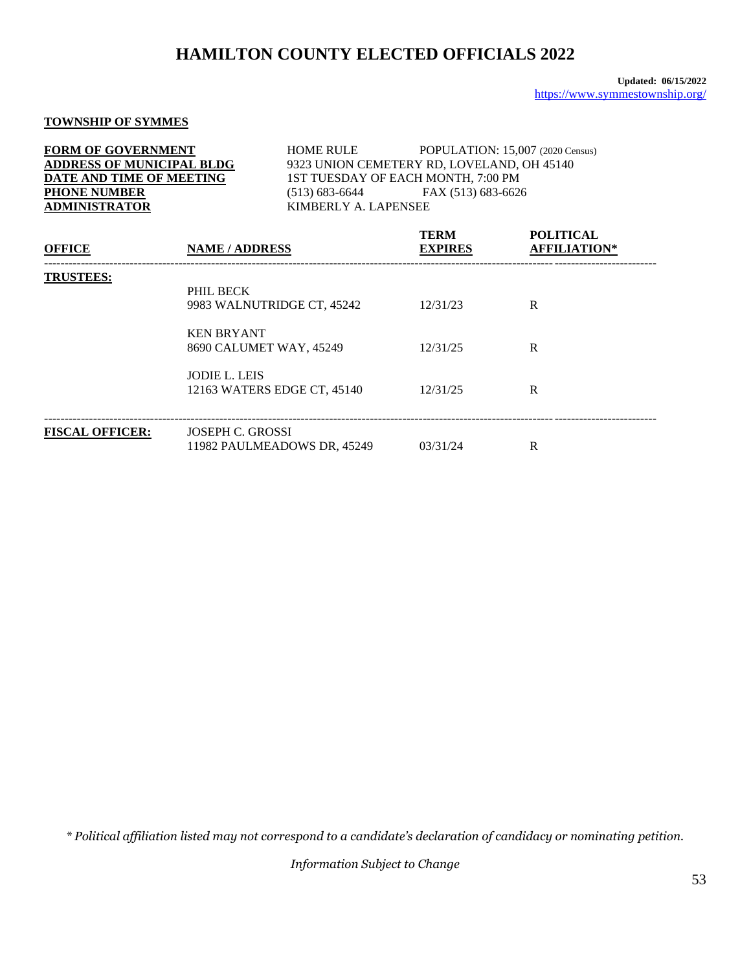## **TOWNSHIP OF SYMMES**

| <b>FORM OF GOVERNMENT</b>        | <b>HOME RULE</b>                   | POPULATION: 15,007 (2020 Census)           |  |
|----------------------------------|------------------------------------|--------------------------------------------|--|
| <b>ADDRESS OF MUNICIPAL BLDG</b> |                                    | 9323 UNION CEMETERY RD, LOVELAND, OH 45140 |  |
| DATE AND TIME OF MEETING         | 1ST TUESDAY OF EACH MONTH, 7:00 PM |                                            |  |
| <b>PHONE NUMBER</b>              | $(513)$ 683-6644                   | FAX (513) 683-6626                         |  |
| <b>ADMINISTRATOR</b>             | KIMBERLY A. LAPENSEE               |                                            |  |
|                                  |                                    |                                            |  |

| <b>OFFICE</b>          | <b>NAME / ADDRESS</b>                               | <b>TERM</b><br><b>EXPIRES</b> | <b>POLITICAL</b><br><b>AFFILIATION*</b> |  |
|------------------------|-----------------------------------------------------|-------------------------------|-----------------------------------------|--|
| <b>TRUSTEES:</b>       | PHIL BECK<br>9983 WALNUTRIDGE CT, 45242             | 12/31/23                      | R                                       |  |
|                        | <b>KEN BRYANT</b><br>8690 CALUMET WAY, 45249        | 12/31/25                      | R                                       |  |
|                        | <b>JODIE L. LEIS</b><br>12163 WATERS EDGE CT, 45140 | 12/31/25                      | R                                       |  |
| <b>FISCAL OFFICER:</b> | JOSEPH C. GROSSI<br>11982 PAULMEADOWS DR, 45249     | 03/31/24                      | R                                       |  |

*\* Political affiliation listed may not correspond to a candidate's declaration of candidacy or nominating petition.*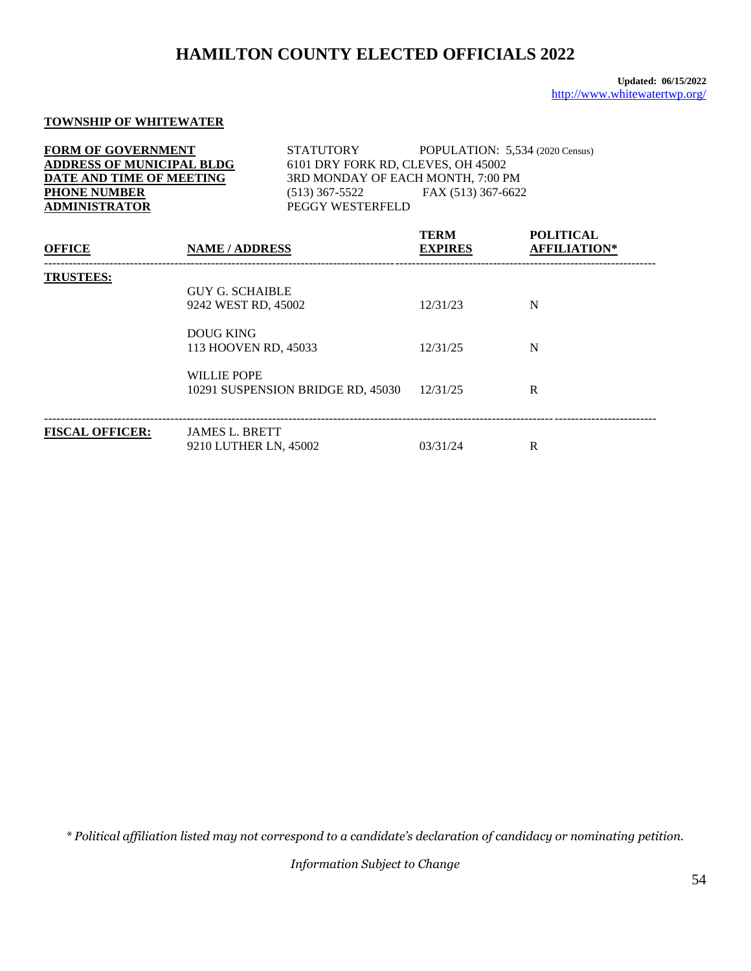### **TOWNSHIP OF WHITEWATER**

| <b>FORM OF GOVERNMENT</b><br><b>ADDRESS OF MUNICIPAL BLDG</b><br>DATE AND TIME OF MEETING<br><b>PHONE NUMBER</b><br><b>ADMINISTRATOR</b> |                                                                                 | STATUTORY<br>$(513)$ 367-5522<br>PEGGY WESTERFELD | POPULATION: 5,534 (2020 Census)<br>6101 DRY FORK RD, CLEVES, OH 45002<br>3RD MONDAY OF EACH MONTH, 7:00 PM<br>FAX (513) 367-6622 |                                         |
|------------------------------------------------------------------------------------------------------------------------------------------|---------------------------------------------------------------------------------|---------------------------------------------------|----------------------------------------------------------------------------------------------------------------------------------|-----------------------------------------|
| <b>OFFICE</b>                                                                                                                            | <b>NAME / ADDRESS</b>                                                           |                                                   | <b>TERM</b><br><b>EXPIRES</b>                                                                                                    | <b>POLITICAL</b><br><b>AFFILIATION*</b> |
| <b>TRUSTEES:</b>                                                                                                                         | <b>GUY G. SCHAIBLE</b><br>9242 WEST RD, 45002<br><b>DOUG KING</b>               |                                                   | 12/31/23                                                                                                                         | N                                       |
|                                                                                                                                          | 113 HOOVEN RD, 45033<br><b>WILLIE POPE</b><br>10291 SUSPENSION BRIDGE RD, 45030 |                                                   | 12/31/25<br>12/31/25                                                                                                             | N<br>R                                  |
| <b>FISCAL OFFICER:</b>                                                                                                                   | <b>JAMES L. BRETT</b><br>9210 LUTHER LN, 45002                                  |                                                   | 03/31/24                                                                                                                         | R                                       |

*\* Political affiliation listed may not correspond to a candidate's declaration of candidacy or nominating petition.*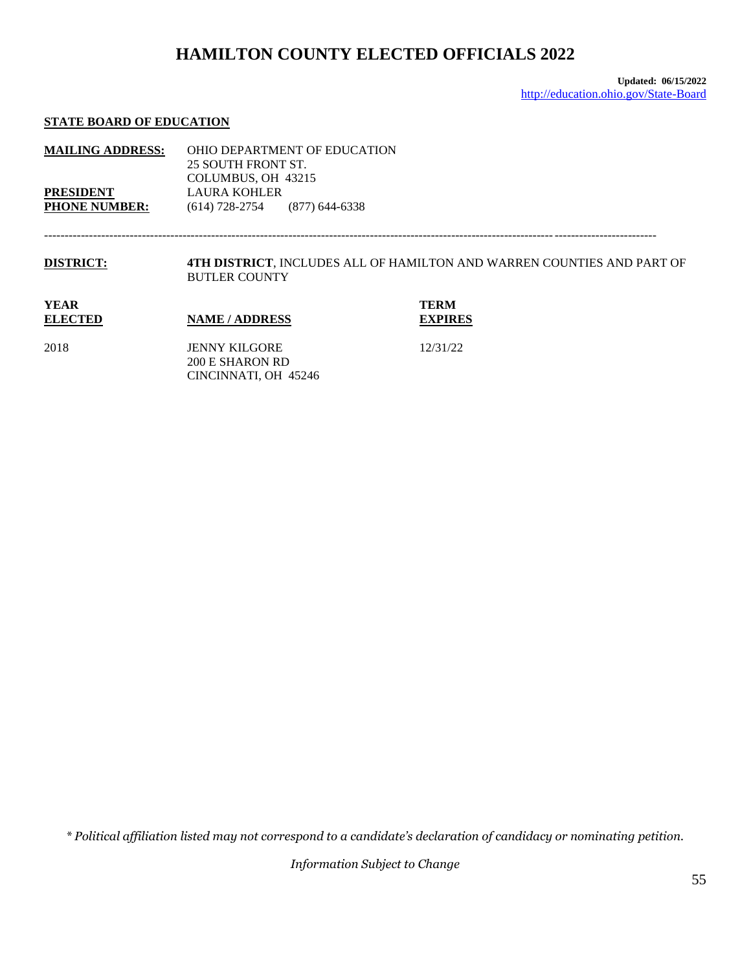## **STATE BOARD OF EDUCATION**

| <b>MAILING ADDRESS:</b><br><b>PRESIDENT</b><br><b>PHONE NUMBER:</b> | OHIO DEPARTMENT OF EDUCATION<br>25 SOUTH FRONT ST.<br>COLUMBUS, OH 43215<br><b>LAURA KOHLER</b><br>$(614)$ 728-2754<br>$(877)$ 644-6338 |                                                                        |
|---------------------------------------------------------------------|-----------------------------------------------------------------------------------------------------------------------------------------|------------------------------------------------------------------------|
| <b>DISTRICT:</b>                                                    | <b>BUTLER COUNTY</b>                                                                                                                    | 4TH DISTRICT, INCLUDES ALL OF HAMILTON AND WARREN COUNTIES AND PART OF |
| <b>YEAR</b><br><b>ELECTED</b>                                       | <b>NAME / ADDRESS</b>                                                                                                                   | <b>TERM</b><br><b>EXPIRES</b>                                          |
| 2018                                                                | <b>JENNY KILGORE</b><br>200 E SHARON RD                                                                                                 | 12/31/22                                                               |

CINCINNATI, OH 45246

*\* Political affiliation listed may not correspond to a candidate's declaration of candidacy or nominating petition.*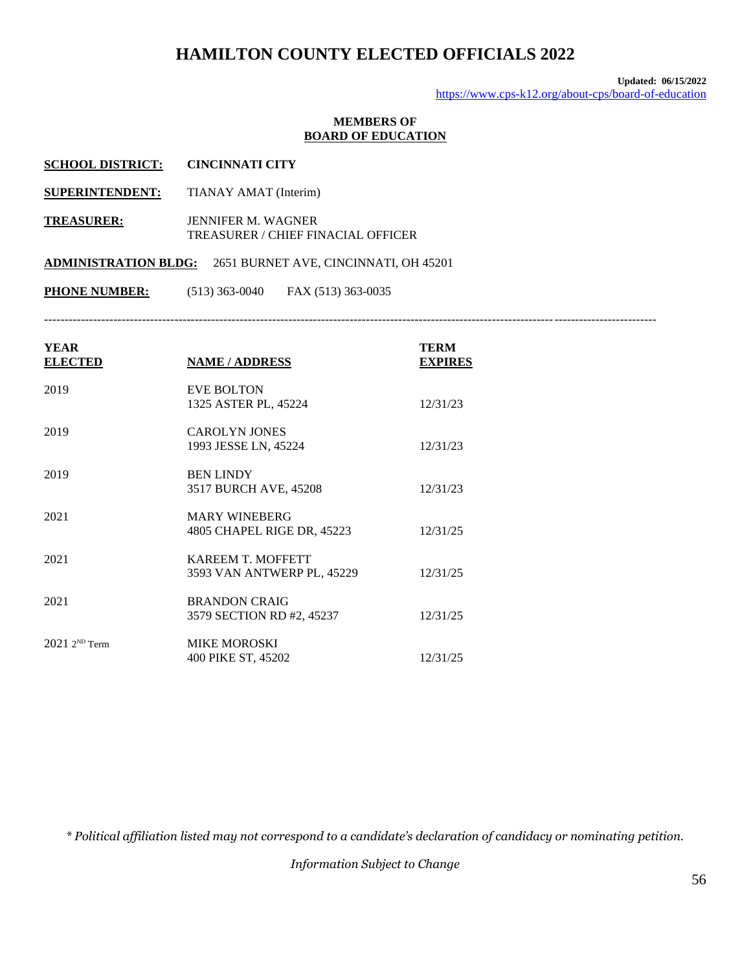**Updated: 06/15/2022** <https://www.cps-k12.org/about-cps/board-of-education>

### **MEMBERS OF BOARD OF EDUCATION**

| <b>SCHOOL DISTRICT:</b>     | <b>CINCINNATI CITY</b>                                          |
|-----------------------------|-----------------------------------------------------------------|
| <b>SUPERINTENDENT:</b>      | TIANAY AMAT (Interim)                                           |
| <b>TREASURER:</b>           | <b>JENNIFER M. WAGNER</b><br>TREASURER / CHIEF FINACIAL OFFICER |
| <b>ADMINISTRATION BLDG:</b> | 2651 BURNET AVE, CINCINNATI, OH 45201                           |
| <b>PHONE NUMBER:</b>        | $(513)$ 363-0040<br>FAX (513) 363-0035                          |
|                             |                                                                 |

| <b>YEAR</b><br><b>ELECTED</b> | <b>NAME/ADDRESS</b>                                    | <b>TERM</b><br><b>EXPIRES</b> |
|-------------------------------|--------------------------------------------------------|-------------------------------|
| 2019                          | <b>EVE BOLTON</b><br>1325 ASTER PL, 45224              | 12/31/23                      |
| 2019                          | <b>CAROLYN JONES</b><br>1993 JESSE LN, 45224           | 12/31/23                      |
| 2019                          | <b>BEN LINDY</b><br>3517 BURCH AVE, 45208              | 12/31/23                      |
| 2021                          | <b>MARY WINEBERG</b><br>4805 CHAPEL RIGE DR, 45223     | 12/31/25                      |
| 2021                          | <b>KAREEM T. MOFFETT</b><br>3593 VAN ANTWERP PL, 45229 | 12/31/25                      |
| 2021                          | <b>BRANDON CRAIG</b><br>3579 SECTION RD #2, 45237      | 12/31/25                      |
| $20212^{ND}$ Term             | <b>MIKE MOROSKI</b><br>400 PIKE ST, 45202              | 12/31/25                      |

*\* Political affiliation listed may not correspond to a candidate's declaration of candidacy or nominating petition.*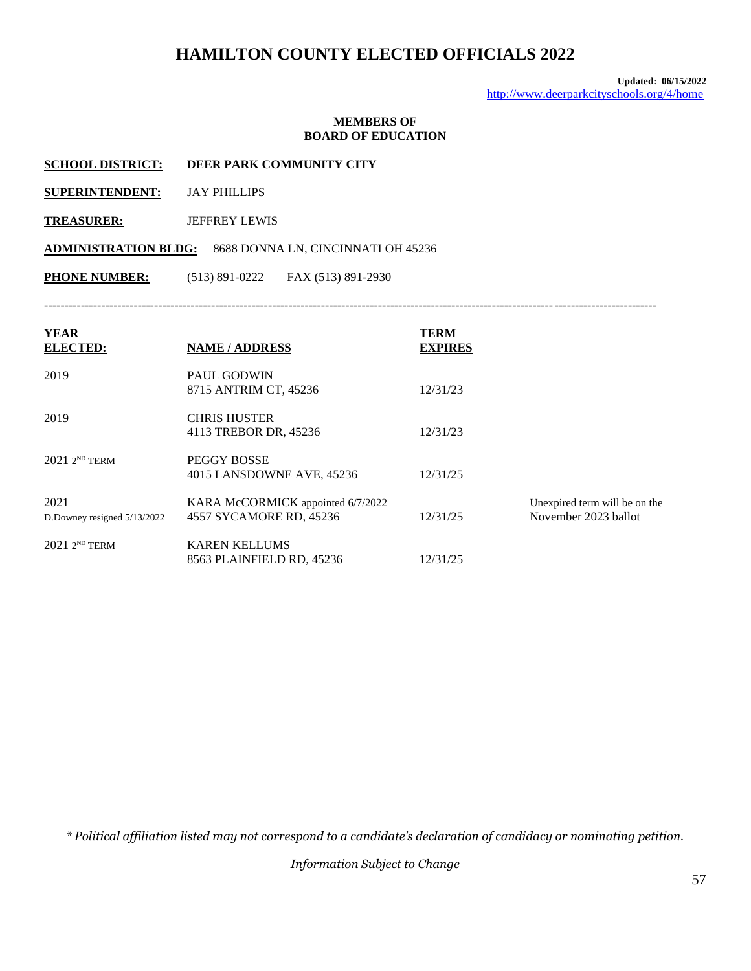**Updated: 06/15/2022** <http://www.deerparkcityschools.org/4/home>

#### **MEMBERS OF BOARD OF EDUCATION**

- **SCHOOL DISTRICT: DEER PARK COMMUNITY CITY**
- **SUPERINTENDENT:** JAY PHILLIPS
- **TREASURER:** JEFFREY LEWIS

**ADMINISTRATION BLDG:** 8688 DONNA LN, CINCINNATI OH 45236

**PHONE NUMBER:** (513) 891-0222 FAX (513) 891-2930

------------------------------------------------------------------------------------------------------------------------------------------------------

| <b>YEAR</b><br><b>ELECTED:</b>      | <b>NAME / ADDRESS</b>                                        | <b>TERM</b><br><b>EXPIRES</b> |                                                       |
|-------------------------------------|--------------------------------------------------------------|-------------------------------|-------------------------------------------------------|
| 2019                                | <b>PAUL GODWIN</b><br>8715 ANTRIM CT, 45236                  | 12/31/23                      |                                                       |
| 2019                                | <b>CHRIS HUSTER</b><br>4113 TREBOR DR, 45236                 | 12/31/23                      |                                                       |
| $20212^{ND}$ TERM                   | PEGGY BOSSE<br>4015 LANSDOWNE AVE, 45236                     | 12/31/25                      |                                                       |
| 2021<br>D.Downey resigned 5/13/2022 | KARA McCORMICK appointed 6/7/2022<br>4557 SYCAMORE RD, 45236 | 12/31/25                      | Unexpired term will be on the<br>November 2023 ballot |
| $20212^{ND}$ TERM                   | <b>KAREN KELLUMS</b><br>8563 PLAINFIELD RD, 45236            | 12/31/25                      |                                                       |

*\* Political affiliation listed may not correspond to a candidate's declaration of candidacy or nominating petition.*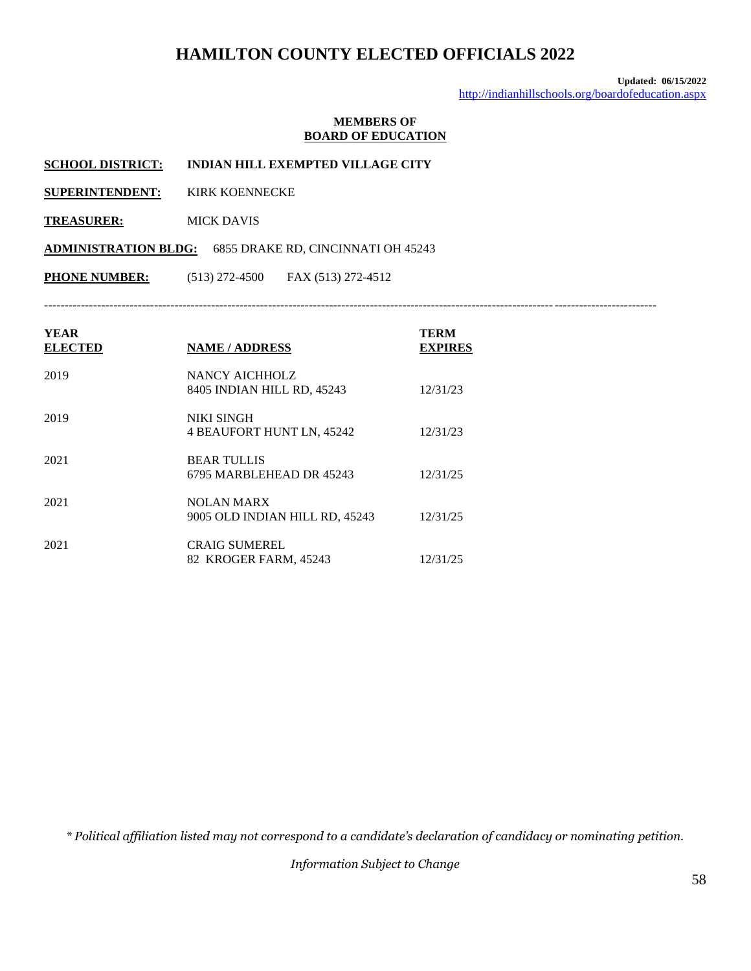**Updated: 06/15/2022** <http://indianhillschools.org/boardofeducation.aspx>

#### **MEMBERS OF BOARD OF EDUCATION**

**SCHOOL DISTRICT: INDIAN HILL EXEMPTED VILLAGE CITY**

**SUPERINTENDENT:** KIRK KOENNECKE

**TREASURER:** MICK DAVIS

**ADMINISTRATION BLDG:** 6855 DRAKE RD, CINCINNATI OH 45243

**PHONE NUMBER:** (513) 272-4500 FAX (513) 272-4512

------------------------------------------------------------------------------------------------------------------------------------------------------

| <b>YEAR</b><br><b>ELECTED</b> | <b>NAME / ADDRESS</b>                               | <b>TERM</b><br><b>EXPIRES</b> |
|-------------------------------|-----------------------------------------------------|-------------------------------|
| 2019                          | NANCY AICHHOLZ<br>8405 INDIAN HILL RD, 45243        | 12/31/23                      |
| 2019                          | <b>NIKI SINGH</b><br>4 BEAUFORT HUNT LN, 45242      | 12/31/23                      |
| 2021                          | <b>BEAR TULLIS</b><br>6795 MARBLEHEAD DR 45243      | 12/31/25                      |
| 2021                          | <b>NOLAN MARX</b><br>9005 OLD INDIAN HILL RD, 45243 | 12/31/25                      |
| 2021                          | <b>CRAIG SUMEREL</b><br>82 KROGER FARM, 45243       | 12/31/25                      |

*\* Political affiliation listed may not correspond to a candidate's declaration of candidacy or nominating petition.*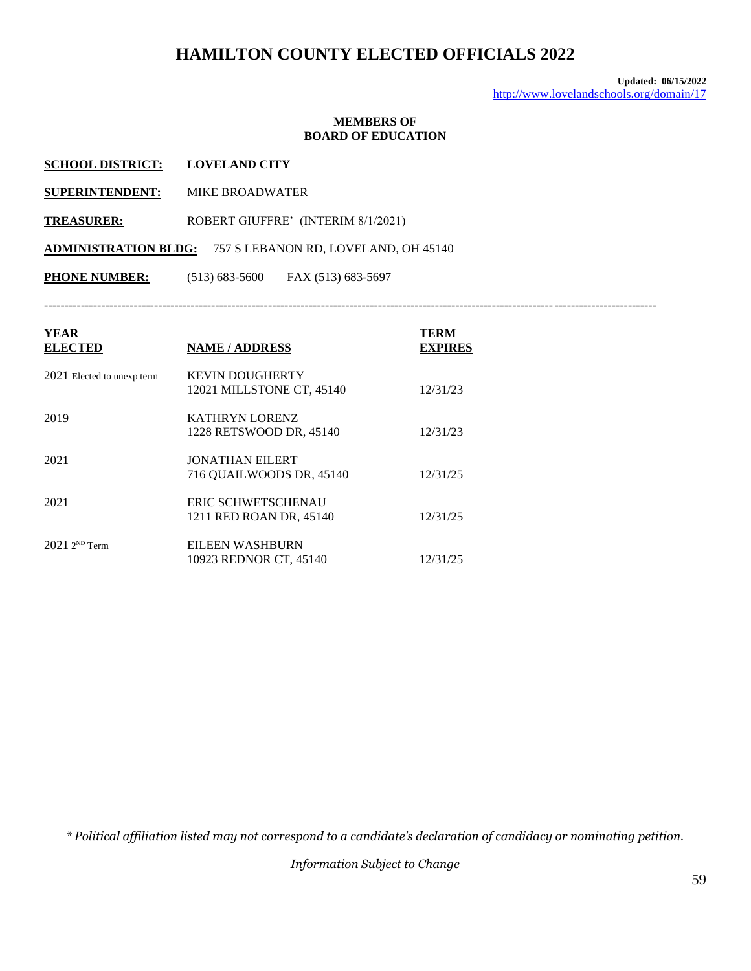**Updated: 06/15/2022** <http://www.lovelandschools.org/domain/17>

#### **MEMBERS OF BOARD OF EDUCATION**

| <b>YEAR</b><br><b>ELECTED</b> | <b>NAME / ADDRESS</b>                    | <b>TERM</b><br><b>EXPIRES</b> |
|-------------------------------|------------------------------------------|-------------------------------|
| <b>PHONE NUMBER:</b>          | $(513) 683 - 5600$<br>FAX (513) 683-5697 |                               |
| <b>ADMINISTRATION BLDG:</b>   | 757 S LEBANON RD, LOVELAND, OH 45140     |                               |
| <b>TREASURER:</b>             | ROBERT GIUFFRE' (INTERIM 8/1/2021)       |                               |
| <b>SUPERINTENDENT:</b>        | <b>MIKE BROADWATER</b>                   |                               |
| <b>SCHOOL DISTRICT:</b>       | <b>LOVELAND CITY</b>                     |                               |

| 2021 Elected to unexp term | <b>KEVIN DOUGHERTY</b><br>12021 MILLSTONE CT, 45140 | 12/31/23 |
|----------------------------|-----------------------------------------------------|----------|
| 2019                       | <b>KATHRYN LORENZ</b><br>1228 RETSWOOD DR, 45140    | 12/31/23 |
| 2021                       | <b>JONATHAN EILERT</b><br>716 QUAILWOODS DR, 45140  | 12/31/25 |
| 2021                       | ERIC SCHWETSCHENAU<br>1211 RED ROAN DR, 45140       | 12/31/25 |
| $20212^{ND}$ Term          | EILEEN WASHBURN<br>10923 REDNOR CT, 45140           | 12/31/25 |

*\* Political affiliation listed may not correspond to a candidate's declaration of candidacy or nominating petition.*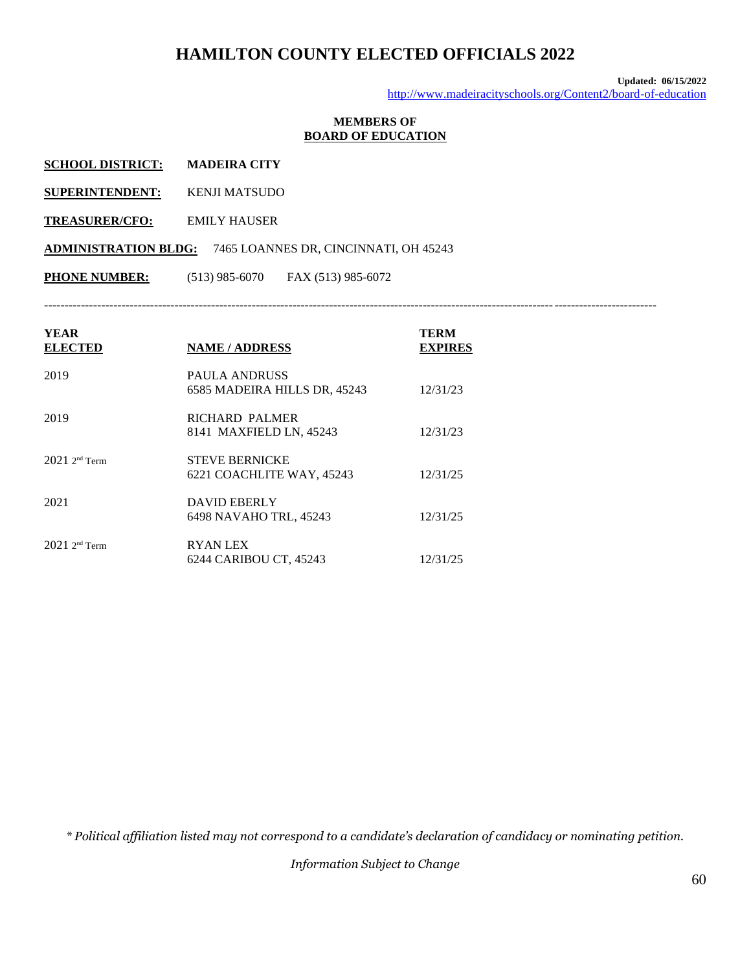**Updated: 06/15/2022** <http://www.madeiracityschools.org/Content2/board-of-education>

### **MEMBERS OF BOARD OF EDUCATION**

| <b>SCHOOL DISTRICT:</b> | <b>MADEIRA CITY</b> |
|-------------------------|---------------------|
|                         |                     |

- **SUPERINTENDENT:** KENJI MATSUDO
- **TREASURER/CFO:** EMILY HAUSER

**ADMINISTRATION BLDG:** 7465 LOANNES DR, CINCINNATI, OH 45243

**PHONE NUMBER:** (513) 985-6070 FAX (513) 985-6072

------------------------------------------------------------------------------------------------------------------------------------------------------

| <b>YEAR</b><br><b>ELECTED</b> | <b>NAME / ADDRESS</b>                              | TERM<br><b>EXPIRES</b> |
|-------------------------------|----------------------------------------------------|------------------------|
| 2019                          | PAULA ANDRUSS<br>6585 MADEIRA HILLS DR, 45243      | 12/31/23               |
| 2019                          | RICHARD PALMER<br>8141 MAXFIELD LN, 45243          | 12/31/23               |
| $20212^{\text{nd}}$ Term      | <b>STEVE BERNICKE</b><br>6221 COACHLITE WAY, 45243 | 12/31/25               |
| 2021                          | <b>DAVID EBERLY</b><br>6498 NAVAHO TRL, 45243      | 12/31/25               |
| $2021$ 2 <sup>nd</sup> Term   | <b>RYAN LEX</b><br>6244 CARIBOU CT, 45243          | 12/31/25               |

*\* Political affiliation listed may not correspond to a candidate's declaration of candidacy or nominating petition.*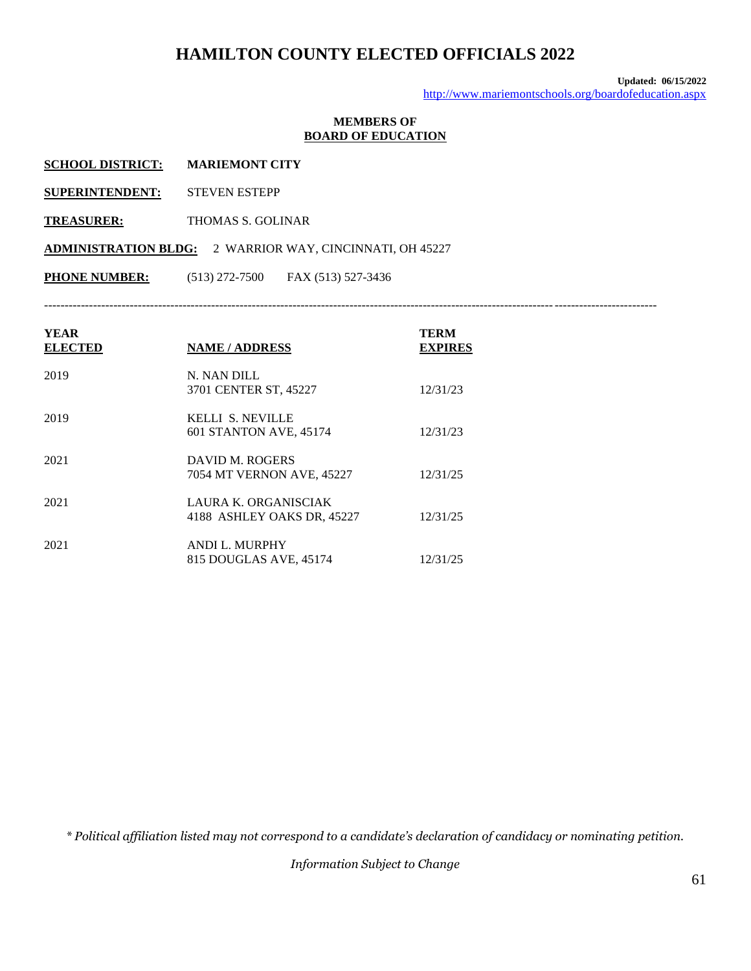**Updated: 06/15/2022** <http://www.mariemontschools.org/boardofeducation.aspx>

### **MEMBERS OF BOARD OF EDUCATION**

| <b>SCHOOL DISTRICT:</b> | <b>MARIEMONT CITY</b> |
|-------------------------|-----------------------|
|                         |                       |

- **SUPERINTENDENT:** STEVEN ESTEPP
- **TREASURER:** THOMAS S. GOLINAR

**ADMINISTRATION BLDG:** 2 WARRIOR WAY, CINCINNATI, OH 45227

**PHONE NUMBER:** (513) 272-7500 FAX (513) 527-3436

------------------------------------------------------------------------------------------------------------------------------------------------------

| YEAR<br><b>ELECTED</b> | <b>NAME / ADDRESS</b>                              | <b>TERM</b><br><b>EXPIRES</b> |
|------------------------|----------------------------------------------------|-------------------------------|
| 2019                   | N. NAN DILL<br>3701 CENTER ST, 45227               | 12/31/23                      |
| 2019                   | KELLI S. NEVILLE<br>601 STANTON AVE, 45174         | 12/31/23                      |
| 2021                   | DAVID M. ROGERS<br>7054 MT VERNON AVE, 45227       | 12/31/25                      |
| 2021                   | LAURA K. ORGANISCIAK<br>4188 ASHLEY OAKS DR, 45227 | 12/31/25                      |
| 2021                   | <b>ANDI L. MURPHY</b><br>815 DOUGLAS AVE, 45174    | 12/31/25                      |

*\* Political affiliation listed may not correspond to a candidate's declaration of candidacy or nominating petition.*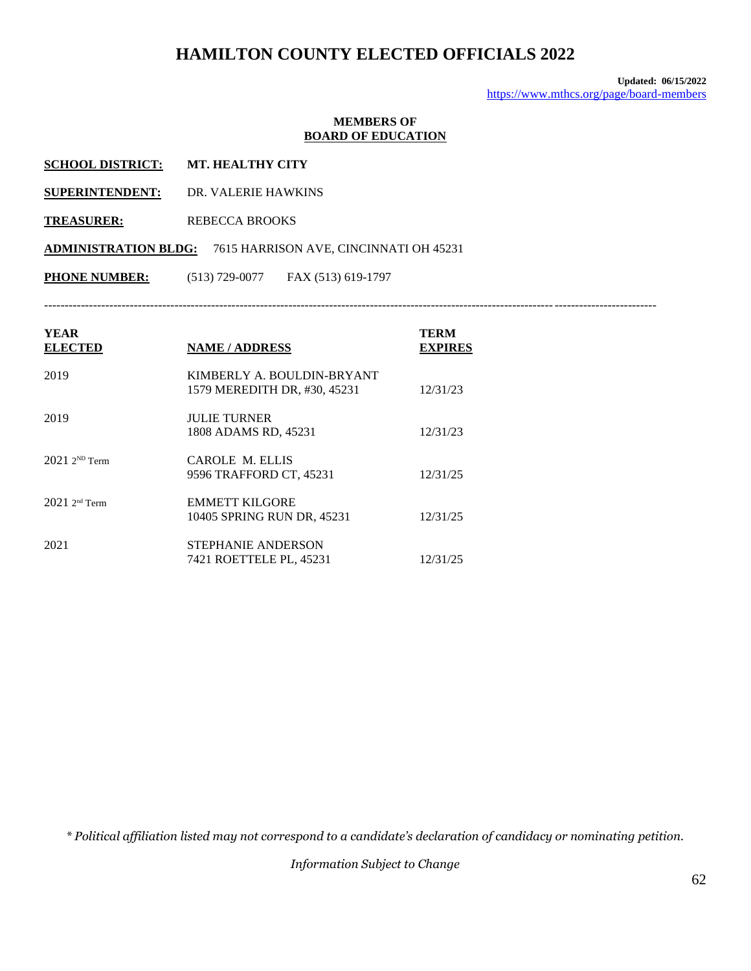**Updated: 06/15/2022** <https://www.mthcs.org/page/board-members>

#### **MEMBERS OF BOARD OF EDUCATION**

| <b>SCHOOL DISTRICT:</b> | <b>MT. HEALTHY CITY</b> |
|-------------------------|-------------------------|
|                         |                         |

- **SUPERINTENDENT:** DR. VALERIE HAWKINS
- **TREASURER:** REBECCA BROOKS

**ADMINISTRATION BLDG:** 7615 HARRISON AVE, CINCINNATI OH 45231

**PHONE NUMBER:** (513) 729-0077 FAX (513) 619-1797

------------------------------------------------------------------------------------------------------------------------------------------------------

| YEAR<br><b>ELECTED</b> | <b>NAME / ADDRESS</b>                                      | TERM<br><b>EXPIRES</b> |
|------------------------|------------------------------------------------------------|------------------------|
| 2019                   | KIMBERLY A. BOULDIN-BRYANT<br>1579 MEREDITH DR, #30, 45231 | 12/31/23               |
| 2019                   | <b>JULIE TURNER</b><br>1808 ADAMS RD, 45231                | 12/31/23               |
| $20212^{ND}$ Term      | CAROLE M. ELLIS<br>9596 TRAFFORD CT, 45231                 | 12/31/25               |
| $20212^{nd}$ Term      | <b>EMMETT KILGORE</b><br>10405 SPRING RUN DR, 45231        | 12/31/25               |
| 2021                   | STEPHANIE ANDERSON<br>7421 ROETTELE PL, 45231              | 12/31/25               |

*\* Political affiliation listed may not correspond to a candidate's declaration of candidacy or nominating petition.*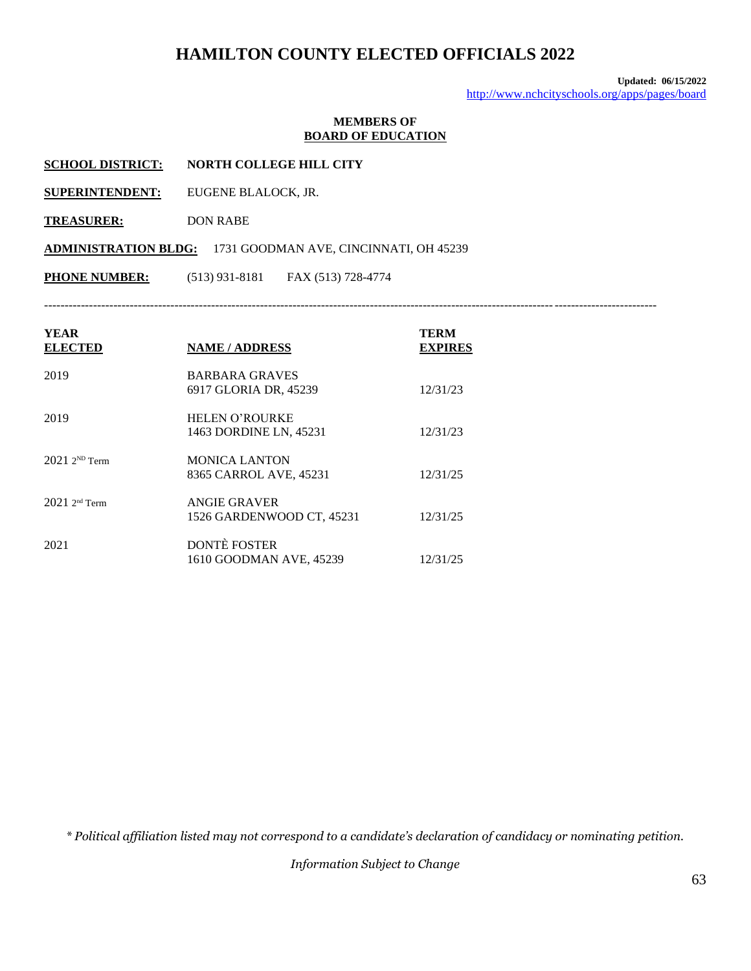**Updated: 06/15/2022** <http://www.nchcityschools.org/apps/pages/board>

#### **MEMBERS OF BOARD OF EDUCATION**

- **SCHOOL DISTRICT: NORTH COLLEGE HILL CITY**
- **SUPERINTENDENT:** EUGENE BLALOCK, JR.
- **TREASURER:** DON RABE

**ADMINISTRATION BLDG:** 1731 GOODMAN AVE, CINCINNATI, OH 45239

**PHONE NUMBER:** (513) 931-8181 FAX (513) 728-4774

------------------------------------------------------------------------------------------------------------------------------------------------------

| <b>YEAR</b><br><b>ELECTED</b> | <b>NAME / ADDRESS</b>                           | TERM<br><b>EXPIRES</b> |
|-------------------------------|-------------------------------------------------|------------------------|
| 2019                          | <b>BARBARA GRAVES</b><br>6917 GLORIA DR, 45239  | 12/31/23               |
| 2019                          | <b>HELEN O'ROURKE</b><br>1463 DORDINE LN, 45231 | 12/31/23               |
| $20212^{ND}$ Term             | <b>MONICA LANTON</b><br>8365 CARROL AVE, 45231  | 12/31/25               |
| $20212^{\text{nd}}$ Term      | ANGIE GRAVER<br>1526 GARDENWOOD CT, 45231       | 12/31/25               |
| 2021                          | <b>DONTÈ FOSTER</b><br>1610 GOODMAN AVE, 45239  | 12/31/25               |

*\* Political affiliation listed may not correspond to a candidate's declaration of candidacy or nominating petition.*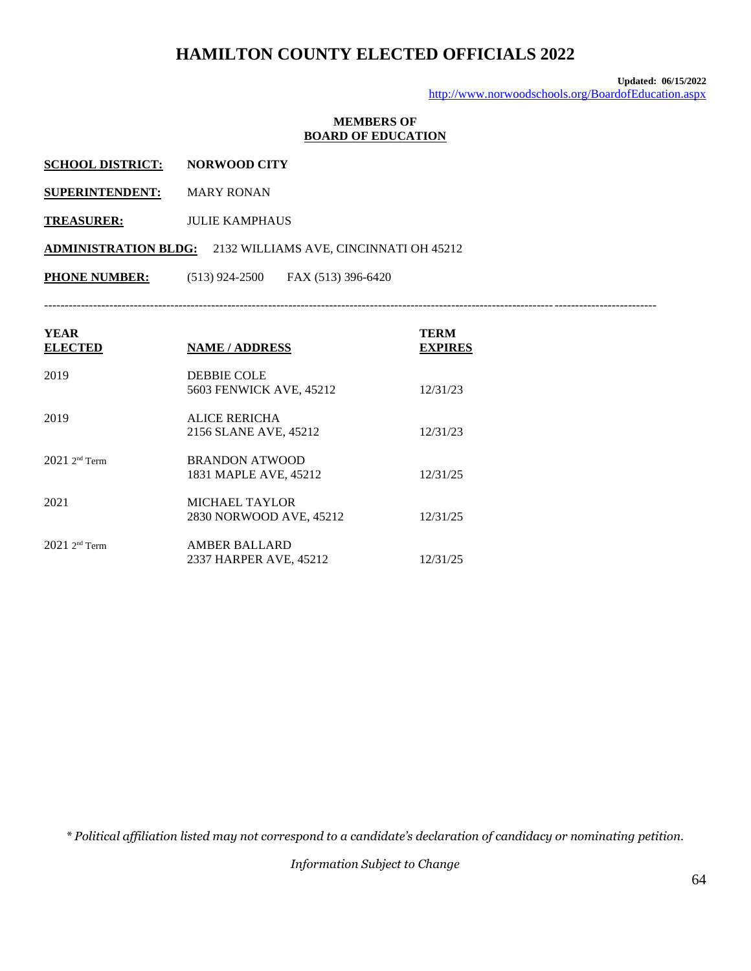**Updated: 06/15/2022** <http://www.norwoodschools.org/BoardofEducation.aspx>

### **MEMBERS OF BOARD OF EDUCATION**

| <b>SCHOOL DISTRICT:</b> | <b>NORWOOD CITY</b> |
|-------------------------|---------------------|
|-------------------------|---------------------|

**SUPERINTENDENT:** MARY RONAN

**TREASURER:** JULIE KAMPHAUS

**ADMINISTRATION BLDG:** 2132 WILLIAMS AVE, CINCINNATI OH 45212

**PHONE NUMBER:** (513) 924-2500 FAX (513) 396-6420

------------------------------------------------------------------------------------------------------------------------------------------------------

| <b>YEAR</b><br><b>ELECTED</b> | <b>NAME / ADDRESS</b>                            | TERM<br><b>EXPIRES</b> |
|-------------------------------|--------------------------------------------------|------------------------|
| 2019                          | <b>DEBBIE COLE</b><br>5603 FENWICK AVE, 45212    | 12/31/23               |
| 2019                          | ALICE RERICHA<br>2156 SLANE AVE, 45212           | 12/31/23               |
| $2021$ 2 <sup>nd</sup> Term   | <b>BRANDON ATWOOD</b><br>1831 MAPLE AVE, 45212   | 12/31/25               |
| 2021                          | <b>MICHAEL TAYLOR</b><br>2830 NORWOOD AVE, 45212 | 12/31/25               |
| $2021$ 2 <sup>nd</sup> Term   | <b>AMBER BALLARD</b><br>2337 HARPER AVE, 45212   | 12/31/25               |

*\* Political affiliation listed may not correspond to a candidate's declaration of candidacy or nominating petition.*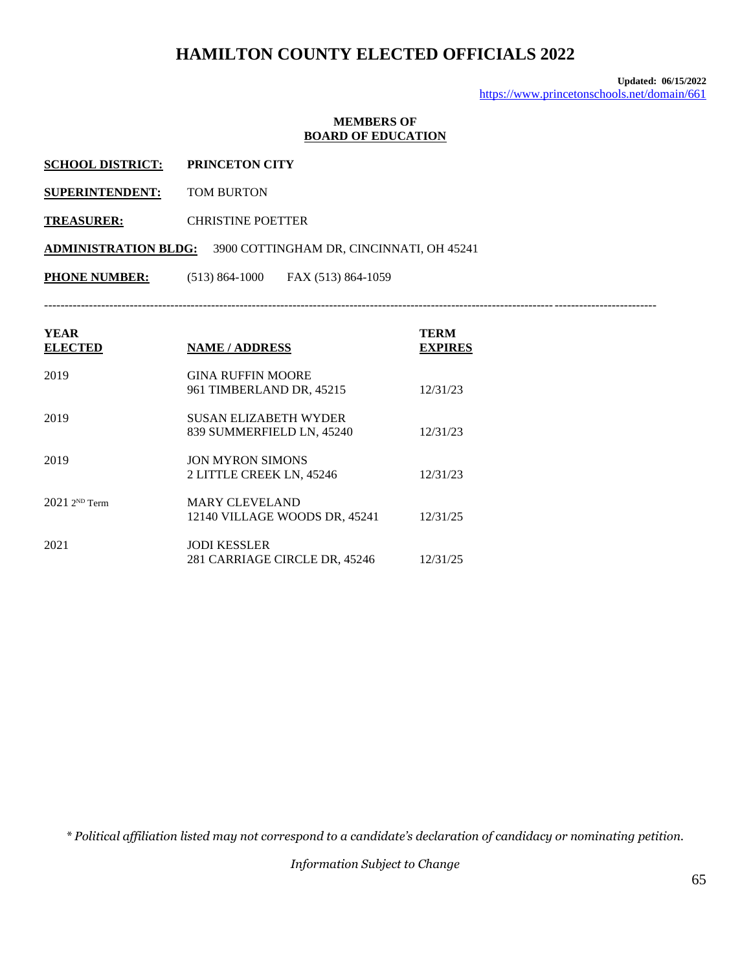**Updated: 06/15/2022** <https://www.princetonschools.net/domain/661>

#### **MEMBERS OF BOARD OF EDUCATION**

| <b>SCHOOL DISTRICT:</b> | <b>PRINCETON CITY</b> |
|-------------------------|-----------------------|
|                         |                       |

**SUPERINTENDENT:** TOM BURTON

**TREASURER:** CHRISTINE POETTER

**ADMINISTRATION BLDG:** 3900 COTTINGHAM DR, CINCINNATI, OH 45241

**PHONE NUMBER:** (513) 864-1000 FAX (513) 864-1059

------------------------------------------------------------------------------------------------------------------------------------------------------

| <b>YEAR</b><br><b>ELECTED</b> | <b>NAME / ADDRESS</b>         | TERM<br><b>EXPIRES</b> |
|-------------------------------|-------------------------------|------------------------|
| 2019                          | <b>GINA RUFFIN MOORE</b>      |                        |
|                               | 961 TIMBERLAND DR, 45215      | 12/31/23               |
| 2019                          | SUSAN ELIZABETH WYDER         |                        |
|                               | 839 SUMMERFIELD LN, 45240     | 12/31/23               |
| 2019                          | <b>JON MYRON SIMONS</b>       |                        |
|                               | 2 LITTLE CREEK LN, 45246      | 12/31/23               |
| $20212^{ND}$ Term             | <b>MARY CLEVELAND</b>         |                        |
|                               | 12140 VILLAGE WOODS DR. 45241 | 12/31/25               |
| 2021                          | <b>JODI KESSLER</b>           |                        |
|                               | 281 CARRIAGE CIRCLE DR, 45246 | 12/31/25               |

*\* Political affiliation listed may not correspond to a candidate's declaration of candidacy or nominating petition.*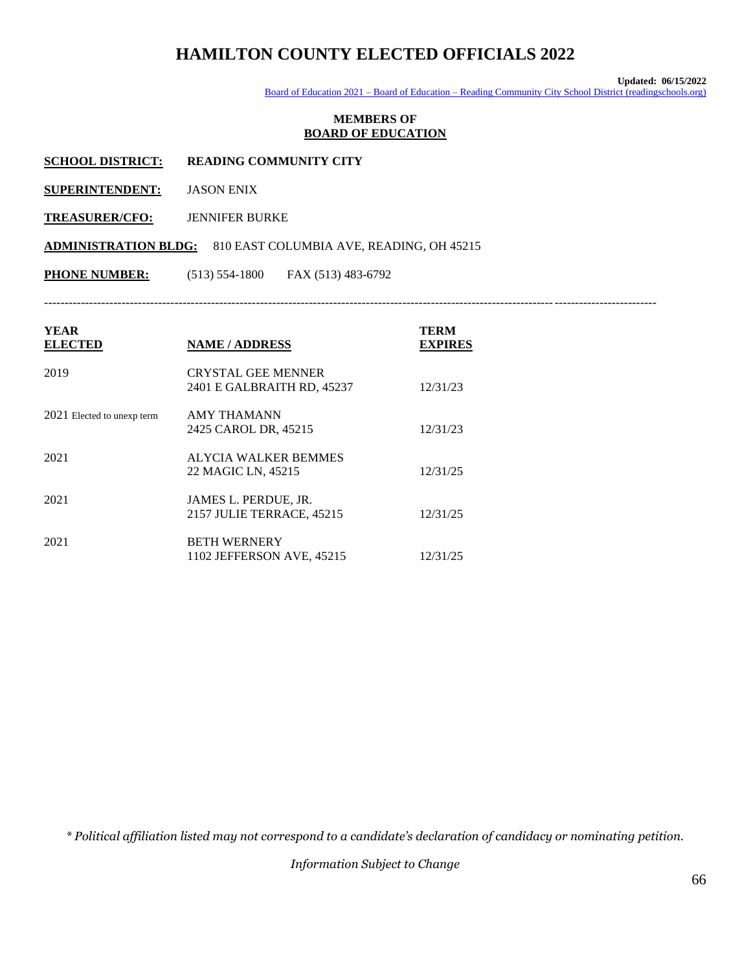**Updated: 06/15/2022**

Board of Education 2021 – Board of Education – [Reading Community City School District \(readingschools.org\)](https://www.readingschools.org/apps/pages/index.jsp?uREC_ID=1569655&type=d&pREC_ID=1697829)

#### **MEMBERS OF BOARD OF EDUCATION**

**SCHOOL DISTRICT: READING COMMUNITY CITY**

**SUPERINTENDENT:** JASON ENIX

**TREASURER/CFO:** JENNIFER BURKE

**ADMINISTRATION BLDG:** 810 EAST COLUMBIA AVE, READING, OH 45215

**PHONE NUMBER:** (513) 554-1800 FAX (513) 483-6792

------------------------------------------------------------------------------------------------------------------------------------------------------

| <b>YEAR</b><br><b>ELECTED</b> | <b>NAME / ADDRESS</b>                                   | <b>TERM</b><br><b>EXPIRES</b> |
|-------------------------------|---------------------------------------------------------|-------------------------------|
| 2019                          | <b>CRYSTAL GEE MENNER</b><br>2401 E GALBRAITH RD, 45237 | 12/31/23                      |
| 2021 Elected to unexp term    | <b>AMY THAMANN</b><br>2425 CAROL DR, 45215              | 12/31/23                      |
| 2021                          | <b>ALYCIA WALKER BEMMES</b><br>22 MAGIC LN, 45215       | 12/31/25                      |
| 2021                          | JAMES L. PERDUE, JR.<br>2157 JULIE TERRACE, 45215       | 12/31/25                      |
| 2021                          | <b>BETH WERNERY</b><br>1102 JEFFERSON AVE, 45215        | 12/31/25                      |

*\* Political affiliation listed may not correspond to a candidate's declaration of candidacy or nominating petition.*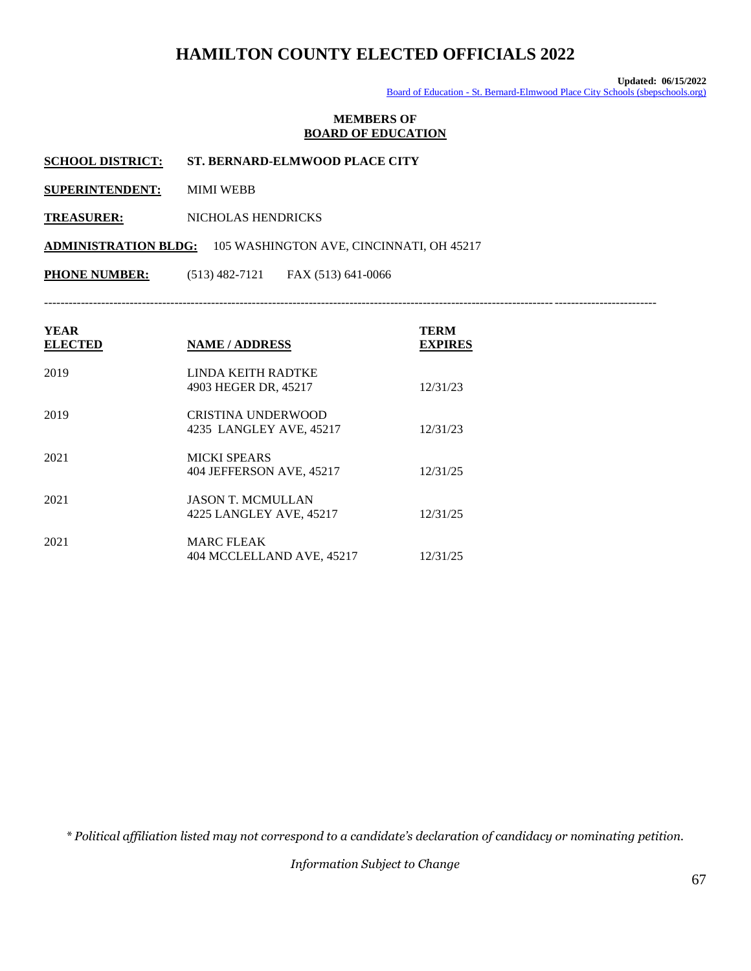**Updated: 06/15/2022** Board of Education - [St. Bernard-Elmwood Place City Schools \(sbepschools.org\)](http://sbepschools.org/cms/One.aspx?portalId=2981761&pageId=3831370)

#### **MEMBERS OF BOARD OF EDUCATION**

**SCHOOL DISTRICT: ST. BERNARD-ELMWOOD PLACE CITY** 

**SUPERINTENDENT:** MIMI WEBB

**TREASURER:** NICHOLAS HENDRICKS

**ADMINISTRATION BLDG:** 105 WASHINGTON AVE, CINCINNATI, OH 45217

**PHONE NUMBER:** (513) 482-7121 FAX (513) 641-0066

------------------------------------------------------------------------------------------------------------------------------------------------------

| YEAR<br><b>ELECTED</b> | <b>NAME / ADDRESS</b>                                | <b>TERM</b><br><b>EXPIRES</b> |
|------------------------|------------------------------------------------------|-------------------------------|
| 2019                   | LINDA KEITH RADTKE<br>4903 HEGER DR, 45217           | 12/31/23                      |
| 2019                   | <b>CRISTINA UNDERWOOD</b><br>4235 LANGLEY AVE, 45217 | 12/31/23                      |
| 2021                   | <b>MICKI SPEARS</b><br>404 JEFFERSON AVE, 45217      | 12/31/25                      |
| 2021                   | <b>JASON T. MCMULLAN</b><br>4225 LANGLEY AVE, 45217  | 12/31/25                      |
| 2021                   | <b>MARC FLEAK</b><br>404 MCCLELLAND AVE, 45217       | 12/31/25                      |

*\* Political affiliation listed may not correspond to a candidate's declaration of candidacy or nominating petition.*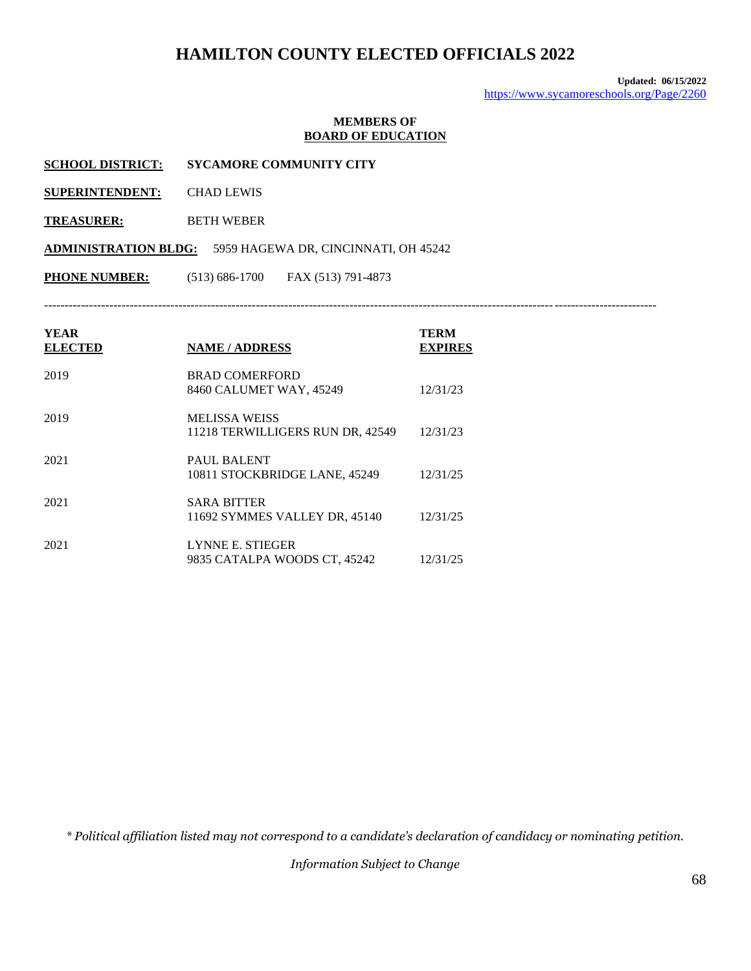**Updated: 06/15/2022** <https://www.sycamoreschools.org/Page/2260>

#### **MEMBERS OF BOARD OF EDUCATION**

- **SCHOOL DISTRICT: SYCAMORE COMMUNITY CITY**
- **SUPERINTENDENT:** CHAD LEWIS
- **TREASURER:** BETH WEBER

**ADMINISTRATION BLDG:** 5959 HAGEWA DR, CINCINNATI, OH 45242

**PHONE NUMBER:** (513) 686-1700 FAX (513) 791-4873

------------------------------------------------------------------------------------------------------------------------------------------------------

| YEAR<br><b>ELECTED</b> | <b>NAME / ADDRESS</b>                                    | TERM<br><b>EXPIRES</b> |
|------------------------|----------------------------------------------------------|------------------------|
| 2019                   | <b>BRAD COMERFORD</b><br>8460 CALUMET WAY, 45249         | 12/31/23               |
| 2019                   | <b>MELISSA WEISS</b><br>11218 TERWILLIGERS RUN DR, 42549 | 12/31/23               |
| 2021                   | PAUL BALENT<br>10811 STOCKBRIDGE LANE, 45249             | 12/31/25               |
| 2021                   | <b>SARA BITTER</b><br>11692 SYMMES VALLEY DR, 45140      | 12/31/25               |
| 2021                   | LYNNE E. STIEGER<br>9835 CATALPA WOODS CT, 45242         | 12/31/25               |

*\* Political affiliation listed may not correspond to a candidate's declaration of candidacy or nominating petition.*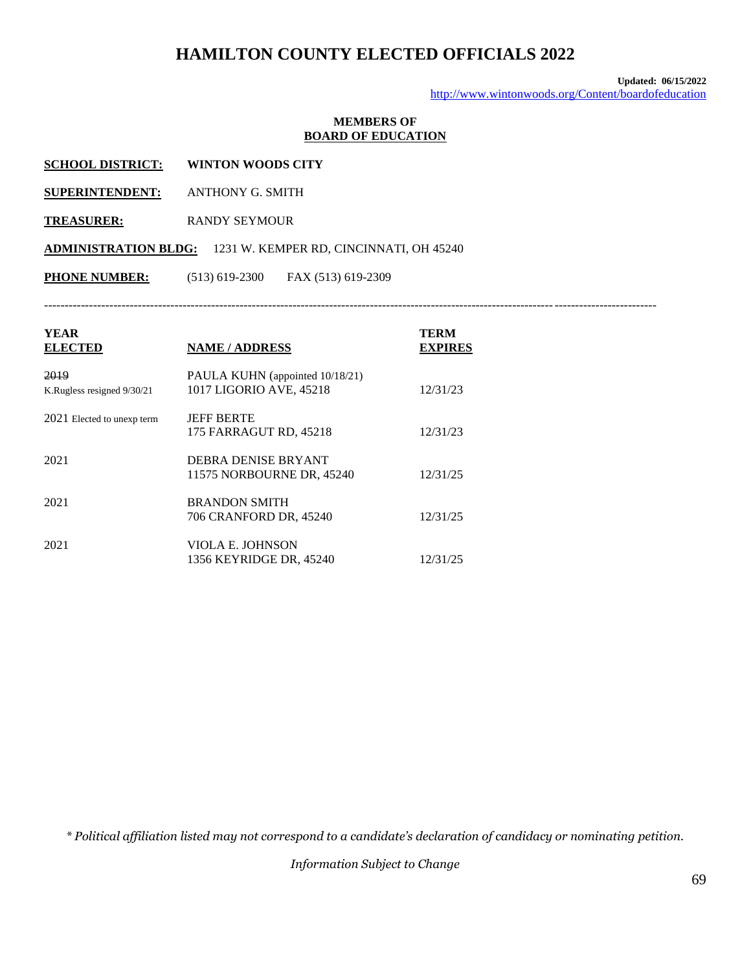**Updated: 06/15/2022** <http://www.wintonwoods.org/Content/boardofeducation>

### **MEMBERS OF BOARD OF EDUCATION**

| <b>WINTON WOODS CITY</b>                                            |
|---------------------------------------------------------------------|
| ANTHONY G. SMITH                                                    |
| RANDY SEYMOUR                                                       |
| <b>ADMINISTRATION BLDG:</b> 1231 W. KEMPER RD, CINCINNATI, OH 45240 |
| $(513)$ 619-2300 FAX (513) 619-2309                                 |
|                                                                     |

------------------------------------------------------------------------------------------------------------------------------------------------------

| <b>YEAR</b><br><b>ELECTED</b>      | <b>NAME / ADDRESS</b>                                      | TERM<br><b>EXPIRES</b> |
|------------------------------------|------------------------------------------------------------|------------------------|
| 2019<br>K.Rugless resigned 9/30/21 | PAULA KUHN (appointed 10/18/21)<br>1017 LIGORIO AVE, 45218 | 12/31/23               |
| 2021 Elected to unexp term         | <b>IEFF BERTE</b><br>175 FARRAGUT RD, 45218                | 12/31/23               |
| 2021                               | DEBRA DENISE BRYANT<br>11575 NORBOURNE DR, 45240           | 12/31/25               |
| 2021                               | <b>BRANDON SMITH</b><br>706 CRANFORD DR, 45240             | 12/31/25               |
| 2021                               | VIOLA E. JOHNSON<br>1356 KEYRIDGE DR, 45240                | 12/31/25               |

*\* Political affiliation listed may not correspond to a candidate's declaration of candidacy or nominating petition.*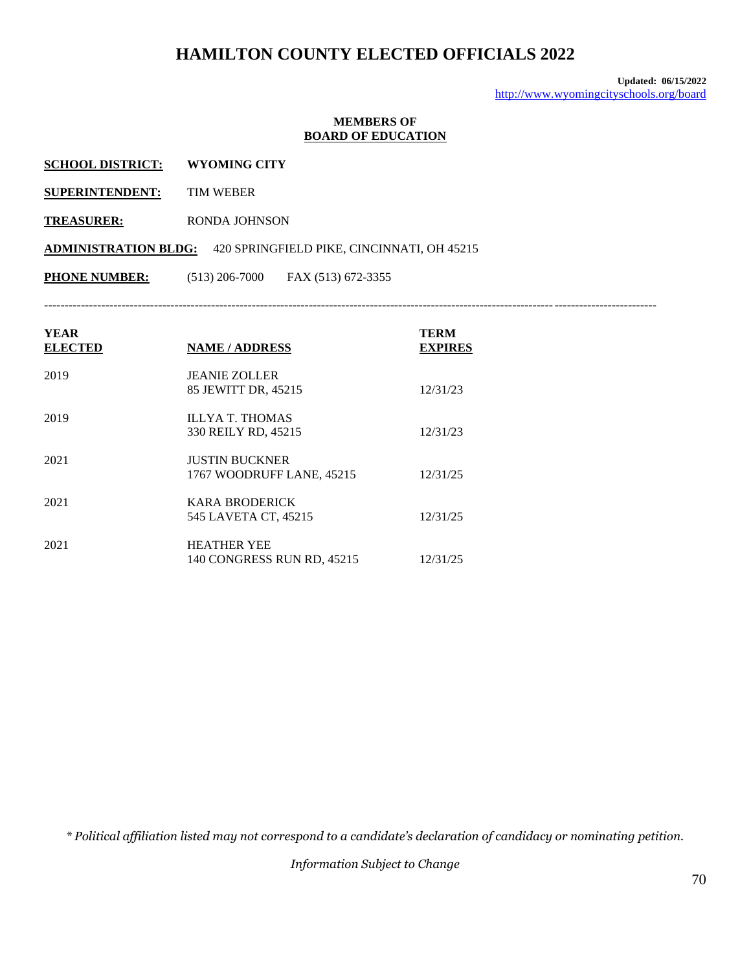**Updated: 06/15/2022** <http://www.wyomingcityschools.org/board>

#### **MEMBERS OF BOARD OF EDUCATION**

- **SCHOOL DISTRICT: WYOMING CITY**
- **SUPERINTENDENT:** TIM WEBER
- **TREASURER:** RONDA JOHNSON

**ADMINISTRATION BLDG:** 420 SPRINGFIELD PIKE, CINCINNATI, OH 45215

**PHONE NUMBER:** (513) 206-7000 FAX (513) 672-3355

------------------------------------------------------------------------------------------------------------------------------------------------------

| YEAR<br><b>ELECTED</b> | <b>NAME / ADDRESS</b>                              | <b>TERM</b><br><b>EXPIRES</b> |
|------------------------|----------------------------------------------------|-------------------------------|
| 2019                   | <b>JEANIE ZOLLER</b><br>85 JEWITT DR, 45215        | 12/31/23                      |
| 2019                   | <b>ILLYA T. THOMAS</b><br>330 REILY RD, 45215      | 12/31/23                      |
| 2021                   | <b>JUSTIN BUCKNER</b><br>1767 WOODRUFF LANE, 45215 | 12/31/25                      |
| 2021                   | KARA BRODERICK<br>545 LAVETA CT, 45215             | 12/31/25                      |
| 2021                   | <b>HEATHER YEE</b><br>140 CONGRESS RUN RD, 45215   | 12/31/25                      |

*\* Political affiliation listed may not correspond to a candidate's declaration of candidacy or nominating petition.*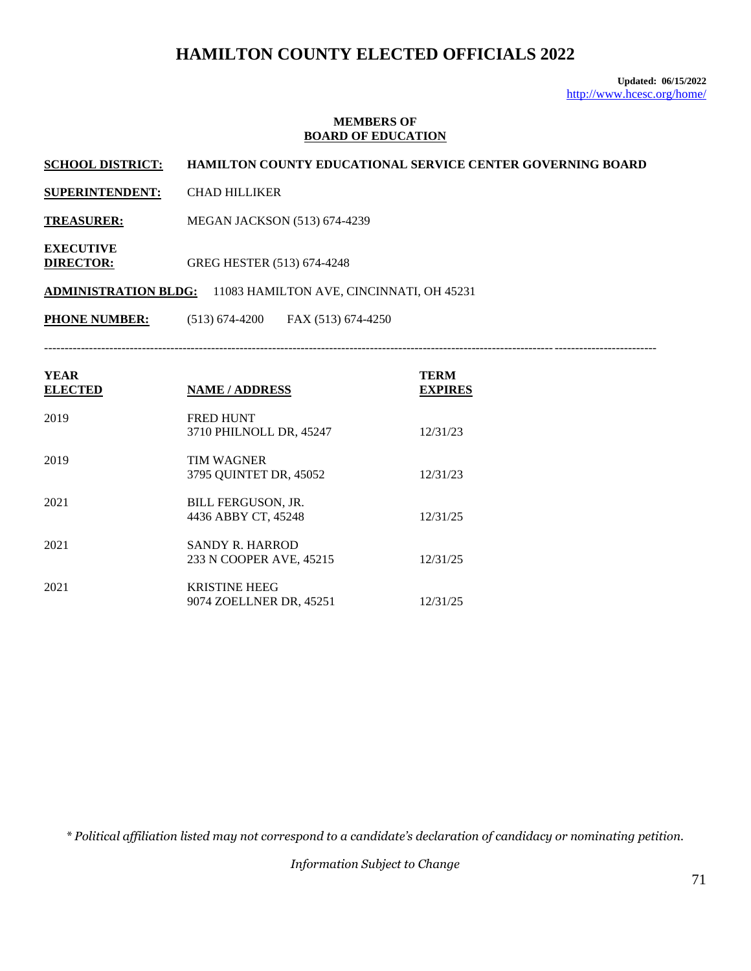**Updated: 06/15/2022** <http://www.hcesc.org/home/>

#### **MEMBERS OF BOARD OF EDUCATION**

**SCHOOL DISTRICT: HAMILTON COUNTY EDUCATIONAL SERVICE CENTER GOVERNING BOARD** 

- **SUPERINTENDENT:** CHAD HILLIKER
- **TREASURER:** MEGAN JACKSON (513) 674-4239
- **EXECUTIVE DIRECTOR:** GREG HESTER (513) 674-4248

**ADMINISTRATION BLDG:** 11083 HAMILTON AVE, CINCINNATI, OH 45231

**PHONE NUMBER:** (513) 674-4200 FAX (513) 674-4250

------------------------------------------------------------------------------------------------------------------------------------------------------

| <b>YEAR</b><br><b>ELECTED</b> | <b>NAME / ADDRESS</b>                             | TERM<br><b>EXPIRES</b> |
|-------------------------------|---------------------------------------------------|------------------------|
| 2019                          | <b>FRED HUNT</b><br>3710 PHILNOLL DR, 45247       | 12/31/23               |
| 2019                          | <b>TIM WAGNER</b><br>3795 OUINTET DR, 45052       | 12/31/23               |
| 2021                          | <b>BILL FERGUSON, JR.</b><br>4436 ABBY CT, 45248  | 12/31/25               |
| 2021                          | <b>SANDY R. HARROD</b><br>233 N COOPER AVE, 45215 | 12/31/25               |
| 2021                          | <b>KRISTINE HEEG</b><br>9074 ZOELLNER DR, 45251   | 12/31/25               |

*\* Political affiliation listed may not correspond to a candidate's declaration of candidacy or nominating petition.*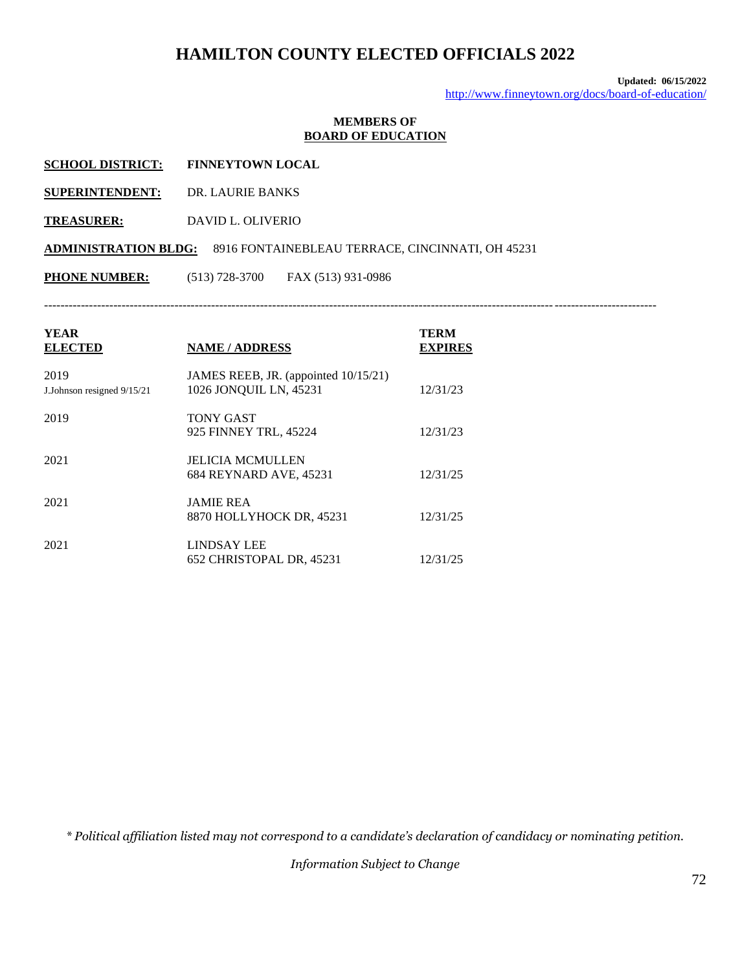**Updated: 06/15/2022** <http://www.finneytown.org/docs/board-of-education/>

#### **MEMBERS OF BOARD OF EDUCATION**

**SUPERINTENDENT:** DR. LAURIE BANKS

**TREASURER:** DAVID L. OLIVERIO

**ADMINISTRATION BLDG:** 8916 FONTAINEBLEAU TERRACE, CINCINNATI, OH 45231

**PHONE NUMBER:** (513) 728-3700 FAX (513) 931-0986

------------------------------------------------------------------------------------------------------------------------------------------------------

| YEAR<br><b>ELECTED</b>             | <b>NAME / ADDRESS</b>                                          | <b>TERM</b><br><b>EXPIRES</b> |
|------------------------------------|----------------------------------------------------------------|-------------------------------|
| 2019<br>J.Johnson resigned 9/15/21 | JAMES REEB, JR. (appointed 10/15/21)<br>1026 JONQUIL LN, 45231 | 12/31/23                      |
| 2019                               | <b>TONY GAST</b><br>925 FINNEY TRL, 45224                      | 12/31/23                      |
| 2021                               | <b>JELICIA MCMULLEN</b><br>684 REYNARD AVE, 45231              | 12/31/25                      |
| 2021                               | <b>JAMIE REA</b><br>8870 HOLLYHOCK DR, 45231                   | 12/31/25                      |
| 2021                               | <b>LINDSAY LEE</b><br>652 CHRISTOPAL DR, 45231                 | 12/31/25                      |

*\* Political affiliation listed may not correspond to a candidate's declaration of candidacy or nominating petition.*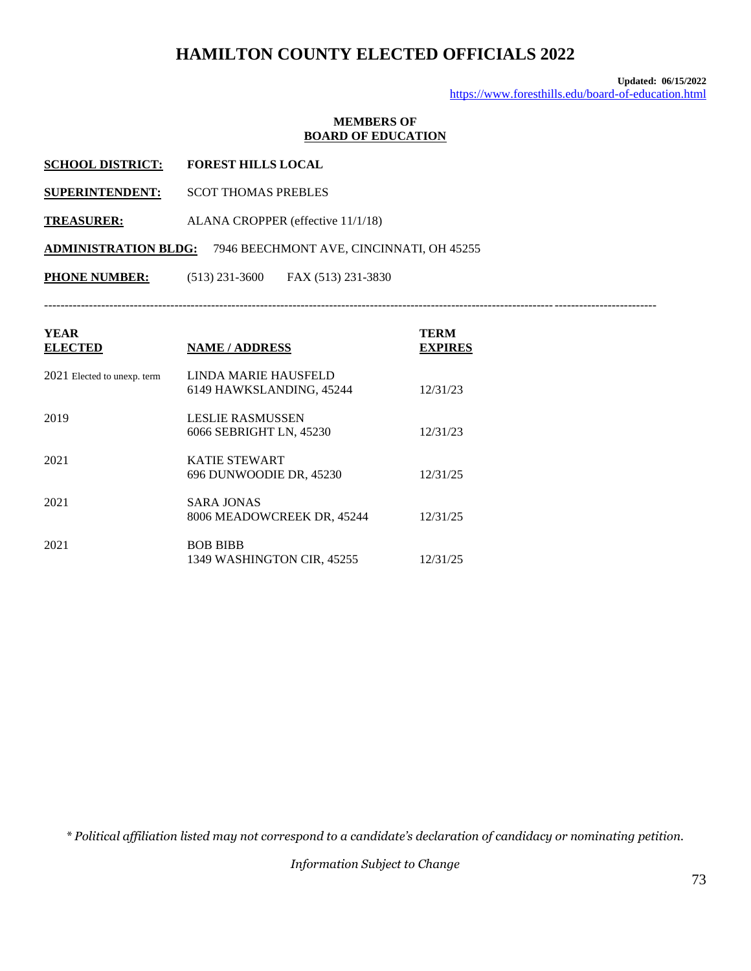**Updated: 06/15/2022** <https://www.foresthills.edu/board-of-education.html>

#### **MEMBERS OF BOARD OF EDUCATION**

| <b>SCHOOL DISTRICT:</b> | <b>FOREST HILLS LOCAL</b> |
|-------------------------|---------------------------|
|                         |                           |

- **SUPERINTENDENT:** SCOT THOMAS PREBLES
- **TREASURER:** ALANA CROPPER (effective 11/1/18)

**ADMINISTRATION BLDG:** 7946 BEECHMONT AVE, CINCINNATI, OH 45255

**PHONE NUMBER:** (513) 231-3600 FAX (513) 231-3830

------------------------------------------------------------------------------------------------------------------------------------------------------

| YEAR<br><b>ELECTED</b>        | <b>NAME / ADDRESS</b>                            | TERM<br><b>EXPIRES</b> |
|-------------------------------|--------------------------------------------------|------------------------|
| $2021$ Elected to unexp. term | LINDA MARIE HAUSFELD<br>6149 HAWKSLANDING, 45244 | 12/31/23               |
| 2019                          | LESLIE RASMUSSEN<br>6066 SEBRIGHT LN, 45230      | 12/31/23               |
| 2021                          | <b>KATIE STEWART</b><br>696 DUNWOODIE DR. 45230  | 12/31/25               |
| 2021                          | SARA JONAS<br>8006 MEADOWCREEK DR. 45244         | 12/31/25               |
| 2021                          | <b>BOB BIBB</b><br>1349 WASHINGTON CIR, 45255    | 12/31/25               |

*\* Political affiliation listed may not correspond to a candidate's declaration of candidacy or nominating petition.*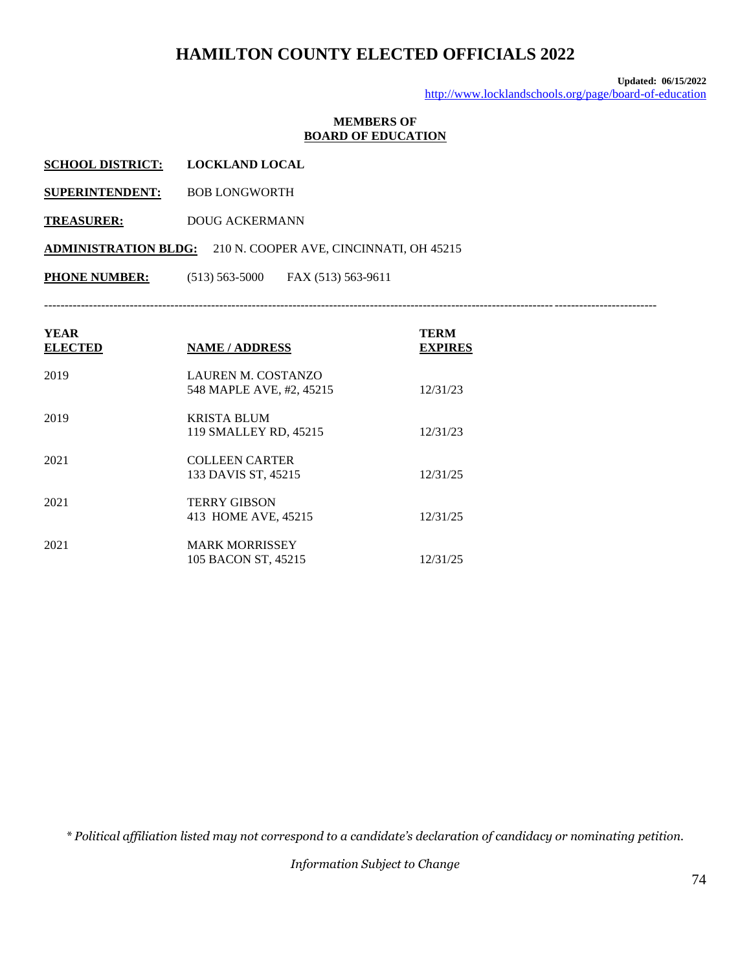**Updated: 06/15/2022** <http://www.locklandschools.org/page/board-of-education>

#### **MEMBERS OF BOARD OF EDUCATION**

| <b>SCHOOL DISTRICT:</b> | <b>LOCKLAND LOCAL</b> |
|-------------------------|-----------------------|
|                         |                       |

- **SUPERINTENDENT:** BOB LONGWORTH
- **TREASURER:** DOUG ACKERMANN

**ADMINISTRATION BLDG:** 210 N. COOPER AVE, CINCINNATI, OH 45215

**PHONE NUMBER:** (513) 563-5000 FAX (513) 563-9611

------------------------------------------------------------------------------------------------------------------------------------------------------

| <b>YEAR</b><br><b>ELECTED</b> | <b>NAME / ADDRESS</b>                          | <b>TERM</b><br><b>EXPIRES</b> |
|-------------------------------|------------------------------------------------|-------------------------------|
| 2019                          | LAUREN M. COSTANZO<br>548 MAPLE AVE, #2, 45215 | 12/31/23                      |
| 2019                          | KRISTA BLUM<br>119 SMALLEY RD, 45215           | 12/31/23                      |
| 2021                          | <b>COLLEEN CARTER</b><br>133 DAVIS ST, 45215   | 12/31/25                      |
| 2021                          | <b>TERRY GIBSON</b><br>413 HOME AVE, 45215     | 12/31/25                      |
| 2021                          | <b>MARK MORRISSEY</b><br>105 BACON ST, 45215   | 12/31/25                      |

*\* Political affiliation listed may not correspond to a candidate's declaration of candidacy or nominating petition.*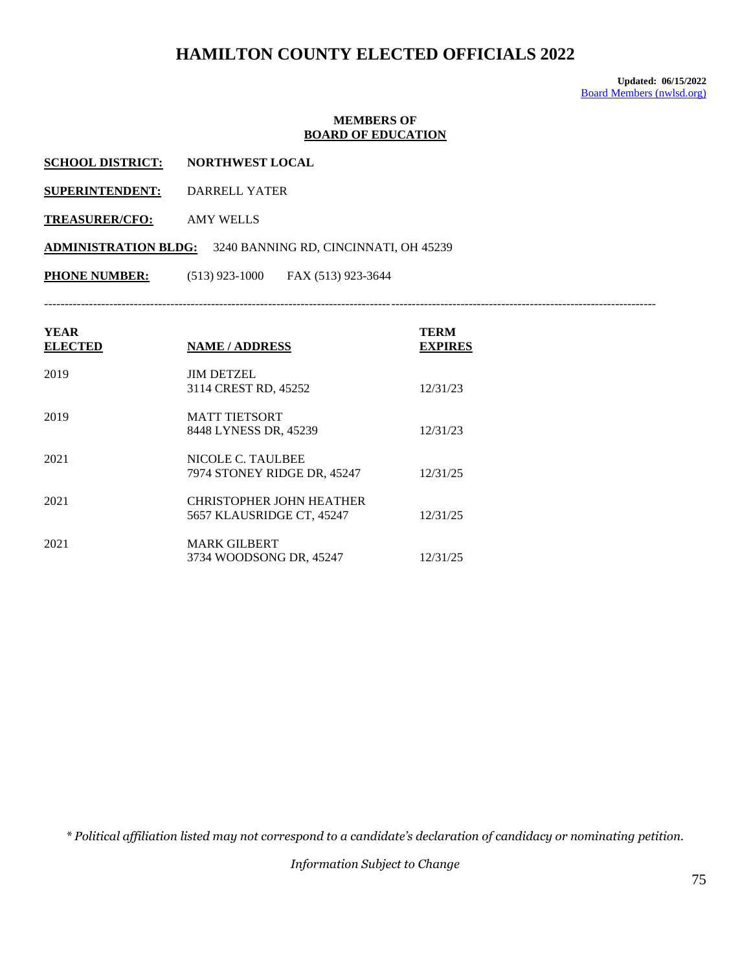**Updated: 06/15/2022** [Board Members \(nwlsd.org\)](https://www.nwlsd.org/BoardMembers_202033010543819.aspx)

#### **MEMBERS OF BOARD OF EDUCATION**

- **SCHOOL DISTRICT: NORTHWEST LOCAL**
- **SUPERINTENDENT:** DARRELL YATER
- **TREASURER/CFO:** AMY WELLS

**ADMINISTRATION BLDG:** 3240 BANNING RD, CINCINNATI, OH 45239

**PHONE NUMBER:** (513) 923-1000 FAX (513) 923-3644

------------------------------------------------------------------------------------------------------------------------------------------------------

| <b>YEAR</b><br><b>ELECTED</b> | <b>NAME / ADDRESS</b>       | TERM<br><b>EXPIRES</b> |
|-------------------------------|-----------------------------|------------------------|
| 2019                          | <b>JIM DETZEL</b>           |                        |
|                               | 3114 CREST RD, 45252        | 12/31/23               |
| 2019                          | <b>MATT TIETSORT</b>        |                        |
|                               | 8448 LYNESS DR, 45239       | 12/31/23               |
| 2021                          | NICOLE C. TAULBEE           |                        |
|                               | 7974 STONEY RIDGE DR, 45247 | 12/31/25               |
| 2021                          | CHRISTOPHER JOHN HEATHER    |                        |
|                               | 5657 KLAUSRIDGE CT, 45247   | 12/31/25               |
| 2021                          | <b>MARK GILBERT</b>         |                        |
|                               | 3734 WOODSONG DR, 45247     | 12/31/25               |

*\* Political affiliation listed may not correspond to a candidate's declaration of candidacy or nominating petition.*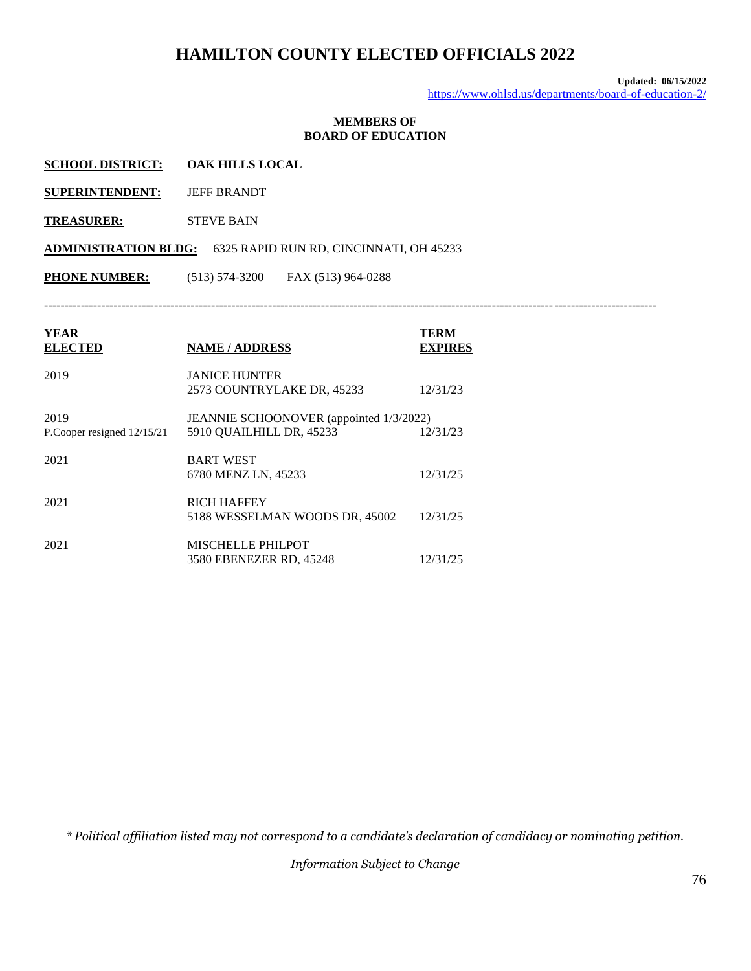**Updated: 06/15/2022** <https://www.ohlsd.us/departments/board-of-education-2/>

#### **MEMBERS OF BOARD OF EDUCATION**

**SUPERINTENDENT:** JEFF BRANDT

**TREASURER:** STEVE BAIN

**ADMINISTRATION BLDG:** 6325 RAPID RUN RD, CINCINNATI, OH 45233

**PHONE NUMBER:** (513) 574-3200 FAX (513) 964-0288

------------------------------------------------------------------------------------------------------------------------------------------------------

| <b>YEAR</b><br><b>ELECTED</b>        | <b>NAME / ADDRESS</b>                                               | TERM<br><b>EXPIRES</b> |
|--------------------------------------|---------------------------------------------------------------------|------------------------|
| 2019                                 | <b>JANICE HUNTER</b><br>2573 COUNTRYLAKE DR, 45233                  | 12/31/23               |
| 2019<br>P.Cooper resigned $12/15/21$ | JEANNIE SCHOONOVER (appointed 1/3/2022)<br>5910 QUAILHILL DR, 45233 | 12/31/23               |
| 2021                                 | <b>BART WEST</b><br>6780 MENZ LN, 45233                             | 12/31/25               |
| 2021                                 | <b>RICH HAFFEY</b><br>5188 WESSELMAN WOODS DR, 45002                | 12/31/25               |
| 2021                                 | <b>MISCHELLE PHILPOT</b><br>3580 EBENEZER RD, 45248                 | 12/31/25               |

*\* Political affiliation listed may not correspond to a candidate's declaration of candidacy or nominating petition.*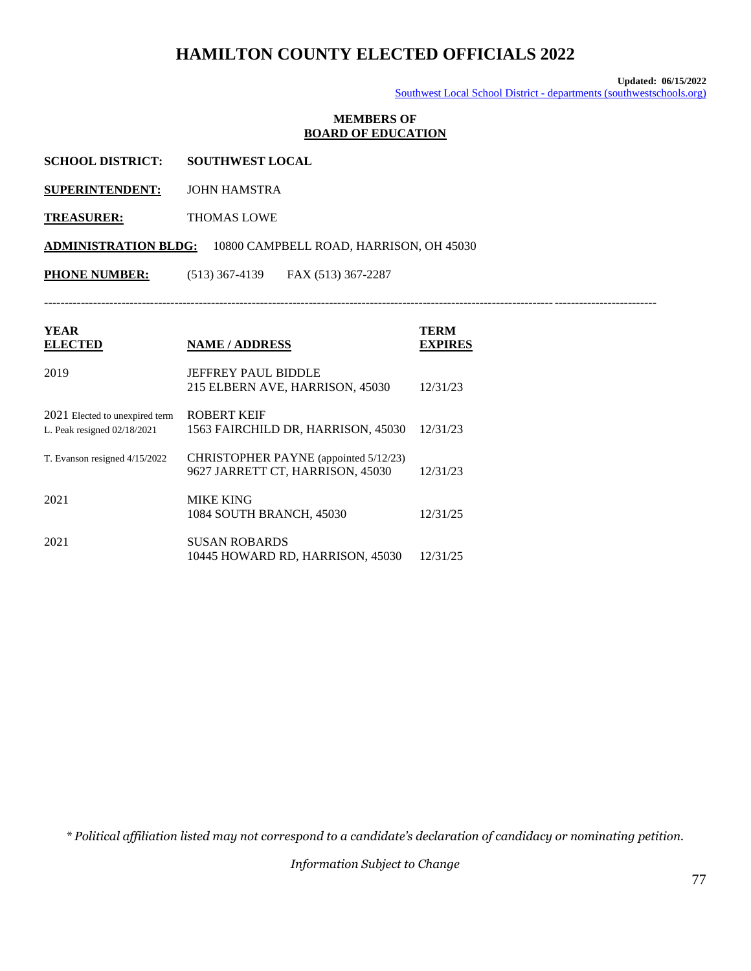**Updated: 06/15/2022** Southwest Local School District - [departments \(southwestschools.org\)](https://www.southwestschools.org/departments/board-of-education-2/members-3/)

#### **MEMBERS OF BOARD OF EDUCATION**

| <b>SCHOOL DISTRICT:</b> | <b>SOUTHWEST LOCAL</b> |
|-------------------------|------------------------|
|                         |                        |

**SUPERINTENDENT:** JOHN HAMSTRA

**TREASURER:** THOMAS LOWE

**ADMINISTRATION BLDG:** 10800 CAMPBELL ROAD, HARRISON, OH 45030

**PHONE NUMBER:** (513) 367-4139 FAX (513) 367-2287

------------------------------------------------------------------------------------------------------------------------------------------------------

| <b>YEAR</b><br><b>ELECTED</b>                                 | <b>NAME / ADDRESS</b>                                                     | <b>TERM</b><br><b>EXPIRES</b> |
|---------------------------------------------------------------|---------------------------------------------------------------------------|-------------------------------|
| 2019                                                          | <b>JEFFREY PAUL BIDDLE</b><br>215 ELBERN AVE, HARRISON, 45030             | 12/31/23                      |
| 2021 Elected to unexpired term<br>L. Peak resigned 02/18/2021 | <b>ROBERT KEIF</b><br>1563 FAIRCHILD DR. HARRISON, 45030                  | 12/31/23                      |
| T. Evanson resigned 4/15/2022                                 | CHRISTOPHER PAYNE (appointed 5/12/23)<br>9627 JARRETT CT, HARRISON, 45030 | 12/31/23                      |
| 2021                                                          | <b>MIKE KING</b><br>1084 SOUTH BRANCH, 45030                              | 12/31/25                      |
| 2021                                                          | <b>SUSAN ROBARDS</b><br>10445 HOWARD RD. HARRISON. 45030                  | 12/31/25                      |

*\* Political affiliation listed may not correspond to a candidate's declaration of candidacy or nominating petition.*